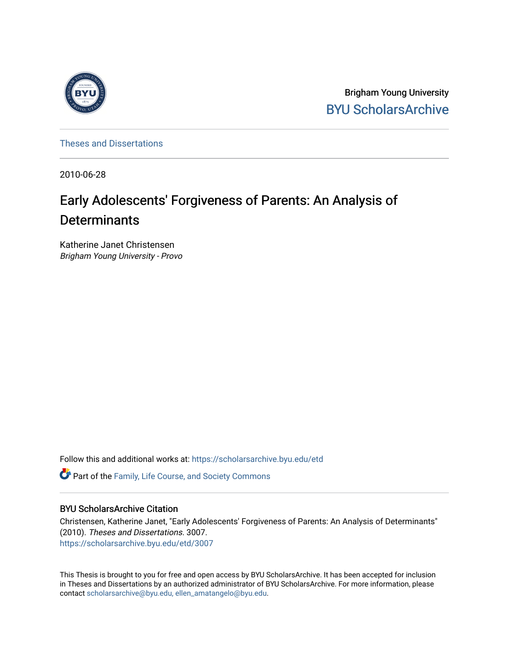

Brigham Young University [BYU ScholarsArchive](https://scholarsarchive.byu.edu/) 

[Theses and Dissertations](https://scholarsarchive.byu.edu/etd)

2010-06-28

# Early Adolescents' Forgiveness of Parents: An Analysis of **Determinants**

Katherine Janet Christensen Brigham Young University - Provo

Follow this and additional works at: [https://scholarsarchive.byu.edu/etd](https://scholarsarchive.byu.edu/etd?utm_source=scholarsarchive.byu.edu%2Fetd%2F3007&utm_medium=PDF&utm_campaign=PDFCoverPages)

**C** Part of the Family, Life Course, and Society Commons

## BYU ScholarsArchive Citation

Christensen, Katherine Janet, "Early Adolescents' Forgiveness of Parents: An Analysis of Determinants" (2010). Theses and Dissertations. 3007. [https://scholarsarchive.byu.edu/etd/3007](https://scholarsarchive.byu.edu/etd/3007?utm_source=scholarsarchive.byu.edu%2Fetd%2F3007&utm_medium=PDF&utm_campaign=PDFCoverPages) 

This Thesis is brought to you for free and open access by BYU ScholarsArchive. It has been accepted for inclusion in Theses and Dissertations by an authorized administrator of BYU ScholarsArchive. For more information, please contact [scholarsarchive@byu.edu, ellen\\_amatangelo@byu.edu](mailto:scholarsarchive@byu.edu,%20ellen_amatangelo@byu.edu).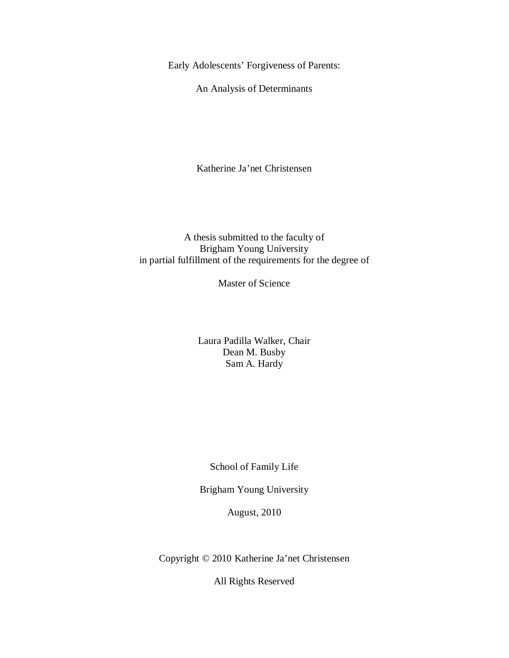Early Adolescents' Forgiveness of Parents:

An Analysis of Determinants

Katherine Ja'net Christensen

# A thesis submitted to the faculty of Brigham Young University in partial fulfillment of the requirements for the degree of

Master of Science

Laura Padilla Walker, Chair Dean M. Busby Sam A. Hardy

School of Family Life

Brigham Young University

August, 2010

Copyright © 2010 Katherine Ja'net Christensen

All Rights Reserved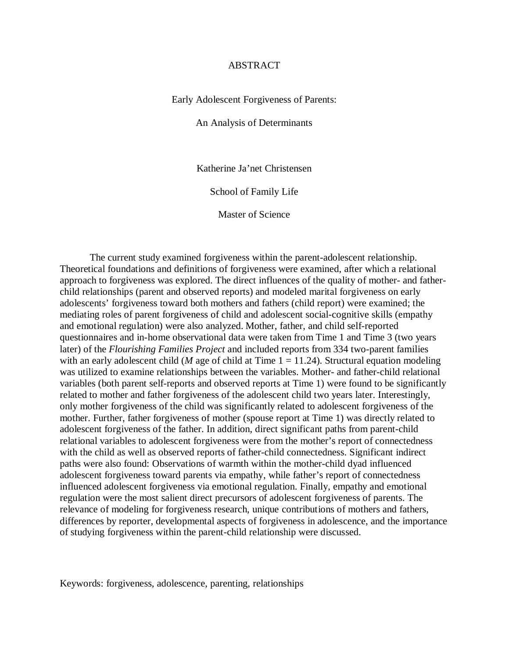#### ABSTRACT

Early Adolescent Forgiveness of Parents:

An Analysis of Determinants

Katherine Ja'net Christensen

School of Family Life

Master of Science

The current study examined forgiveness within the parent-adolescent relationship. Theoretical foundations and definitions of forgiveness were examined, after which a relational approach to forgiveness was explored. The direct influences of the quality of mother- and fatherchild relationships (parent and observed reports) and modeled marital forgiveness on early adolescents' forgiveness toward both mothers and fathers (child report) were examined; the mediating roles of parent forgiveness of child and adolescent social-cognitive skills (empathy and emotional regulation) were also analyzed. Mother, father, and child self-reported questionnaires and in-home observational data were taken from Time 1 and Time 3 (two years later) of the *Flourishing Families Project* and included reports from 334 two-parent families with an early adolescent child ( $M$  age of child at Time  $1 = 11.24$ ). Structural equation modeling was utilized to examine relationships between the variables. Mother- and father-child relational variables (both parent self-reports and observed reports at Time 1) were found to be significantly related to mother and father forgiveness of the adolescent child two years later. Interestingly, only mother forgiveness of the child was significantly related to adolescent forgiveness of the mother. Further, father forgiveness of mother (spouse report at Time 1) was directly related to adolescent forgiveness of the father. In addition, direct significant paths from parent-child relational variables to adolescent forgiveness were from the mother's report of connectedness with the child as well as observed reports of father-child connectedness. Significant indirect paths were also found: Observations of warmth within the mother-child dyad influenced adolescent forgiveness toward parents via empathy, while father's report of connectedness influenced adolescent forgiveness via emotional regulation. Finally, empathy and emotional regulation were the most salient direct precursors of adolescent forgiveness of parents. The relevance of modeling for forgiveness research, unique contributions of mothers and fathers, differences by reporter, developmental aspects of forgiveness in adolescence, and the importance of studying forgiveness within the parent-child relationship were discussed.

Keywords: forgiveness, adolescence, parenting, relationships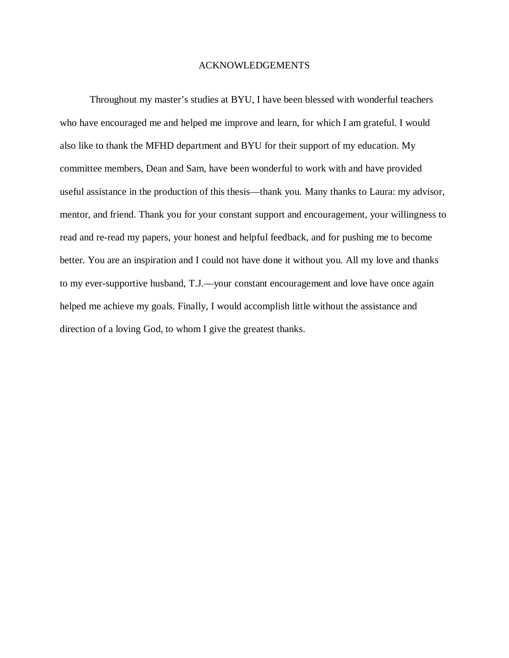#### ACKNOWLEDGEMENTS

Throughout my master's studies at BYU, I have been blessed with wonderful teachers who have encouraged me and helped me improve and learn, for which I am grateful. I would also like to thank the MFHD department and BYU for their support of my education. My committee members, Dean and Sam, have been wonderful to work with and have provided useful assistance in the production of this thesis—thank you. Many thanks to Laura: my advisor, mentor, and friend. Thank you for your constant support and encouragement, your willingness to read and re-read my papers, your honest and helpful feedback, and for pushing me to become better. You are an inspiration and I could not have done it without you. All my love and thanks to my ever-supportive husband, T.J.—your constant encouragement and love have once again helped me achieve my goals. Finally, I would accomplish little without the assistance and direction of a loving God, to whom I give the greatest thanks.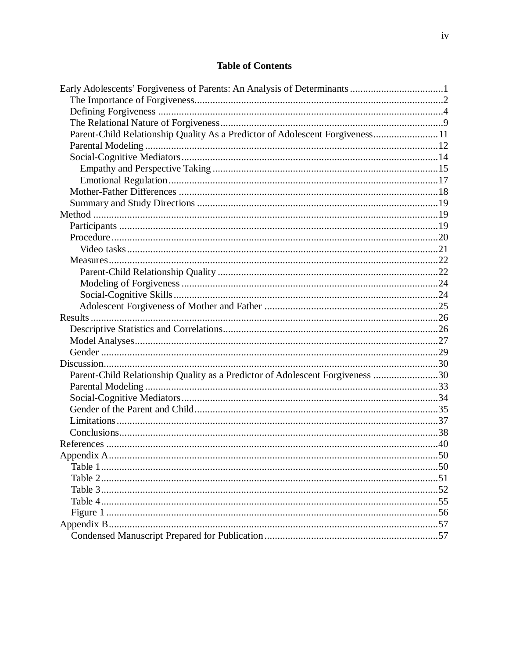# **Table of Contents**

| Parent-Child Relationship Quality As a Predictor of Adolescent Forgiveness11  |  |
|-------------------------------------------------------------------------------|--|
|                                                                               |  |
|                                                                               |  |
|                                                                               |  |
|                                                                               |  |
|                                                                               |  |
|                                                                               |  |
|                                                                               |  |
|                                                                               |  |
|                                                                               |  |
|                                                                               |  |
|                                                                               |  |
|                                                                               |  |
|                                                                               |  |
|                                                                               |  |
|                                                                               |  |
|                                                                               |  |
|                                                                               |  |
|                                                                               |  |
|                                                                               |  |
|                                                                               |  |
| Parent-Child Relationship Quality as a Predictor of Adolescent Forgiveness 30 |  |
|                                                                               |  |
|                                                                               |  |
|                                                                               |  |
|                                                                               |  |
|                                                                               |  |
|                                                                               |  |
|                                                                               |  |
|                                                                               |  |
|                                                                               |  |
|                                                                               |  |
|                                                                               |  |
|                                                                               |  |
|                                                                               |  |
|                                                                               |  |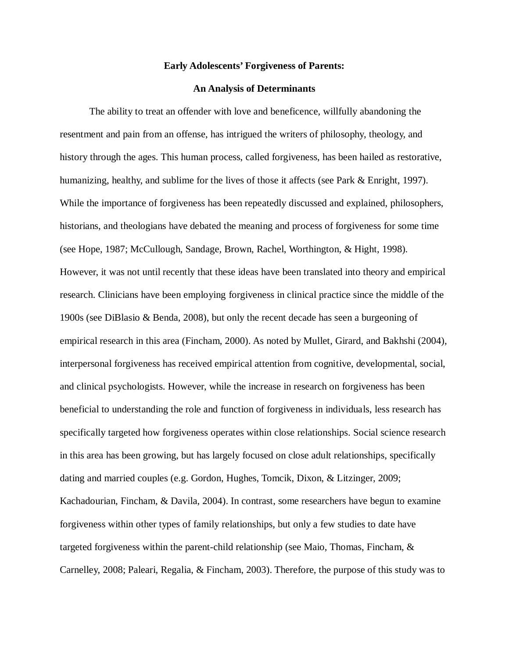#### **Early Adolescents' Forgiveness of Parents:**

#### **An Analysis of Determinants**

The ability to treat an offender with love and beneficence, willfully abandoning the resentment and pain from an offense, has intrigued the writers of philosophy, theology, and history through the ages. This human process, called forgiveness, has been hailed as restorative, humanizing, healthy, and sublime for the lives of those it affects (see Park & Enright, 1997). While the importance of forgiveness has been repeatedly discussed and explained, philosophers, historians, and theologians have debated the meaning and process of forgiveness for some time (see Hope, 1987; McCullough, Sandage, Brown, Rachel, Worthington, & Hight, 1998). However, it was not until recently that these ideas have been translated into theory and empirical research. Clinicians have been employing forgiveness in clinical practice since the middle of the 1900s (see DiBlasio & Benda, 2008), but only the recent decade has seen a burgeoning of empirical research in this area (Fincham, 2000). As noted by Mullet, Girard, and Bakhshi (2004), interpersonal forgiveness has received empirical attention from cognitive, developmental, social, and clinical psychologists. However, while the increase in research on forgiveness has been beneficial to understanding the role and function of forgiveness in individuals, less research has specifically targeted how forgiveness operates within close relationships. Social science research in this area has been growing, but has largely focused on close adult relationships, specifically dating and married couples (e.g. Gordon, Hughes, Tomcik, Dixon, & Litzinger, 2009; Kachadourian, Fincham, & Davila, 2004). In contrast, some researchers have begun to examine forgiveness within other types of family relationships, but only a few studies to date have targeted forgiveness within the parent-child relationship (see Maio, Thomas, Fincham, & Carnelley, 2008; Paleari, Regalia, & Fincham, 2003). Therefore, the purpose of this study was to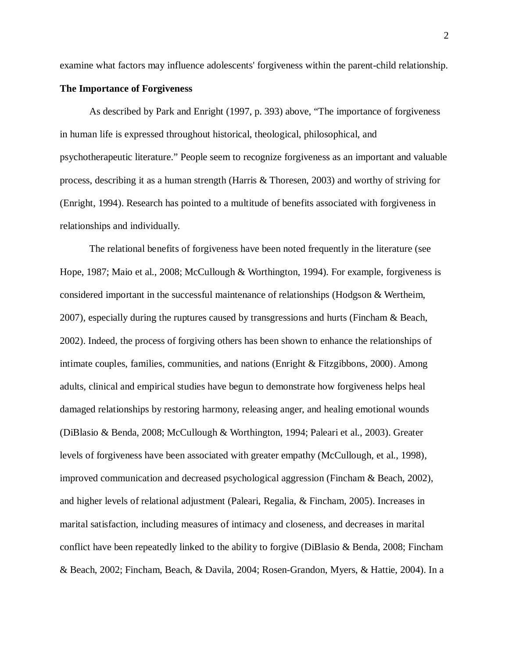examine what factors may influence adolescents' forgiveness within the parent-child relationship.

#### **The Importance of Forgiveness**

As described by Park and Enright (1997, p. 393) above, "The importance of forgiveness in human life is expressed throughout historical, theological, philosophical, and psychotherapeutic literature." People seem to recognize forgiveness as an important and valuable process, describing it as a human strength (Harris & Thoresen, 2003) and worthy of striving for (Enright, 1994). Research has pointed to a multitude of benefits associated with forgiveness in relationships and individually.

The relational benefits of forgiveness have been noted frequently in the literature (see Hope, 1987; Maio et al., 2008; McCullough & Worthington, 1994). For example, forgiveness is considered important in the successful maintenance of relationships (Hodgson & Wertheim, 2007), especially during the ruptures caused by transgressions and hurts (Fincham & Beach, 2002). Indeed, the process of forgiving others has been shown to enhance the relationships of intimate couples, families, communities, and nations (Enright & Fitzgibbons, 2000). Among adults, clinical and empirical studies have begun to demonstrate how forgiveness helps heal damaged relationships by restoring harmony, releasing anger, and healing emotional wounds (DiBlasio & Benda, 2008; McCullough & Worthington, 1994; Paleari et al., 2003). Greater levels of forgiveness have been associated with greater empathy (McCullough, et al., 1998), improved communication and decreased psychological aggression (Fincham & Beach, 2002), and higher levels of relational adjustment (Paleari, Regalia, & Fincham, 2005). Increases in marital satisfaction, including measures of intimacy and closeness, and decreases in marital conflict have been repeatedly linked to the ability to forgive (DiBlasio & Benda, 2008; Fincham & Beach, 2002; Fincham, Beach, & Davila, 2004; Rosen-Grandon, Myers, & Hattie, 2004). In a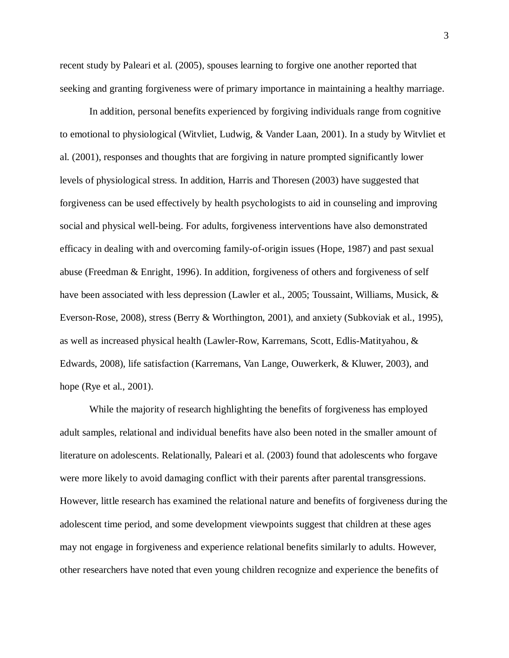recent study by Paleari et al. (2005), spouses learning to forgive one another reported that seeking and granting forgiveness were of primary importance in maintaining a healthy marriage.

In addition, personal benefits experienced by forgiving individuals range from cognitive to emotional to physiological (Witvliet, Ludwig, & Vander Laan, 2001). In a study by Witvliet et al. (2001), responses and thoughts that are forgiving in nature prompted significantly lower levels of physiological stress. In addition, Harris and Thoresen (2003) have suggested that forgiveness can be used effectively by health psychologists to aid in counseling and improving social and physical well-being. For adults, forgiveness interventions have also demonstrated efficacy in dealing with and overcoming family-of-origin issues (Hope, 1987) and past sexual abuse (Freedman & Enright, 1996). In addition, forgiveness of others and forgiveness of self have been associated with less depression (Lawler et al., 2005; Toussaint, Williams, Musick, & Everson-Rose, 2008), stress (Berry & Worthington, 2001), and anxiety (Subkoviak et al., 1995), as well as increased physical health (Lawler-Row, Karremans, Scott, Edlis-Matityahou, & Edwards, 2008), life satisfaction (Karremans, Van Lange, Ouwerkerk, & Kluwer, 2003), and hope (Rye et al., 2001).

While the majority of research highlighting the benefits of forgiveness has employed adult samples, relational and individual benefits have also been noted in the smaller amount of literature on adolescents. Relationally, Paleari et al. (2003) found that adolescents who forgave were more likely to avoid damaging conflict with their parents after parental transgressions. However, little research has examined the relational nature and benefits of forgiveness during the adolescent time period, and some development viewpoints suggest that children at these ages may not engage in forgiveness and experience relational benefits similarly to adults. However, other researchers have noted that even young children recognize and experience the benefits of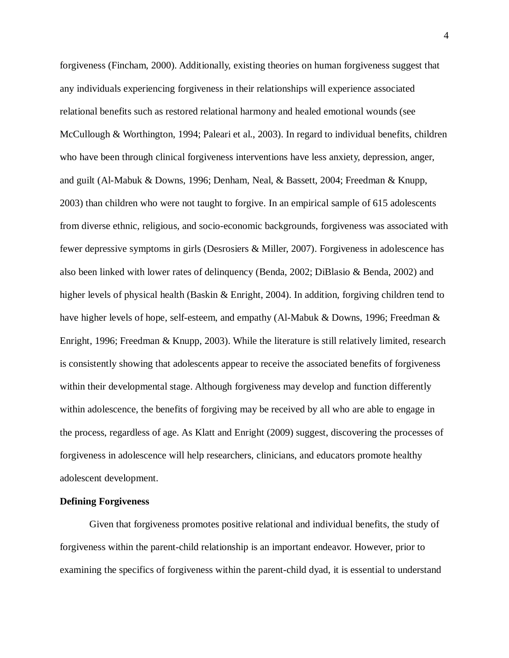forgiveness (Fincham, 2000). Additionally, existing theories on human forgiveness suggest that any individuals experiencing forgiveness in their relationships will experience associated relational benefits such as restored relational harmony and healed emotional wounds (see McCullough & Worthington, 1994; Paleari et al., 2003). In regard to individual benefits, children who have been through clinical forgiveness interventions have less anxiety, depression, anger, and guilt (Al-Mabuk & Downs, 1996; Denham, Neal, & Bassett, 2004; Freedman & Knupp, 2003) than children who were not taught to forgive. In an empirical sample of 615 adolescents from diverse ethnic, religious, and socio-economic backgrounds, forgiveness was associated with fewer depressive symptoms in girls (Desrosiers & Miller, 2007). Forgiveness in adolescence has also been linked with lower rates of delinquency (Benda, 2002; DiBlasio & Benda, 2002) and higher levels of physical health (Baskin & Enright, 2004). In addition, forgiving children tend to have higher levels of hope, self-esteem, and empathy (Al-Mabuk & Downs, 1996; Freedman & Enright, 1996; Freedman & Knupp, 2003). While the literature is still relatively limited, research is consistently showing that adolescents appear to receive the associated benefits of forgiveness within their developmental stage. Although forgiveness may develop and function differently within adolescence, the benefits of forgiving may be received by all who are able to engage in the process, regardless of age. As Klatt and Enright (2009) suggest, discovering the processes of forgiveness in adolescence will help researchers, clinicians, and educators promote healthy adolescent development.

#### **Defining Forgiveness**

Given that forgiveness promotes positive relational and individual benefits, the study of forgiveness within the parent-child relationship is an important endeavor. However, prior to examining the specifics of forgiveness within the parent-child dyad, it is essential to understand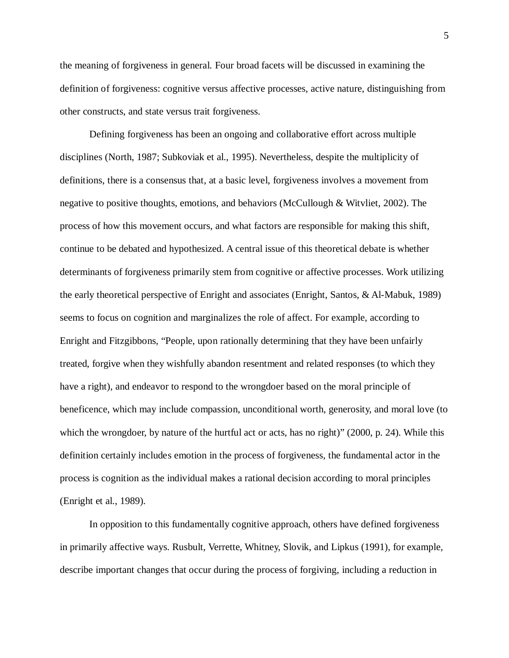the meaning of forgiveness in general. Four broad facets will be discussed in examining the definition of forgiveness: cognitive versus affective processes, active nature, distinguishing from other constructs, and state versus trait forgiveness.

Defining forgiveness has been an ongoing and collaborative effort across multiple disciplines (North, 1987; Subkoviak et al., 1995). Nevertheless, despite the multiplicity of definitions, there is a consensus that, at a basic level, forgiveness involves a movement from negative to positive thoughts, emotions, and behaviors (McCullough & Witvliet, 2002). The process of how this movement occurs, and what factors are responsible for making this shift, continue to be debated and hypothesized. A central issue of this theoretical debate is whether determinants of forgiveness primarily stem from cognitive or affective processes. Work utilizing the early theoretical perspective of Enright and associates (Enright, Santos, & Al-Mabuk, 1989) seems to focus on cognition and marginalizes the role of affect. For example, according to Enright and Fitzgibbons, "People, upon rationally determining that they have been unfairly treated, forgive when they wishfully abandon resentment and related responses (to which they have a right), and endeavor to respond to the wrongdoer based on the moral principle of beneficence, which may include compassion, unconditional worth, generosity, and moral love (to which the wrongdoer, by nature of the hurtful act or acts, has no right)" (2000, p. 24). While this definition certainly includes emotion in the process of forgiveness, the fundamental actor in the process is cognition as the individual makes a rational decision according to moral principles (Enright et al., 1989).

In opposition to this fundamentally cognitive approach, others have defined forgiveness in primarily affective ways. Rusbult, Verrette, Whitney, Slovik, and Lipkus (1991), for example, describe important changes that occur during the process of forgiving, including a reduction in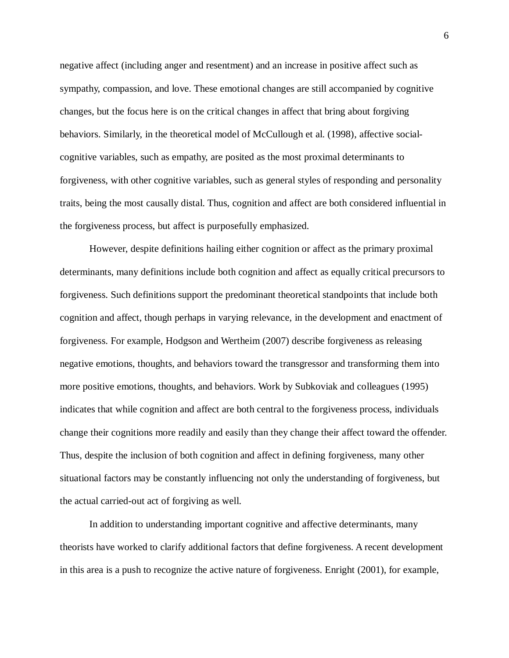negative affect (including anger and resentment) and an increase in positive affect such as sympathy, compassion, and love. These emotional changes are still accompanied by cognitive changes, but the focus here is on the critical changes in affect that bring about forgiving behaviors. Similarly, in the theoretical model of McCullough et al. (1998), affective socialcognitive variables, such as empathy, are posited as the most proximal determinants to forgiveness, with other cognitive variables, such as general styles of responding and personality traits, being the most causally distal. Thus, cognition and affect are both considered influential in the forgiveness process, but affect is purposefully emphasized.

However, despite definitions hailing either cognition or affect as the primary proximal determinants, many definitions include both cognition and affect as equally critical precursors to forgiveness. Such definitions support the predominant theoretical standpoints that include both cognition and affect, though perhaps in varying relevance, in the development and enactment of forgiveness. For example, Hodgson and Wertheim (2007) describe forgiveness as releasing negative emotions, thoughts, and behaviors toward the transgressor and transforming them into more positive emotions, thoughts, and behaviors. Work by Subkoviak and colleagues (1995) indicates that while cognition and affect are both central to the forgiveness process, individuals change their cognitions more readily and easily than they change their affect toward the offender. Thus, despite the inclusion of both cognition and affect in defining forgiveness, many other situational factors may be constantly influencing not only the understanding of forgiveness, but the actual carried-out act of forgiving as well.

In addition to understanding important cognitive and affective determinants, many theorists have worked to clarify additional factors that define forgiveness. A recent development in this area is a push to recognize the active nature of forgiveness. Enright (2001), for example,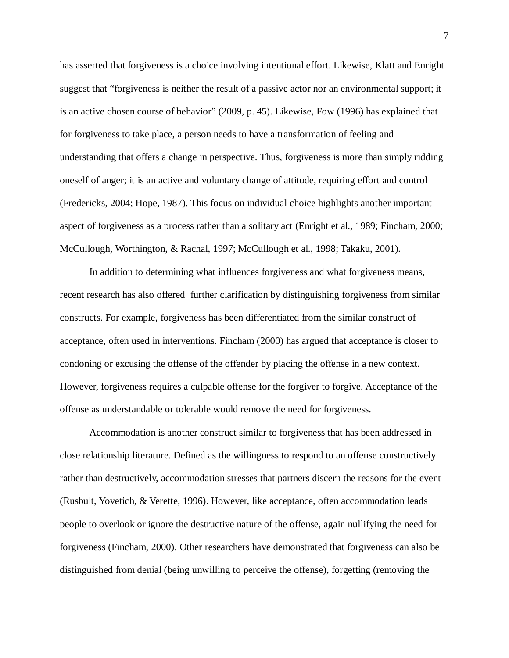has asserted that forgiveness is a choice involving intentional effort. Likewise, Klatt and Enright suggest that "forgiveness is neither the result of a passive actor nor an environmental support; it is an active chosen course of behavior" (2009, p. 45). Likewise, Fow (1996) has explained that for forgiveness to take place, a person needs to have a transformation of feeling and understanding that offers a change in perspective. Thus, forgiveness is more than simply ridding oneself of anger; it is an active and voluntary change of attitude, requiring effort and control (Fredericks, 2004; Hope, 1987). This focus on individual choice highlights another important aspect of forgiveness as a process rather than a solitary act (Enright et al., 1989; Fincham, 2000; McCullough, Worthington, & Rachal, 1997; McCullough et al., 1998; Takaku, 2001).

In addition to determining what influences forgiveness and what forgiveness means, recent research has also offered further clarification by distinguishing forgiveness from similar constructs. For example, forgiveness has been differentiated from the similar construct of acceptance, often used in interventions. Fincham (2000) has argued that acceptance is closer to condoning or excusing the offense of the offender by placing the offense in a new context. However, forgiveness requires a culpable offense for the forgiver to forgive. Acceptance of the offense as understandable or tolerable would remove the need for forgiveness.

Accommodation is another construct similar to forgiveness that has been addressed in close relationship literature. Defined as the willingness to respond to an offense constructively rather than destructively, accommodation stresses that partners discern the reasons for the event (Rusbult, Yovetich, & Verette, 1996). However, like acceptance, often accommodation leads people to overlook or ignore the destructive nature of the offense, again nullifying the need for forgiveness (Fincham, 2000). Other researchers have demonstrated that forgiveness can also be distinguished from denial (being unwilling to perceive the offense), forgetting (removing the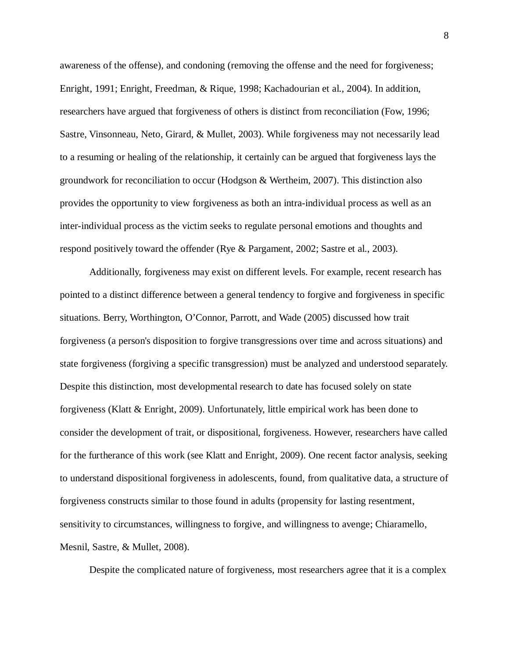awareness of the offense), and condoning (removing the offense and the need for forgiveness; Enright, 1991; Enright, Freedman, & Rique, 1998; Kachadourian et al., 2004). In addition, researchers have argued that forgiveness of others is distinct from reconciliation (Fow, 1996; Sastre, Vinsonneau, Neto, Girard, & Mullet, 2003). While forgiveness may not necessarily lead to a resuming or healing of the relationship, it certainly can be argued that forgiveness lays the groundwork for reconciliation to occur (Hodgson & Wertheim, 2007). This distinction also provides the opportunity to view forgiveness as both an intra-individual process as well as an inter-individual process as the victim seeks to regulate personal emotions and thoughts and respond positively toward the offender (Rye & Pargament, 2002; Sastre et al., 2003).

Additionally, forgiveness may exist on different levels. For example, recent research has pointed to a distinct difference between a general tendency to forgive and forgiveness in specific situations. Berry, Worthington, O'Connor, Parrott, and Wade (2005) discussed how trait forgiveness (a person's disposition to forgive transgressions over time and across situations) and state forgiveness (forgiving a specific transgression) must be analyzed and understood separately. Despite this distinction, most developmental research to date has focused solely on state forgiveness (Klatt & Enright, 2009). Unfortunately, little empirical work has been done to consider the development of trait, or dispositional, forgiveness. However, researchers have called for the furtherance of this work (see Klatt and Enright, 2009). One recent factor analysis, seeking to understand dispositional forgiveness in adolescents, found, from qualitative data, a structure of forgiveness constructs similar to those found in adults (propensity for lasting resentment, sensitivity to circumstances, willingness to forgive, and willingness to avenge; Chiaramello, Mesnil, Sastre, & Mullet, 2008).

Despite the complicated nature of forgiveness, most researchers agree that it is a complex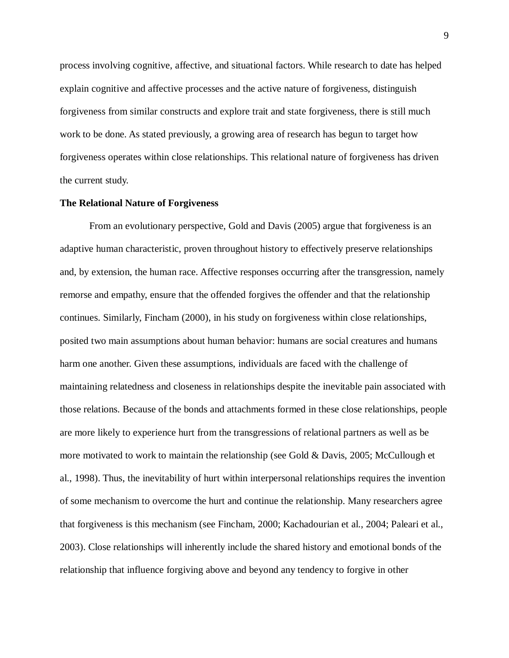process involving cognitive, affective, and situational factors. While research to date has helped explain cognitive and affective processes and the active nature of forgiveness, distinguish forgiveness from similar constructs and explore trait and state forgiveness, there is still much work to be done. As stated previously, a growing area of research has begun to target how forgiveness operates within close relationships. This relational nature of forgiveness has driven the current study.

#### **The Relational Nature of Forgiveness**

From an evolutionary perspective, Gold and Davis (2005) argue that forgiveness is an adaptive human characteristic, proven throughout history to effectively preserve relationships and, by extension, the human race. Affective responses occurring after the transgression, namely remorse and empathy, ensure that the offended forgives the offender and that the relationship continues. Similarly, Fincham (2000), in his study on forgiveness within close relationships, posited two main assumptions about human behavior: humans are social creatures and humans harm one another. Given these assumptions, individuals are faced with the challenge of maintaining relatedness and closeness in relationships despite the inevitable pain associated with those relations. Because of the bonds and attachments formed in these close relationships, people are more likely to experience hurt from the transgressions of relational partners as well as be more motivated to work to maintain the relationship (see Gold & Davis, 2005; McCullough et al., 1998). Thus, the inevitability of hurt within interpersonal relationships requires the invention of some mechanism to overcome the hurt and continue the relationship. Many researchers agree that forgiveness is this mechanism (see Fincham, 2000; Kachadourian et al., 2004; Paleari et al., 2003). Close relationships will inherently include the shared history and emotional bonds of the relationship that influence forgiving above and beyond any tendency to forgive in other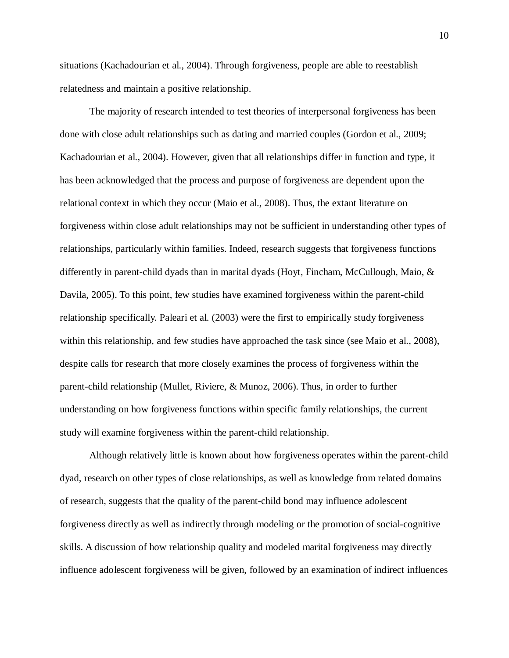situations (Kachadourian et al., 2004). Through forgiveness, people are able to reestablish relatedness and maintain a positive relationship.

The majority of research intended to test theories of interpersonal forgiveness has been done with close adult relationships such as dating and married couples (Gordon et al., 2009; Kachadourian et al., 2004). However, given that all relationships differ in function and type, it has been acknowledged that the process and purpose of forgiveness are dependent upon the relational context in which they occur (Maio et al., 2008). Thus, the extant literature on forgiveness within close adult relationships may not be sufficient in understanding other types of relationships, particularly within families. Indeed, research suggests that forgiveness functions differently in parent-child dyads than in marital dyads (Hoyt, Fincham, McCullough, Maio, & Davila, 2005). To this point, few studies have examined forgiveness within the parent-child relationship specifically. Paleari et al. (2003) were the first to empirically study forgiveness within this relationship, and few studies have approached the task since (see Maio et al., 2008), despite calls for research that more closely examines the process of forgiveness within the parent-child relationship (Mullet, Riviere, & Munoz, 2006). Thus, in order to further understanding on how forgiveness functions within specific family relationships, the current study will examine forgiveness within the parent-child relationship.

Although relatively little is known about how forgiveness operates within the parent-child dyad, research on other types of close relationships, as well as knowledge from related domains of research, suggests that the quality of the parent-child bond may influence adolescent forgiveness directly as well as indirectly through modeling or the promotion of social-cognitive skills. A discussion of how relationship quality and modeled marital forgiveness may directly influence adolescent forgiveness will be given, followed by an examination of indirect influences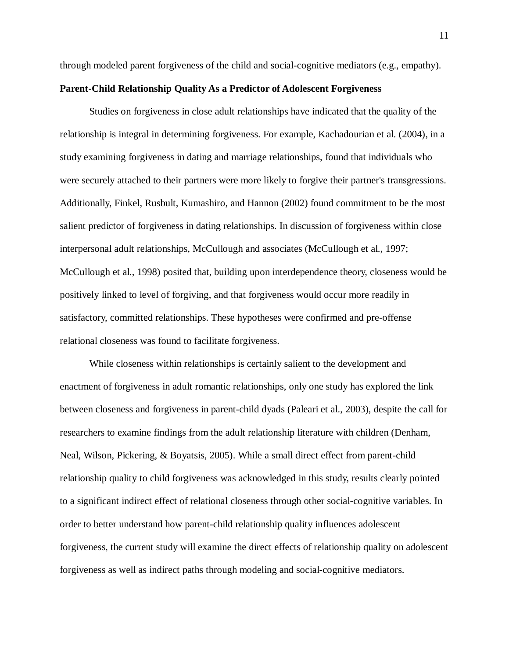through modeled parent forgiveness of the child and social-cognitive mediators (e.g., empathy).

## **Parent-Child Relationship Quality As a Predictor of Adolescent Forgiveness**

Studies on forgiveness in close adult relationships have indicated that the quality of the relationship is integral in determining forgiveness. For example, Kachadourian et al. (2004), in a study examining forgiveness in dating and marriage relationships, found that individuals who were securely attached to their partners were more likely to forgive their partner's transgressions. Additionally, Finkel, Rusbult, Kumashiro, and Hannon (2002) found commitment to be the most salient predictor of forgiveness in dating relationships. In discussion of forgiveness within close interpersonal adult relationships, McCullough and associates (McCullough et al., 1997; McCullough et al., 1998) posited that, building upon interdependence theory, closeness would be positively linked to level of forgiving, and that forgiveness would occur more readily in satisfactory, committed relationships. These hypotheses were confirmed and pre-offense relational closeness was found to facilitate forgiveness.

While closeness within relationships is certainly salient to the development and enactment of forgiveness in adult romantic relationships, only one study has explored the link between closeness and forgiveness in parent-child dyads (Paleari et al., 2003), despite the call for researchers to examine findings from the adult relationship literature with children (Denham, Neal, Wilson, Pickering, & Boyatsis, 2005). While a small direct effect from parent-child relationship quality to child forgiveness was acknowledged in this study, results clearly pointed to a significant indirect effect of relational closeness through other social-cognitive variables. In order to better understand how parent-child relationship quality influences adolescent forgiveness, the current study will examine the direct effects of relationship quality on adolescent forgiveness as well as indirect paths through modeling and social-cognitive mediators.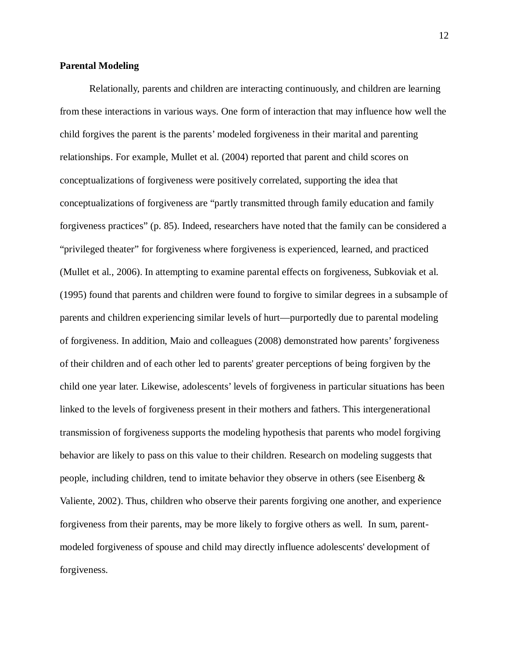#### **Parental Modeling**

Relationally, parents and children are interacting continuously, and children are learning from these interactions in various ways. One form of interaction that may influence how well the child forgives the parent is the parents' modeled forgiveness in their marital and parenting relationships. For example, Mullet et al. (2004) reported that parent and child scores on conceptualizations of forgiveness were positively correlated, supporting the idea that conceptualizations of forgiveness are "partly transmitted through family education and family forgiveness practices" (p. 85). Indeed, researchers have noted that the family can be considered a "privileged theater" for forgiveness where forgiveness is experienced, learned, and practiced (Mullet et al., 2006). In attempting to examine parental effects on forgiveness, Subkoviak et al. (1995) found that parents and children were found to forgive to similar degrees in a subsample of parents and children experiencing similar levels of hurt—purportedly due to parental modeling of forgiveness. In addition, Maio and colleagues (2008) demonstrated how parents' forgiveness of their children and of each other led to parents' greater perceptions of being forgiven by the child one year later. Likewise, adolescents' levels of forgiveness in particular situations has been linked to the levels of forgiveness present in their mothers and fathers. This intergenerational transmission of forgiveness supports the modeling hypothesis that parents who model forgiving behavior are likely to pass on this value to their children. Research on modeling suggests that people, including children, tend to imitate behavior they observe in others (see Eisenberg & Valiente, 2002). Thus, children who observe their parents forgiving one another, and experience forgiveness from their parents, may be more likely to forgive others as well. In sum, parentmodeled forgiveness of spouse and child may directly influence adolescents' development of forgiveness.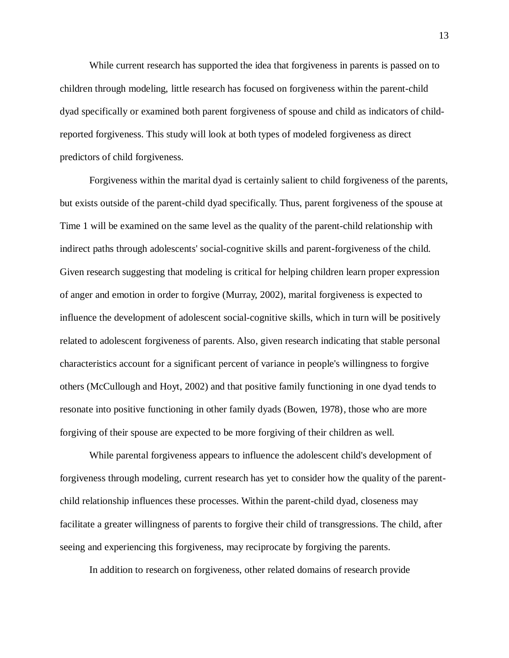While current research has supported the idea that forgiveness in parents is passed on to children through modeling, little research has focused on forgiveness within the parent-child dyad specifically or examined both parent forgiveness of spouse and child as indicators of childreported forgiveness. This study will look at both types of modeled forgiveness as direct predictors of child forgiveness.

Forgiveness within the marital dyad is certainly salient to child forgiveness of the parents, but exists outside of the parent-child dyad specifically. Thus, parent forgiveness of the spouse at Time 1 will be examined on the same level as the quality of the parent-child relationship with indirect paths through adolescents' social-cognitive skills and parent-forgiveness of the child. Given research suggesting that modeling is critical for helping children learn proper expression of anger and emotion in order to forgive (Murray, 2002), marital forgiveness is expected to influence the development of adolescent social-cognitive skills, which in turn will be positively related to adolescent forgiveness of parents. Also, given research indicating that stable personal characteristics account for a significant percent of variance in people's willingness to forgive others (McCullough and Hoyt, 2002) and that positive family functioning in one dyad tends to resonate into positive functioning in other family dyads (Bowen, 1978), those who are more forgiving of their spouse are expected to be more forgiving of their children as well.

While parental forgiveness appears to influence the adolescent child's development of forgiveness through modeling, current research has yet to consider how the quality of the parentchild relationship influences these processes. Within the parent-child dyad, closeness may facilitate a greater willingness of parents to forgive their child of transgressions. The child, after seeing and experiencing this forgiveness, may reciprocate by forgiving the parents.

In addition to research on forgiveness, other related domains of research provide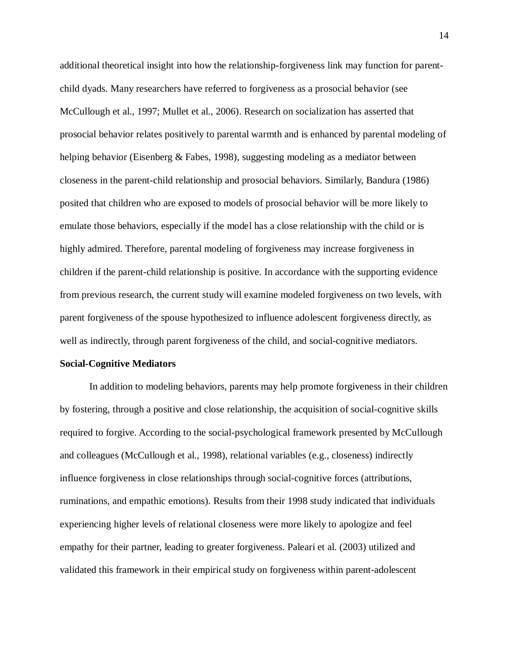additional theoretical insight into how the relationship-forgiveness link may function for parentchild dyads. Many researchers have referred to forgiveness as a prosocial behavior (see McCullough et al., 1997; Mullet et al., 2006). Research on socialization has asserted that prosocial behavior relates positively to parental warmth and is enhanced by parental modeling of helping behavior (Eisenberg & Fabes, 1998), suggesting modeling as a mediator between closeness in the parent-child relationship and prosocial behaviors. Similarly, Bandura (1986) posited that children who are exposed to models of prosocial behavior will be more likely to emulate those behaviors, especially if the model has a close relationship with the child or is highly admired. Therefore, parental modeling of forgiveness may increase forgiveness in children if the parent-child relationship is positive. In accordance with the supporting evidence from previous research, the current study will examine modeled forgiveness on two levels, with parent forgiveness of the spouse hypothesized to influence adolescent forgiveness directly, as well as indirectly, through parent forgiveness of the child, and social-cognitive mediators.

#### **Social-Cognitive Mediators**

In addition to modeling behaviors, parents may help promote forgiveness in their children by fostering, through a positive and close relationship, the acquisition of social-cognitive skills required to forgive. According to the social-psychological framework presented by McCullough and colleagues (McCullough et al., 1998), relational variables (e.g., closeness) indirectly influence forgiveness in close relationships through social-cognitive forces (attributions, ruminations, and empathic emotions). Results from their 1998 study indicated that individuals experiencing higher levels of relational closeness were more likely to apologize and feel empathy for their partner, leading to greater forgiveness. Paleari et al. (2003) utilized and validated this framework in their empirical study on forgiveness within parent-adolescent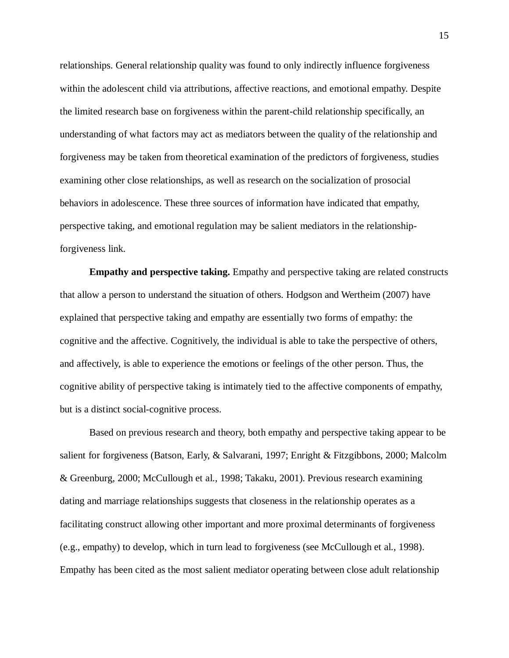relationships. General relationship quality was found to only indirectly influence forgiveness within the adolescent child via attributions, affective reactions, and emotional empathy. Despite the limited research base on forgiveness within the parent-child relationship specifically, an understanding of what factors may act as mediators between the quality of the relationship and forgiveness may be taken from theoretical examination of the predictors of forgiveness, studies examining other close relationships, as well as research on the socialization of prosocial behaviors in adolescence. These three sources of information have indicated that empathy, perspective taking, and emotional regulation may be salient mediators in the relationshipforgiveness link.

**Empathy and perspective taking.** Empathy and perspective taking are related constructs that allow a person to understand the situation of others. Hodgson and Wertheim (2007) have explained that perspective taking and empathy are essentially two forms of empathy: the cognitive and the affective. Cognitively, the individual is able to take the perspective of others, and affectively, is able to experience the emotions or feelings of the other person. Thus, the cognitive ability of perspective taking is intimately tied to the affective components of empathy, but is a distinct social-cognitive process.

Based on previous research and theory, both empathy and perspective taking appear to be salient for forgiveness (Batson, Early, & Salvarani, 1997; Enright & Fitzgibbons, 2000; Malcolm & Greenburg, 2000; McCullough et al., 1998; Takaku, 2001). Previous research examining dating and marriage relationships suggests that closeness in the relationship operates as a facilitating construct allowing other important and more proximal determinants of forgiveness (e.g., empathy) to develop, which in turn lead to forgiveness (see McCullough et al., 1998). Empathy has been cited as the most salient mediator operating between close adult relationship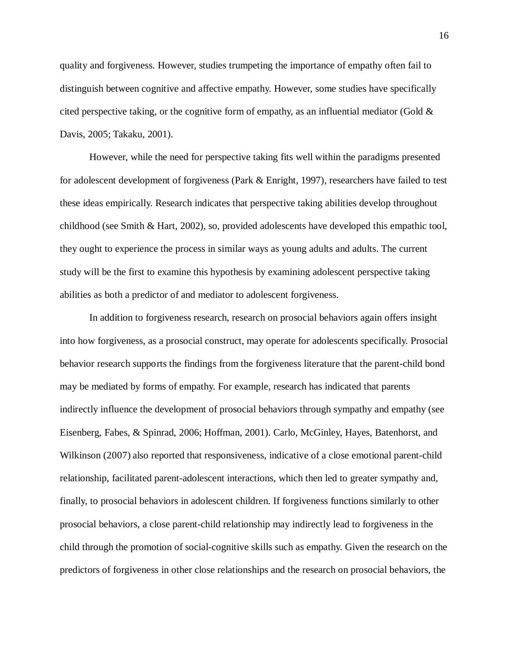quality and forgiveness. However, studies trumpeting the importance of empathy often fail to distinguish between cognitive and affective empathy. However, some studies have specifically cited perspective taking, or the cognitive form of empathy, as an influential mediator (Gold  $\&$ Davis, 2005; Takaku, 2001).

However, while the need for perspective taking fits well within the paradigms presented for adolescent development of forgiveness (Park & Enright, 1997), researchers have failed to test these ideas empirically. Research indicates that perspective taking abilities develop throughout childhood (see Smith & Hart, 2002), so, provided adolescents have developed this empathic tool, they ought to experience the process in similar ways as young adults and adults. The current study will be the first to examine this hypothesis by examining adolescent perspective taking abilities as both a predictor of and mediator to adolescent forgiveness.

In addition to forgiveness research, research on prosocial behaviors again offers insight into how forgiveness, as a prosocial construct, may operate for adolescents specifically. Prosocial behavior research supports the findings from the forgiveness literature that the parent-child bond may be mediated by forms of empathy. For example, research has indicated that parents indirectly influence the development of prosocial behaviors through sympathy and empathy (see Eisenberg, Fabes, & Spinrad, 2006; Hoffman, 2001). Carlo, McGinley, Hayes, Batenhorst, and Wilkinson (2007) also reported that responsiveness, indicative of a close emotional parent-child relationship, facilitated parent-adolescent interactions, which then led to greater sympathy and, finally, to prosocial behaviors in adolescent children. If forgiveness functions similarly to other prosocial behaviors, a close parent-child relationship may indirectly lead to forgiveness in the child through the promotion of social-cognitive skills such as empathy. Given the research on the predictors of forgiveness in other close relationships and the research on prosocial behaviors, the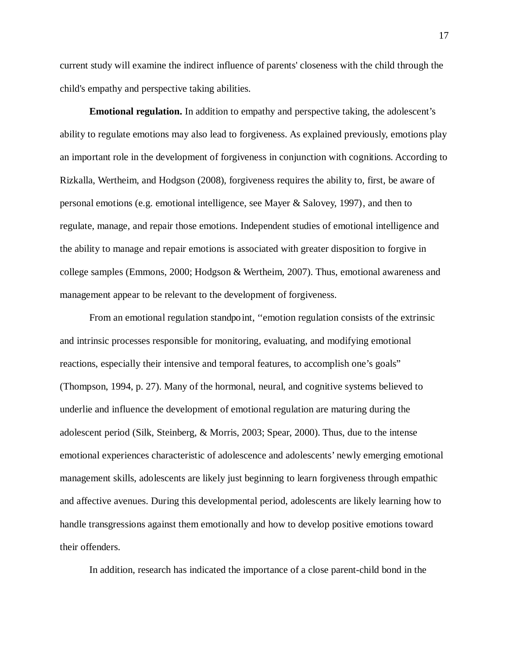current study will examine the indirect influence of parents' closeness with the child through the child's empathy and perspective taking abilities.

**Emotional regulation.** In addition to empathy and perspective taking, the adolescent's ability to regulate emotions may also lead to forgiveness. As explained previously, emotions play an important role in the development of forgiveness in conjunction with cognitions. According to Rizkalla, Wertheim, and Hodgson (2008), forgiveness requires the ability to, first, be aware of personal emotions (e.g. emotional intelligence, see Mayer & Salovey, 1997), and then to regulate, manage, and repair those emotions. Independent studies of emotional intelligence and the ability to manage and repair emotions is associated with greater disposition to forgive in college samples (Emmons, 2000; Hodgson & Wertheim, 2007). Thus, emotional awareness and management appear to be relevant to the development of forgiveness.

From an emotional regulation standpoint, ''emotion regulation consists of the extrinsic and intrinsic processes responsible for monitoring, evaluating, and modifying emotional reactions, especially their intensive and temporal features, to accomplish one's goals" (Thompson, 1994, p. 27). Many of the hormonal, neural, and cognitive systems believed to underlie and influence the development of emotional regulation are maturing during the adolescent period (Silk, Steinberg, & Morris, 2003; Spear, 2000). Thus, due to the intense emotional experiences characteristic of adolescence and adolescents' newly emerging emotional management skills, adolescents are likely just beginning to learn forgiveness through empathic and affective avenues. During this developmental period, adolescents are likely learning how to handle transgressions against them emotionally and how to develop positive emotions toward their offenders.

In addition, research has indicated the importance of a close parent-child bond in the

17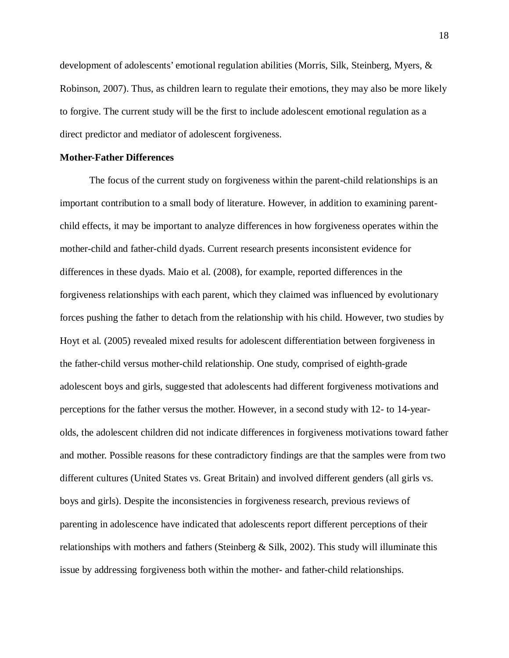development of adolescents' emotional regulation abilities (Morris, Silk, Steinberg, Myers, & Robinson, 2007). Thus, as children learn to regulate their emotions, they may also be more likely to forgive. The current study will be the first to include adolescent emotional regulation as a direct predictor and mediator of adolescent forgiveness.

#### **Mother-Father Differences**

The focus of the current study on forgiveness within the parent-child relationships is an important contribution to a small body of literature. However, in addition to examining parentchild effects, it may be important to analyze differences in how forgiveness operates within the mother-child and father-child dyads. Current research presents inconsistent evidence for differences in these dyads. Maio et al. (2008), for example, reported differences in the forgiveness relationships with each parent, which they claimed was influenced by evolutionary forces pushing the father to detach from the relationship with his child. However, two studies by Hoyt et al. (2005) revealed mixed results for adolescent differentiation between forgiveness in the father-child versus mother-child relationship. One study, comprised of eighth-grade adolescent boys and girls, suggested that adolescents had different forgiveness motivations and perceptions for the father versus the mother. However, in a second study with 12- to 14-yearolds, the adolescent children did not indicate differences in forgiveness motivations toward father and mother. Possible reasons for these contradictory findings are that the samples were from two different cultures (United States vs. Great Britain) and involved different genders (all girls vs. boys and girls). Despite the inconsistencies in forgiveness research, previous reviews of parenting in adolescence have indicated that adolescents report different perceptions of their relationships with mothers and fathers (Steinberg & Silk, 2002). This study will illuminate this issue by addressing forgiveness both within the mother- and father-child relationships.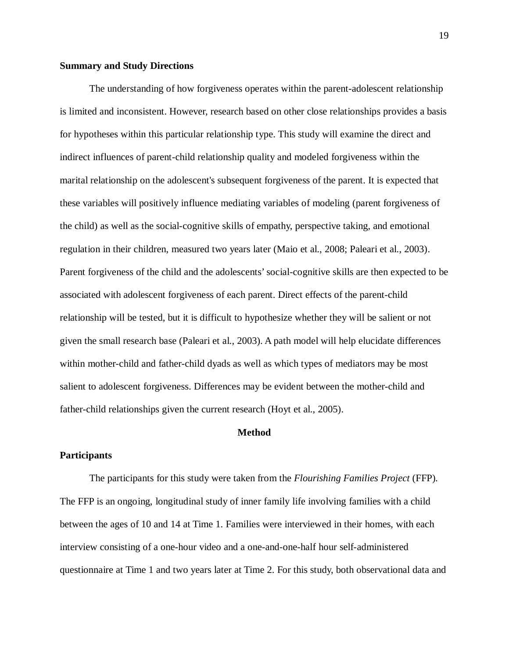#### **Summary and Study Directions**

The understanding of how forgiveness operates within the parent-adolescent relationship is limited and inconsistent. However, research based on other close relationships provides a basis for hypotheses within this particular relationship type. This study will examine the direct and indirect influences of parent-child relationship quality and modeled forgiveness within the marital relationship on the adolescent's subsequent forgiveness of the parent. It is expected that these variables will positively influence mediating variables of modeling (parent forgiveness of the child) as well as the social-cognitive skills of empathy, perspective taking, and emotional regulation in their children, measured two years later (Maio et al., 2008; Paleari et al., 2003). Parent forgiveness of the child and the adolescents' social-cognitive skills are then expected to be associated with adolescent forgiveness of each parent. Direct effects of the parent-child relationship will be tested, but it is difficult to hypothesize whether they will be salient or not given the small research base (Paleari et al., 2003). A path model will help elucidate differences within mother-child and father-child dyads as well as which types of mediators may be most salient to adolescent forgiveness. Differences may be evident between the mother-child and father-child relationships given the current research (Hoyt et al., 2005).

#### **Method**

#### **Participants**

The participants for this study were taken from the *Flourishing Families Project* (FFP)*.*  The FFP is an ongoing, longitudinal study of inner family life involving families with a child between the ages of 10 and 14 at Time 1. Families were interviewed in their homes, with each interview consisting of a one-hour video and a one-and-one-half hour self-administered questionnaire at Time 1 and two years later at Time 2. For this study, both observational data and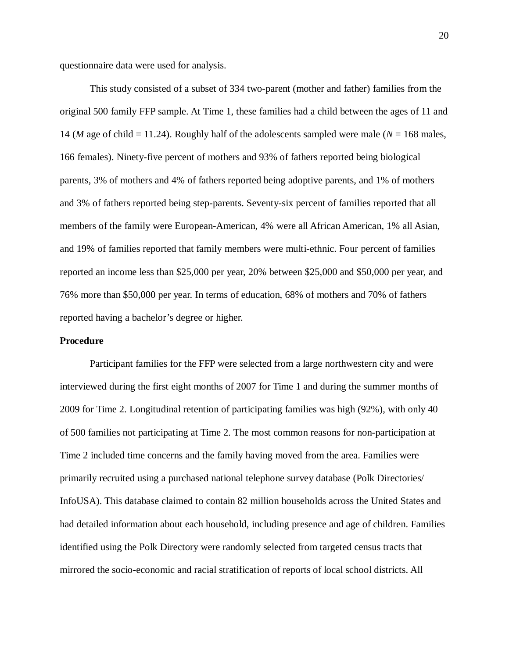questionnaire data were used for analysis.

This study consisted of a subset of 334 two-parent (mother and father) families from the original 500 family FFP sample. At Time 1, these families had a child between the ages of 11 and 14 (*M* age of child = 11.24). Roughly half of the adolescents sampled were male ( $N = 168$  males, 166 females). Ninety-five percent of mothers and 93% of fathers reported being biological parents, 3% of mothers and 4% of fathers reported being adoptive parents, and 1% of mothers and 3% of fathers reported being step-parents. Seventy-six percent of families reported that all members of the family were European-American, 4% were all African American, 1% all Asian, and 19% of families reported that family members were multi-ethnic. Four percent of families reported an income less than \$25,000 per year, 20% between \$25,000 and \$50,000 per year, and 76% more than \$50,000 per year. In terms of education, 68% of mothers and 70% of fathers reported having a bachelor's degree or higher.

#### **Procedure**

Participant families for the FFP were selected from a large northwestern city and were interviewed during the first eight months of 2007 for Time 1 and during the summer months of 2009 for Time 2. Longitudinal retention of participating families was high (92%), with only 40 of 500 families not participating at Time 2. The most common reasons for non-participation at Time 2 included time concerns and the family having moved from the area. Families were primarily recruited using a purchased national telephone survey database (Polk Directories/ InfoUSA). This database claimed to contain 82 million households across the United States and had detailed information about each household, including presence and age of children. Families identified using the Polk Directory were randomly selected from targeted census tracts that mirrored the socio-economic and racial stratification of reports of local school districts. All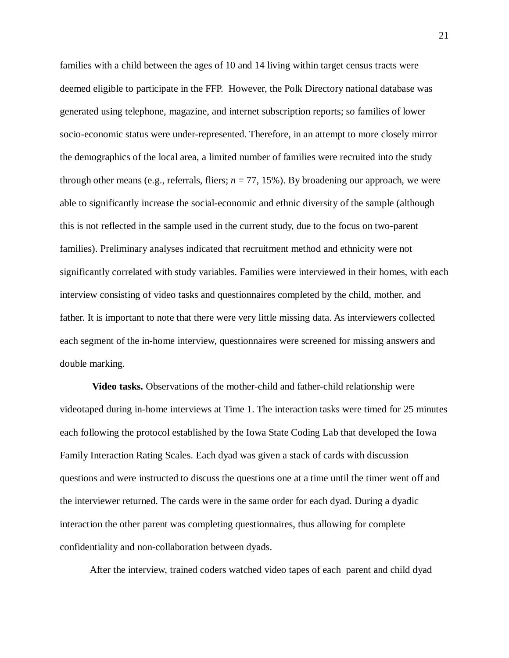families with a child between the ages of 10 and 14 living within target census tracts were deemed eligible to participate in the FFP. However, the Polk Directory national database was generated using telephone, magazine, and internet subscription reports; so families of lower socio-economic status were under-represented. Therefore, in an attempt to more closely mirror the demographics of the local area, a limited number of families were recruited into the study through other means (e.g., referrals, fliers; *n* = 77, 15%). By broadening our approach, we were able to significantly increase the social-economic and ethnic diversity of the sample (although this is not reflected in the sample used in the current study, due to the focus on two-parent families). Preliminary analyses indicated that recruitment method and ethnicity were not significantly correlated with study variables. Families were interviewed in their homes, with each interview consisting of video tasks and questionnaires completed by the child, mother, and father. It is important to note that there were very little missing data. As interviewers collected each segment of the in-home interview, questionnaires were screened for missing answers and double marking.

**Video tasks.** Observations of the mother-child and father-child relationship were videotaped during in-home interviews at Time 1. The interaction tasks were timed for 25 minutes each following the protocol established by the Iowa State Coding Lab that developed the Iowa Family Interaction Rating Scales. Each dyad was given a stack of cards with discussion questions and were instructed to discuss the questions one at a time until the timer went off and the interviewer returned. The cards were in the same order for each dyad. During a dyadic interaction the other parent was completing questionnaires, thus allowing for complete confidentiality and non-collaboration between dyads.

After the interview, trained coders watched video tapes of each parent and child dyad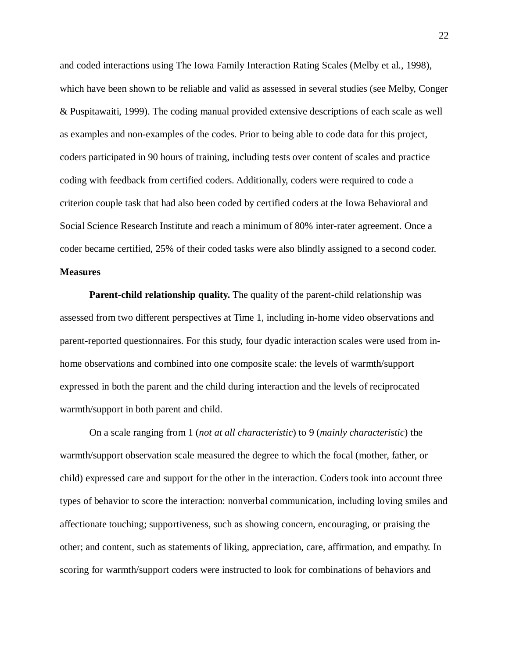and coded interactions using The Iowa Family Interaction Rating Scales (Melby et al., 1998), which have been shown to be reliable and valid as assessed in several studies (see Melby, Conger & Puspitawaiti, 1999). The coding manual provided extensive descriptions of each scale as well as examples and non-examples of the codes. Prior to being able to code data for this project, coders participated in 90 hours of training, including tests over content of scales and practice coding with feedback from certified coders. Additionally, coders were required to code a criterion couple task that had also been coded by certified coders at the Iowa Behavioral and Social Science Research Institute and reach a minimum of 80% inter-rater agreement. Once a coder became certified, 25% of their coded tasks were also blindly assigned to a second coder. **Measures**

**Parent-child relationship quality.** The quality of the parent-child relationship was assessed from two different perspectives at Time 1, including in-home video observations and parent-reported questionnaires. For this study, four dyadic interaction scales were used from inhome observations and combined into one composite scale: the levels of warmth/support expressed in both the parent and the child during interaction and the levels of reciprocated warmth/support in both parent and child.

On a scale ranging from 1 (*not at all characteristic*) to 9 (*mainly characteristic*) the warmth/support observation scale measured the degree to which the focal (mother, father, or child) expressed care and support for the other in the interaction. Coders took into account three types of behavior to score the interaction: nonverbal communication, including loving smiles and affectionate touching; supportiveness, such as showing concern, encouraging, or praising the other; and content, such as statements of liking, appreciation, care, affirmation, and empathy. In scoring for warmth/support coders were instructed to look for combinations of behaviors and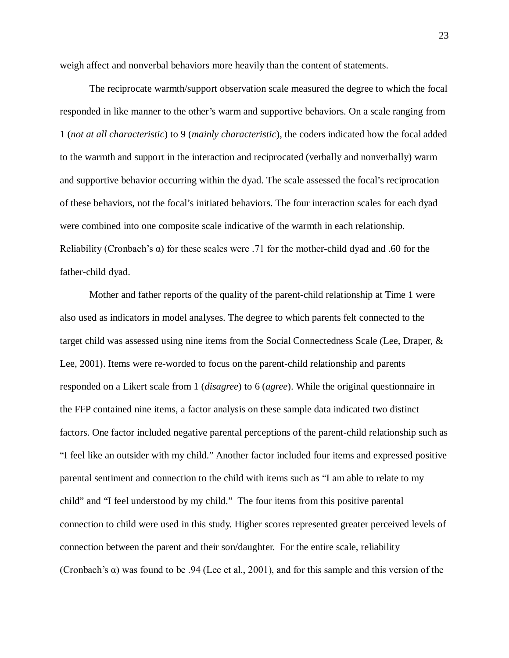weigh affect and nonverbal behaviors more heavily than the content of statements.

The reciprocate warmth/support observation scale measured the degree to which the focal responded in like manner to the other's warm and supportive behaviors. On a scale ranging from 1 (*not at all characteristic*) to 9 (*mainly characteristic*), the coders indicated how the focal added to the warmth and support in the interaction and reciprocated (verbally and nonverbally) warm and supportive behavior occurring within the dyad. The scale assessed the focal's reciprocation of these behaviors, not the focal's initiated behaviors. The four interaction scales for each dyad were combined into one composite scale indicative of the warmth in each relationship. Reliability (Cronbach's α) for these scales were .71 for the mother-child dyad and .60 for the father-child dyad.

Mother and father reports of the quality of the parent-child relationship at Time 1 were also used as indicators in model analyses. The degree to which parents felt connected to the target child was assessed using nine items from the Social Connectedness Scale (Lee, Draper, & Lee, 2001). Items were re-worded to focus on the parent-child relationship and parents responded on a Likert scale from 1 (*disagree*) to 6 (*agree*). While the original questionnaire in the FFP contained nine items, a factor analysis on these sample data indicated two distinct factors. One factor included negative parental perceptions of the parent-child relationship such as "I feel like an outsider with my child." Another factor included four items and expressed positive parental sentiment and connection to the child with items such as "I am able to relate to my child" and "I feel understood by my child." The four items from this positive parental connection to child were used in this study. Higher scores represented greater perceived levels of connection between the parent and their son/daughter. For the entire scale, reliability (Cronbach's  $\alpha$ ) was found to be .94 (Lee et al., 2001), and for this sample and this version of the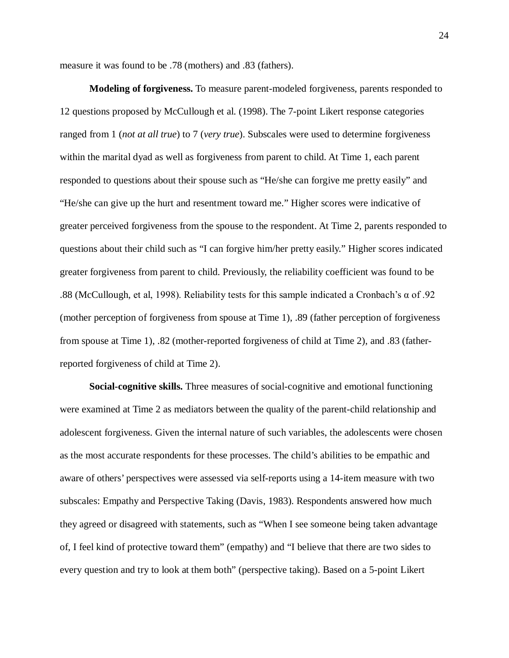measure it was found to be .78 (mothers) and .83 (fathers).

**Modeling of forgiveness.** To measure parent-modeled forgiveness, parents responded to 12 questions proposed by McCullough et al. (1998). The 7-point Likert response categories ranged from 1 (*not at all true*) to 7 (*very true*). Subscales were used to determine forgiveness within the marital dyad as well as forgiveness from parent to child. At Time 1, each parent responded to questions about their spouse such as "He/she can forgive me pretty easily" and "He/she can give up the hurt and resentment toward me." Higher scores were indicative of greater perceived forgiveness from the spouse to the respondent. At Time 2, parents responded to questions about their child such as "I can forgive him/her pretty easily." Higher scores indicated greater forgiveness from parent to child. Previously, the reliability coefficient was found to be .88 (McCullough, et al, 1998). Reliability tests for this sample indicated a Cronbach's  $\alpha$  of .92 (mother perception of forgiveness from spouse at Time 1), .89 (father perception of forgiveness from spouse at Time 1), .82 (mother-reported forgiveness of child at Time 2), and .83 (fatherreported forgiveness of child at Time 2).

**Social-cognitive skills.** Three measures of social-cognitive and emotional functioning were examined at Time 2 as mediators between the quality of the parent-child relationship and adolescent forgiveness. Given the internal nature of such variables, the adolescents were chosen as the most accurate respondents for these processes. The child's abilities to be empathic and aware of others' perspectives were assessed via self-reports using a 14-item measure with two subscales: Empathy and Perspective Taking (Davis, 1983). Respondents answered how much they agreed or disagreed with statements, such as "When I see someone being taken advantage of, I feel kind of protective toward them" (empathy) and "I believe that there are two sides to every question and try to look at them both" (perspective taking). Based on a 5-point Likert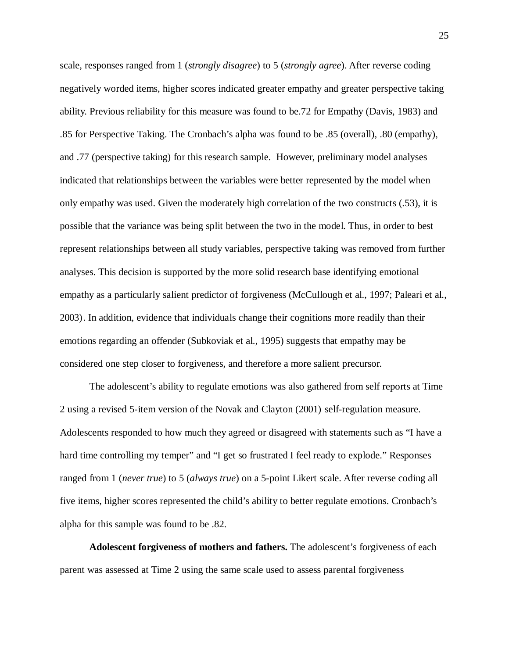scale, responses ranged from 1 (*strongly disagree*) to 5 (*strongly agree*). After reverse coding negatively worded items, higher scores indicated greater empathy and greater perspective taking ability. Previous reliability for this measure was found to be.72 for Empathy (Davis, 1983) and .85 for Perspective Taking. The Cronbach's alpha was found to be .85 (overall), .80 (empathy), and .77 (perspective taking) for this research sample. However, preliminary model analyses indicated that relationships between the variables were better represented by the model when only empathy was used. Given the moderately high correlation of the two constructs (.53), it is possible that the variance was being split between the two in the model. Thus, in order to best represent relationships between all study variables, perspective taking was removed from further analyses. This decision is supported by the more solid research base identifying emotional empathy as a particularly salient predictor of forgiveness (McCullough et al., 1997; Paleari et al., 2003). In addition, evidence that individuals change their cognitions more readily than their emotions regarding an offender (Subkoviak et al., 1995) suggests that empathy may be considered one step closer to forgiveness, and therefore a more salient precursor.

The adolescent's ability to regulate emotions was also gathered from self reports at Time 2 using a revised 5-item version of the Novak and Clayton (2001) self-regulation measure. Adolescents responded to how much they agreed or disagreed with statements such as "I have a hard time controlling my temper" and "I get so frustrated I feel ready to explode." Responses ranged from 1 (*never true*) to 5 (*always true*) on a 5-point Likert scale. After reverse coding all five items, higher scores represented the child's ability to better regulate emotions. Cronbach's alpha for this sample was found to be .82.

**Adolescent forgiveness of mothers and fathers.** The adolescent's forgiveness of each parent was assessed at Time 2 using the same scale used to assess parental forgiveness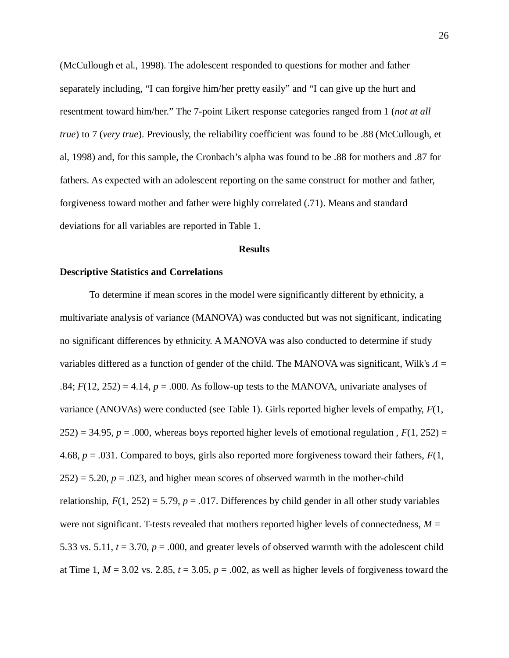(McCullough et al., 1998). The adolescent responded to questions for mother and father separately including, "I can forgive him/her pretty easily" and "I can give up the hurt and resentment toward him/her." The 7-point Likert response categories ranged from 1 (*not at all true*) to 7 (*very true*). Previously, the reliability coefficient was found to be .88 (McCullough, et al, 1998) and, for this sample, the Cronbach's alpha was found to be .88 for mothers and .87 for fathers. As expected with an adolescent reporting on the same construct for mother and father, forgiveness toward mother and father were highly correlated (.71). Means and standard deviations for all variables are reported in Table 1.

#### **Results**

#### **Descriptive Statistics and Correlations**

To determine if mean scores in the model were significantly different by ethnicity, a multivariate analysis of variance (MANOVA) was conducted but was not significant, indicating no significant differences by ethnicity. A MANOVA was also conducted to determine if study variables differed as a function of gender of the child. The MANOVA was significant, Wilk's *Λ* = .84;  $F(12, 252) = 4.14$ ,  $p = .000$ . As follow-up tests to the MANOVA, univariate analyses of variance (ANOVAs) were conducted (see Table 1). Girls reported higher levels of empathy, *F*(1,  $252$ ) = 34.95,  $p = .000$ , whereas boys reported higher levels of emotional regulation,  $F(1, 252)$  = 4.68, *p* = .031. Compared to boys, girls also reported more forgiveness toward their fathers, *F*(1,  $252$ ) = 5.20,  $p = .023$ , and higher mean scores of observed warmth in the mother-child relationship,  $F(1, 252) = 5.79$ ,  $p = .017$ . Differences by child gender in all other study variables were not significant. T-tests revealed that mothers reported higher levels of connectedness,  $M =$ 5.33 vs. 5.11,  $t = 3.70$ ,  $p = .000$ , and greater levels of observed warmth with the adolescent child at Time 1,  $M = 3.02$  vs. 2.85,  $t = 3.05$ ,  $p = .002$ , as well as higher levels of forgiveness toward the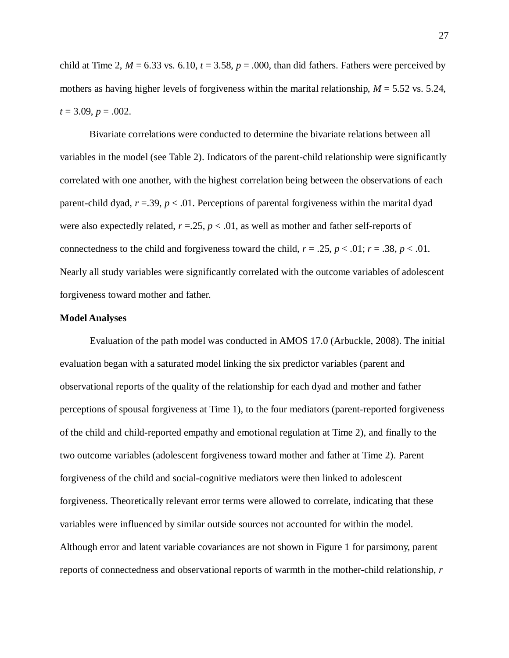child at Time 2,  $M = 6.33$  vs. 6.10,  $t = 3.58$ ,  $p = .000$ , than did fathers. Fathers were perceived by mothers as having higher levels of forgiveness within the marital relationship, *M* = 5.52 vs. 5.24,  $t = 3.09, p = .002.$ 

Bivariate correlations were conducted to determine the bivariate relations between all variables in the model (see Table 2). Indicators of the parent-child relationship were significantly correlated with one another, with the highest correlation being between the observations of each parent-child dyad,  $r = .39$ ,  $p < .01$ . Perceptions of parental forgiveness within the marital dyad were also expectedly related,  $r = 25$ ,  $p < 0.01$ , as well as mother and father self-reports of connectedness to the child and forgiveness toward the child,  $r = .25$ ,  $p < .01$ ;  $r = .38$ ,  $p < .01$ . Nearly all study variables were significantly correlated with the outcome variables of adolescent forgiveness toward mother and father.

#### **Model Analyses**

Evaluation of the path model was conducted in AMOS 17.0 (Arbuckle, 2008). The initial evaluation began with a saturated model linking the six predictor variables (parent and observational reports of the quality of the relationship for each dyad and mother and father perceptions of spousal forgiveness at Time 1), to the four mediators (parent-reported forgiveness of the child and child-reported empathy and emotional regulation at Time 2), and finally to the two outcome variables (adolescent forgiveness toward mother and father at Time 2). Parent forgiveness of the child and social-cognitive mediators were then linked to adolescent forgiveness. Theoretically relevant error terms were allowed to correlate, indicating that these variables were influenced by similar outside sources not accounted for within the model. Although error and latent variable covariances are not shown in Figure 1 for parsimony, parent reports of connectedness and observational reports of warmth in the mother-child relationship, *r*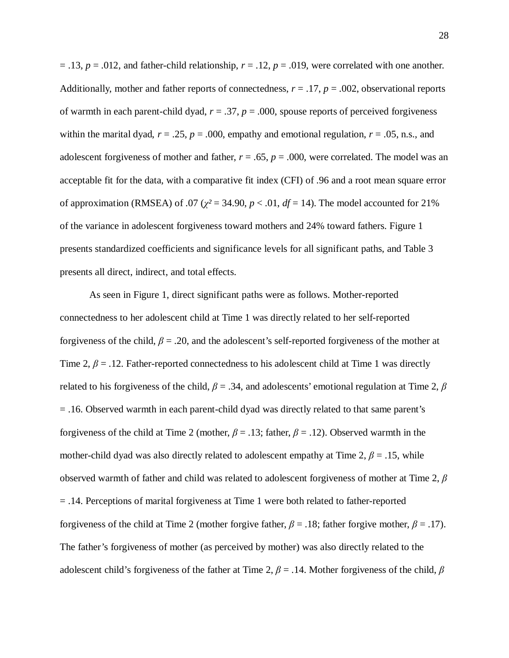$= .13, p = .012$ , and father-child relationship,  $r = .12, p = .019$ , were correlated with one another. Additionally, mother and father reports of connectedness,  $r = .17$ ,  $p = .002$ , observational reports of warmth in each parent-child dyad,  $r = .37$ ,  $p = .000$ , spouse reports of perceived forgiveness within the marital dyad,  $r = .25$ ,  $p = .000$ , empathy and emotional regulation,  $r = .05$ , n.s., and adolescent forgiveness of mother and father,  $r = .65$ ,  $p = .000$ , were correlated. The model was an acceptable fit for the data, with a comparative fit index (CFI) of .96 and a root mean square error of approximation (RMSEA) of .07 ( $\chi^2$  = 34.90,  $p < .01$ ,  $df = 14$ ). The model accounted for 21% of the variance in adolescent forgiveness toward mothers and 24% toward fathers. Figure 1 presents standardized coefficients and significance levels for all significant paths, and Table 3 presents all direct, indirect, and total effects.

As seen in Figure 1, direct significant paths were as follows. Mother-reported connectedness to her adolescent child at Time 1 was directly related to her self-reported forgiveness of the child, *β* = .20, and the adolescent's self-reported forgiveness of the mother at Time 2,  $\beta$  = .12. Father-reported connectedness to his adolescent child at Time 1 was directly related to his forgiveness of the child, *β* = .34, and adolescents' emotional regulation at Time 2, *β* = .16. Observed warmth in each parent-child dyad was directly related to that same parent's forgiveness of the child at Time 2 (mother,  $\beta = .13$ ; father,  $\beta = .12$ ). Observed warmth in the mother-child dyad was also directly related to adolescent empathy at Time 2,  $\beta$  = .15, while observed warmth of father and child was related to adolescent forgiveness of mother at Time 2, *β* = .14. Perceptions of marital forgiveness at Time 1 were both related to father-reported forgiveness of the child at Time 2 (mother forgive father,  $\beta = .18$ ; father forgive mother,  $\beta = .17$ ). The father's forgiveness of mother (as perceived by mother) was also directly related to the adolescent child's forgiveness of the father at Time 2, *β* = .14. Mother forgiveness of the child, *β*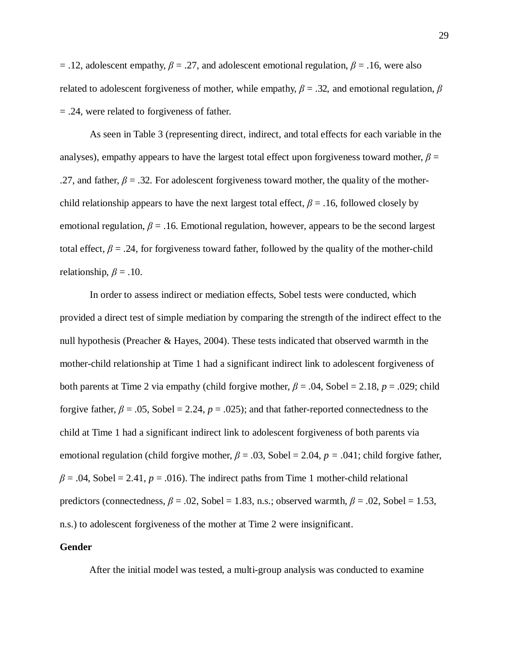$=$ .12, adolescent empathy,  $\beta = .27$ , and adolescent emotional regulation,  $\beta = .16$ , were also related to adolescent forgiveness of mother, while empathy,  $\beta$  = .32, and emotional regulation,  $\beta$ = .24, were related to forgiveness of father.

As seen in Table 3 (representing direct, indirect, and total effects for each variable in the analyses), empathy appears to have the largest total effect upon forgiveness toward mother,  $\beta$  = .27, and father,  $\beta$  = .32. For adolescent forgiveness toward mother, the quality of the motherchild relationship appears to have the next largest total effect,  $\beta$  = .16, followed closely by emotional regulation,  $\beta$  = .16. Emotional regulation, however, appears to be the second largest total effect,  $\beta$  = .24, for forgiveness toward father, followed by the quality of the mother-child relationship,  $\beta = .10$ .

In order to assess indirect or mediation effects, Sobel tests were conducted, which provided a direct test of simple mediation by comparing the strength of the indirect effect to the null hypothesis (Preacher & Hayes, 2004). These tests indicated that observed warmth in the mother-child relationship at Time 1 had a significant indirect link to adolescent forgiveness of both parents at Time 2 via empathy (child forgive mother, *β* = .04, Sobel = 2.18, *p* = .029; child forgive father,  $\beta = .05$ , Sobel = 2.24,  $p = .025$ ; and that father-reported connectedness to the child at Time 1 had a significant indirect link to adolescent forgiveness of both parents via emotional regulation (child forgive mother, *β* = .03, Sobel = 2.04, *p =* .041; child forgive father,  $\beta$  = .04, Sobel = 2.41,  $p$  = .016). The indirect paths from Time 1 mother-child relational predictors (connectedness,  $\beta$  = .02, Sobel = 1.83, n.s.; observed warmth,  $\beta$  = .02, Sobel = 1.53, n.s.) to adolescent forgiveness of the mother at Time 2 were insignificant.

#### **Gender**

After the initial model was tested, a multi-group analysis was conducted to examine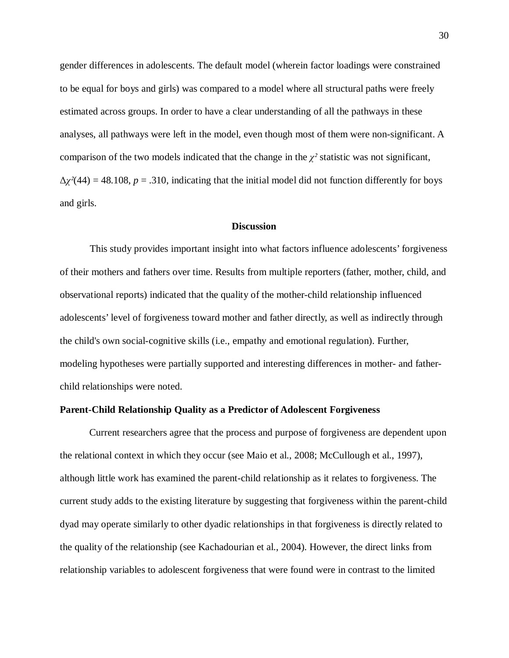gender differences in adolescents. The default model (wherein factor loadings were constrained to be equal for boys and girls) was compared to a model where all structural paths were freely estimated across groups. In order to have a clear understanding of all the pathways in these analyses, all pathways were left in the model, even though most of them were non-significant. A comparison of the two models indicated that the change in the  $\chi^2$  statistic was not significant,  $\Delta \chi^2$ (44) = 48.108, *p* = .310, indicating that the initial model did not function differently for boys and girls.

#### **Discussion**

This study provides important insight into what factors influence adolescents' forgiveness of their mothers and fathers over time. Results from multiple reporters (father, mother, child, and observational reports) indicated that the quality of the mother-child relationship influenced adolescents' level of forgiveness toward mother and father directly, as well as indirectly through the child's own social-cognitive skills (i.e., empathy and emotional regulation). Further, modeling hypotheses were partially supported and interesting differences in mother- and fatherchild relationships were noted.

#### **Parent-Child Relationship Quality as a Predictor of Adolescent Forgiveness**

Current researchers agree that the process and purpose of forgiveness are dependent upon the relational context in which they occur (see Maio et al., 2008; McCullough et al., 1997), although little work has examined the parent-child relationship as it relates to forgiveness. The current study adds to the existing literature by suggesting that forgiveness within the parent-child dyad may operate similarly to other dyadic relationships in that forgiveness is directly related to the quality of the relationship (see Kachadourian et al., 2004). However, the direct links from relationship variables to adolescent forgiveness that were found were in contrast to the limited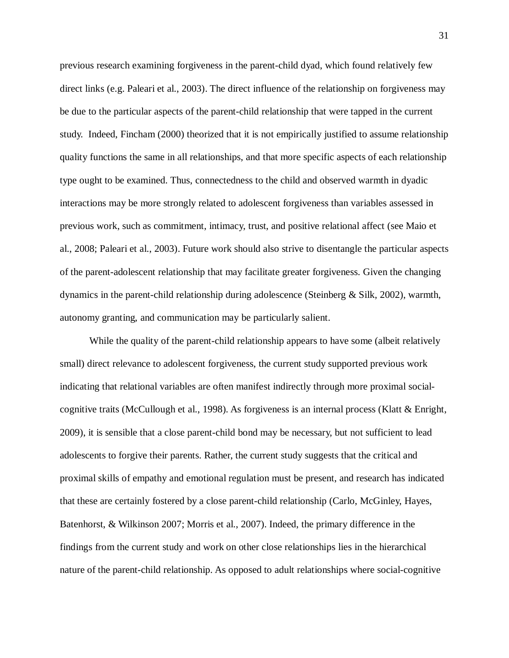previous research examining forgiveness in the parent-child dyad, which found relatively few direct links (e.g. Paleari et al., 2003). The direct influence of the relationship on forgiveness may be due to the particular aspects of the parent-child relationship that were tapped in the current study. Indeed, Fincham (2000) theorized that it is not empirically justified to assume relationship quality functions the same in all relationships, and that more specific aspects of each relationship type ought to be examined. Thus, connectedness to the child and observed warmth in dyadic interactions may be more strongly related to adolescent forgiveness than variables assessed in previous work, such as commitment, intimacy, trust, and positive relational affect (see Maio et al., 2008; Paleari et al., 2003). Future work should also strive to disentangle the particular aspects of the parent-adolescent relationship that may facilitate greater forgiveness. Given the changing dynamics in the parent-child relationship during adolescence (Steinberg & Silk, 2002), warmth, autonomy granting, and communication may be particularly salient.

While the quality of the parent-child relationship appears to have some (albeit relatively small) direct relevance to adolescent forgiveness, the current study supported previous work indicating that relational variables are often manifest indirectly through more proximal socialcognitive traits (McCullough et al., 1998). As forgiveness is an internal process (Klatt & Enright, 2009), it is sensible that a close parent-child bond may be necessary, but not sufficient to lead adolescents to forgive their parents. Rather, the current study suggests that the critical and proximal skills of empathy and emotional regulation must be present, and research has indicated that these are certainly fostered by a close parent-child relationship (Carlo, McGinley, Hayes, Batenhorst, & Wilkinson 2007; Morris et al., 2007). Indeed, the primary difference in the findings from the current study and work on other close relationships lies in the hierarchical nature of the parent-child relationship. As opposed to adult relationships where social-cognitive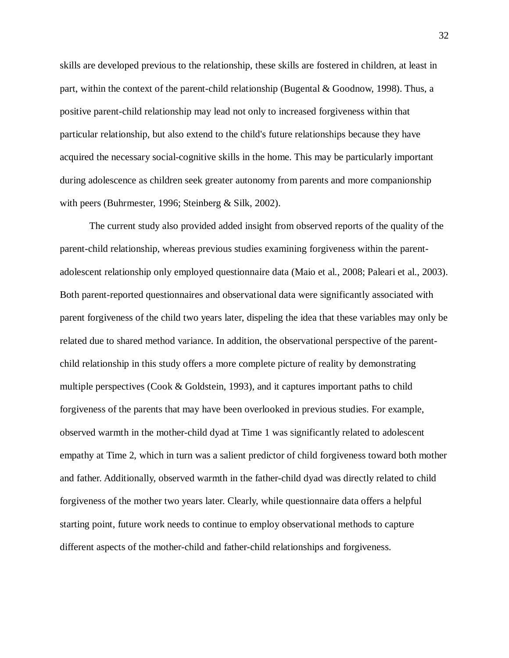skills are developed previous to the relationship, these skills are fostered in children, at least in part, within the context of the parent-child relationship (Bugental & Goodnow, 1998). Thus, a positive parent-child relationship may lead not only to increased forgiveness within that particular relationship, but also extend to the child's future relationships because they have acquired the necessary social-cognitive skills in the home. This may be particularly important during adolescence as children seek greater autonomy from parents and more companionship with peers (Buhrmester, 1996; Steinberg & Silk, 2002).

The current study also provided added insight from observed reports of the quality of the parent-child relationship, whereas previous studies examining forgiveness within the parentadolescent relationship only employed questionnaire data (Maio et al., 2008; Paleari et al., 2003). Both parent-reported questionnaires and observational data were significantly associated with parent forgiveness of the child two years later, dispeling the idea that these variables may only be related due to shared method variance. In addition, the observational perspective of the parentchild relationship in this study offers a more complete picture of reality by demonstrating multiple perspectives (Cook & Goldstein, 1993), and it captures important paths to child forgiveness of the parents that may have been overlooked in previous studies. For example, observed warmth in the mother-child dyad at Time 1 was significantly related to adolescent empathy at Time 2, which in turn was a salient predictor of child forgiveness toward both mother and father. Additionally, observed warmth in the father-child dyad was directly related to child forgiveness of the mother two years later. Clearly, while questionnaire data offers a helpful starting point, future work needs to continue to employ observational methods to capture different aspects of the mother-child and father-child relationships and forgiveness.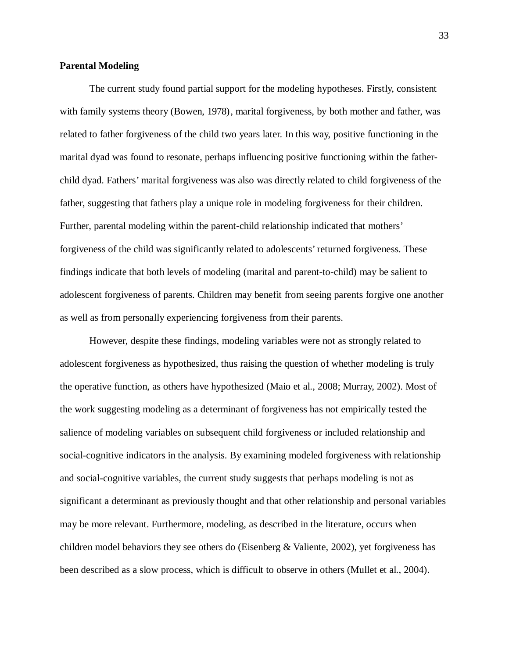## **Parental Modeling**

The current study found partial support for the modeling hypotheses. Firstly, consistent with family systems theory (Bowen, 1978), marital forgiveness, by both mother and father, was related to father forgiveness of the child two years later. In this way, positive functioning in the marital dyad was found to resonate, perhaps influencing positive functioning within the fatherchild dyad. Fathers' marital forgiveness was also was directly related to child forgiveness of the father, suggesting that fathers play a unique role in modeling forgiveness for their children. Further, parental modeling within the parent-child relationship indicated that mothers' forgiveness of the child was significantly related to adolescents' returned forgiveness. These findings indicate that both levels of modeling (marital and parent-to-child) may be salient to adolescent forgiveness of parents. Children may benefit from seeing parents forgive one another as well as from personally experiencing forgiveness from their parents.

However, despite these findings, modeling variables were not as strongly related to adolescent forgiveness as hypothesized, thus raising the question of whether modeling is truly the operative function, as others have hypothesized (Maio et al., 2008; Murray, 2002). Most of the work suggesting modeling as a determinant of forgiveness has not empirically tested the salience of modeling variables on subsequent child forgiveness or included relationship and social-cognitive indicators in the analysis. By examining modeled forgiveness with relationship and social-cognitive variables, the current study suggests that perhaps modeling is not as significant a determinant as previously thought and that other relationship and personal variables may be more relevant. Furthermore, modeling, as described in the literature, occurs when children model behaviors they see others do (Eisenberg & Valiente, 2002), yet forgiveness has been described as a slow process, which is difficult to observe in others (Mullet et al., 2004).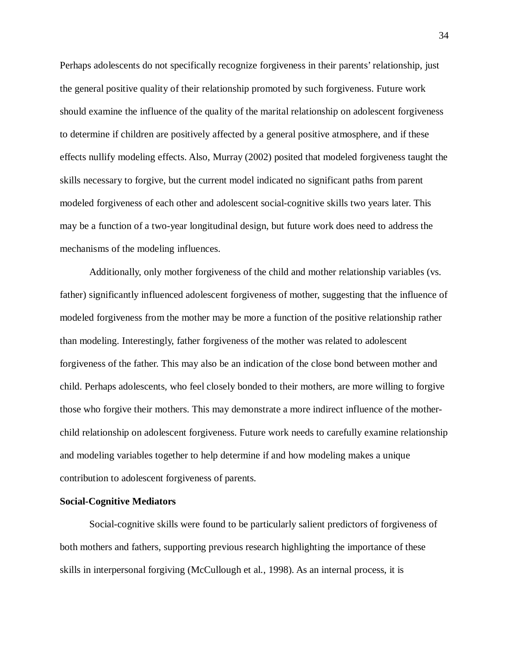Perhaps adolescents do not specifically recognize forgiveness in their parents' relationship, just the general positive quality of their relationship promoted by such forgiveness. Future work should examine the influence of the quality of the marital relationship on adolescent forgiveness to determine if children are positively affected by a general positive atmosphere, and if these effects nullify modeling effects. Also, Murray (2002) posited that modeled forgiveness taught the skills necessary to forgive, but the current model indicated no significant paths from parent modeled forgiveness of each other and adolescent social-cognitive skills two years later. This may be a function of a two-year longitudinal design, but future work does need to address the mechanisms of the modeling influences.

Additionally, only mother forgiveness of the child and mother relationship variables (vs. father) significantly influenced adolescent forgiveness of mother, suggesting that the influence of modeled forgiveness from the mother may be more a function of the positive relationship rather than modeling. Interestingly, father forgiveness of the mother was related to adolescent forgiveness of the father. This may also be an indication of the close bond between mother and child. Perhaps adolescents, who feel closely bonded to their mothers, are more willing to forgive those who forgive their mothers. This may demonstrate a more indirect influence of the motherchild relationship on adolescent forgiveness. Future work needs to carefully examine relationship and modeling variables together to help determine if and how modeling makes a unique contribution to adolescent forgiveness of parents.

## **Social-Cognitive Mediators**

Social-cognitive skills were found to be particularly salient predictors of forgiveness of both mothers and fathers, supporting previous research highlighting the importance of these skills in interpersonal forgiving (McCullough et al., 1998). As an internal process, it is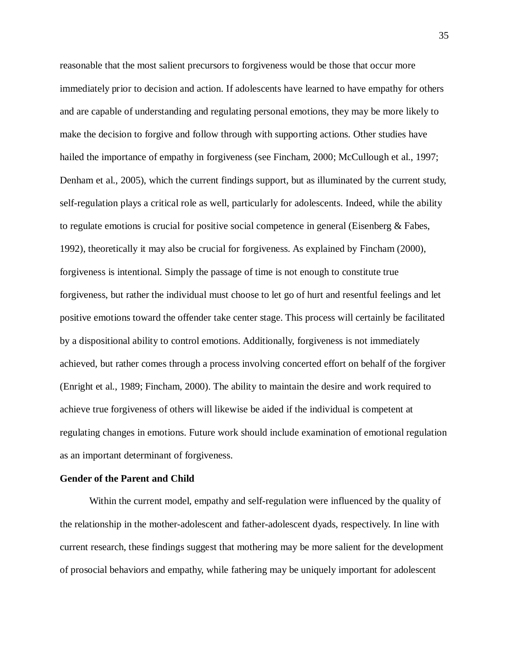reasonable that the most salient precursors to forgiveness would be those that occur more immediately prior to decision and action. If adolescents have learned to have empathy for others and are capable of understanding and regulating personal emotions, they may be more likely to make the decision to forgive and follow through with supporting actions. Other studies have hailed the importance of empathy in forgiveness (see Fincham, 2000; McCullough et al., 1997; Denham et al., 2005), which the current findings support, but as illuminated by the current study, self-regulation plays a critical role as well, particularly for adolescents. Indeed, while the ability to regulate emotions is crucial for positive social competence in general (Eisenberg & Fabes, 1992), theoretically it may also be crucial for forgiveness. As explained by Fincham (2000), forgiveness is intentional. Simply the passage of time is not enough to constitute true forgiveness, but rather the individual must choose to let go of hurt and resentful feelings and let positive emotions toward the offender take center stage. This process will certainly be facilitated by a dispositional ability to control emotions. Additionally, forgiveness is not immediately achieved, but rather comes through a process involving concerted effort on behalf of the forgiver (Enright et al., 1989; Fincham, 2000). The ability to maintain the desire and work required to achieve true forgiveness of others will likewise be aided if the individual is competent at regulating changes in emotions. Future work should include examination of emotional regulation as an important determinant of forgiveness.

## **Gender of the Parent and Child**

Within the current model, empathy and self-regulation were influenced by the quality of the relationship in the mother-adolescent and father-adolescent dyads, respectively. In line with current research, these findings suggest that mothering may be more salient for the development of prosocial behaviors and empathy, while fathering may be uniquely important for adolescent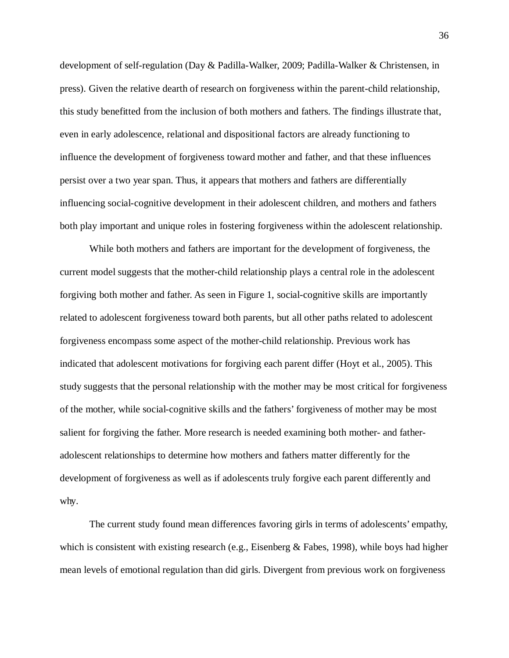development of self-regulation (Day & Padilla-Walker, 2009; Padilla-Walker & Christensen, in press). Given the relative dearth of research on forgiveness within the parent-child relationship, this study benefitted from the inclusion of both mothers and fathers. The findings illustrate that, even in early adolescence, relational and dispositional factors are already functioning to influence the development of forgiveness toward mother and father, and that these influences persist over a two year span. Thus, it appears that mothers and fathers are differentially influencing social-cognitive development in their adolescent children, and mothers and fathers both play important and unique roles in fostering forgiveness within the adolescent relationship.

While both mothers and fathers are important for the development of forgiveness, the current model suggests that the mother-child relationship plays a central role in the adolescent forgiving both mother and father. As seen in Figure 1, social-cognitive skills are importantly related to adolescent forgiveness toward both parents, but all other paths related to adolescent forgiveness encompass some aspect of the mother-child relationship. Previous work has indicated that adolescent motivations for forgiving each parent differ (Hoyt et al., 2005). This study suggests that the personal relationship with the mother may be most critical for forgiveness of the mother, while social-cognitive skills and the fathers' forgiveness of mother may be most salient for forgiving the father. More research is needed examining both mother- and fatheradolescent relationships to determine how mothers and fathers matter differently for the development of forgiveness as well as if adolescents truly forgive each parent differently and why.

The current study found mean differences favoring girls in terms of adolescents' empathy, which is consistent with existing research (e.g., Eisenberg & Fabes, 1998), while boys had higher mean levels of emotional regulation than did girls. Divergent from previous work on forgiveness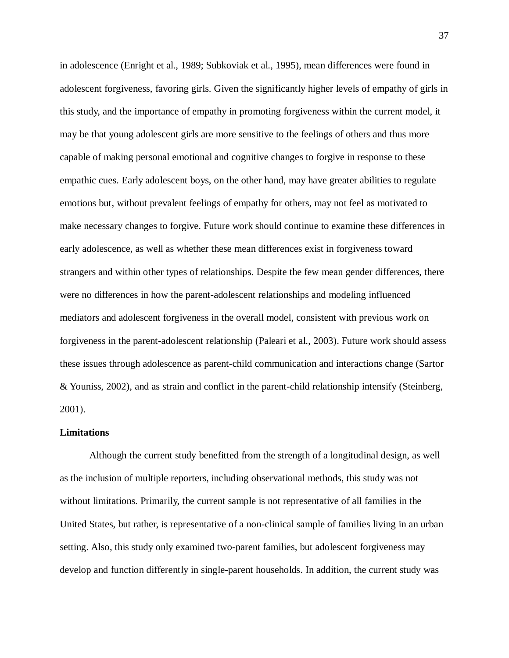in adolescence (Enright et al., 1989; Subkoviak et al., 1995), mean differences were found in adolescent forgiveness, favoring girls. Given the significantly higher levels of empathy of girls in this study, and the importance of empathy in promoting forgiveness within the current model, it may be that young adolescent girls are more sensitive to the feelings of others and thus more capable of making personal emotional and cognitive changes to forgive in response to these empathic cues. Early adolescent boys, on the other hand, may have greater abilities to regulate emotions but, without prevalent feelings of empathy for others, may not feel as motivated to make necessary changes to forgive. Future work should continue to examine these differences in early adolescence, as well as whether these mean differences exist in forgiveness toward strangers and within other types of relationships. Despite the few mean gender differences, there were no differences in how the parent-adolescent relationships and modeling influenced mediators and adolescent forgiveness in the overall model, consistent with previous work on forgiveness in the parent-adolescent relationship (Paleari et al., 2003). Future work should assess these issues through adolescence as parent-child communication and interactions change (Sartor & Youniss, 2002), and as strain and conflict in the parent-child relationship intensify (Steinberg, 2001).

#### **Limitations**

Although the current study benefitted from the strength of a longitudinal design, as well as the inclusion of multiple reporters, including observational methods, this study was not without limitations. Primarily, the current sample is not representative of all families in the United States, but rather, is representative of a non-clinical sample of families living in an urban setting. Also, this study only examined two-parent families, but adolescent forgiveness may develop and function differently in single-parent households. In addition, the current study was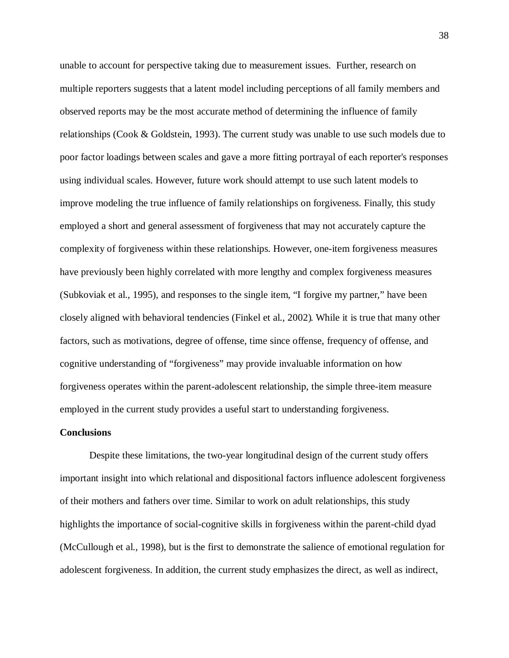unable to account for perspective taking due to measurement issues. Further, research on multiple reporters suggests that a latent model including perceptions of all family members and observed reports may be the most accurate method of determining the influence of family relationships (Cook & Goldstein, 1993). The current study was unable to use such models due to poor factor loadings between scales and gave a more fitting portrayal of each reporter's responses using individual scales. However, future work should attempt to use such latent models to improve modeling the true influence of family relationships on forgiveness. Finally, this study employed a short and general assessment of forgiveness that may not accurately capture the complexity of forgiveness within these relationships. However, one-item forgiveness measures have previously been highly correlated with more lengthy and complex forgiveness measures (Subkoviak et al., 1995), and responses to the single item, "I forgive my partner," have been closely aligned with behavioral tendencies (Finkel et al., 2002). While it is true that many other factors, such as motivations, degree of offense, time since offense, frequency of offense, and cognitive understanding of "forgiveness" may provide invaluable information on how forgiveness operates within the parent-adolescent relationship, the simple three-item measure employed in the current study provides a useful start to understanding forgiveness.

#### **Conclusions**

Despite these limitations, the two-year longitudinal design of the current study offers important insight into which relational and dispositional factors influence adolescent forgiveness of their mothers and fathers over time. Similar to work on adult relationships, this study highlights the importance of social-cognitive skills in forgiveness within the parent-child dyad (McCullough et al., 1998), but is the first to demonstrate the salience of emotional regulation for adolescent forgiveness. In addition, the current study emphasizes the direct, as well as indirect,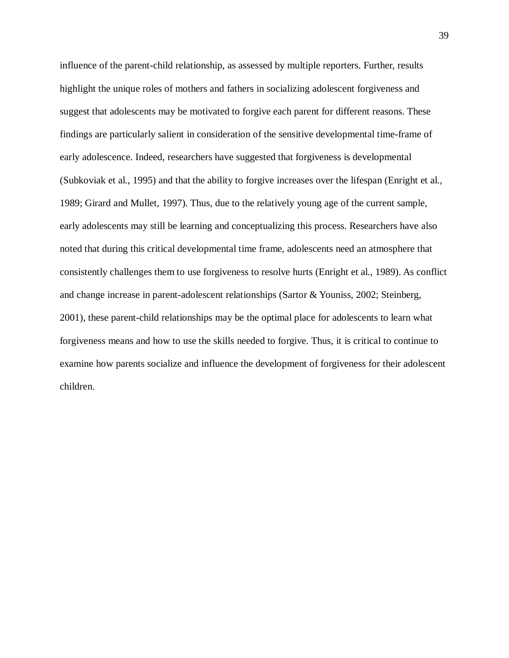influence of the parent-child relationship, as assessed by multiple reporters. Further, results highlight the unique roles of mothers and fathers in socializing adolescent forgiveness and suggest that adolescents may be motivated to forgive each parent for different reasons. These findings are particularly salient in consideration of the sensitive developmental time-frame of early adolescence. Indeed, researchers have suggested that forgiveness is developmental (Subkoviak et al., 1995) and that the ability to forgive increases over the lifespan (Enright et al., 1989; Girard and Mullet, 1997). Thus, due to the relatively young age of the current sample, early adolescents may still be learning and conceptualizing this process. Researchers have also noted that during this critical developmental time frame, adolescents need an atmosphere that consistently challenges them to use forgiveness to resolve hurts (Enright et al., 1989). As conflict and change increase in parent-adolescent relationships (Sartor & Youniss, 2002; Steinberg, 2001), these parent-child relationships may be the optimal place for adolescents to learn what forgiveness means and how to use the skills needed to forgive. Thus, it is critical to continue to examine how parents socialize and influence the development of forgiveness for their adolescent children.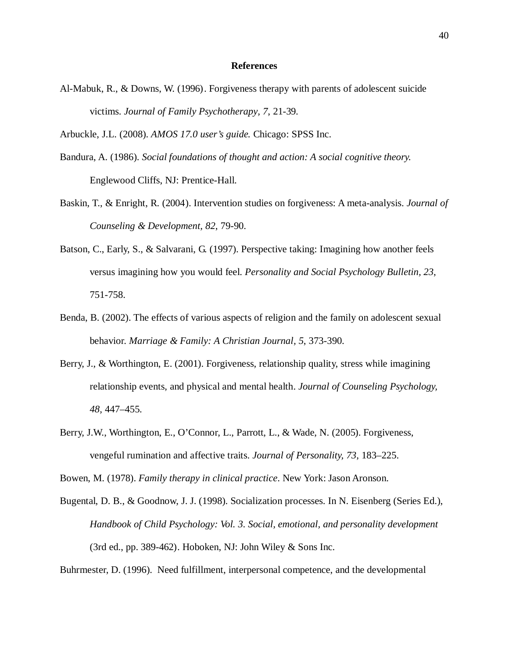#### **References**

- Al-Mabuk, R., & Downs, W. (1996). Forgiveness therapy with parents of adolescent suicide victims. *Journal of Family Psychotherapy, 7*, 21-39.
- Arbuckle, J.L. (2008). *AMOS 17.0 user's guide.* Chicago: SPSS Inc.
- Bandura, A. (1986). *Social foundations of thought and action: A social cognitive theory.*  Englewood Cliffs, NJ: Prentice-Hall.
- Baskin, T., & Enright, R. (2004). Intervention studies on forgiveness: A meta-analysis. *Journal of Counseling & Development, 82*, 79-90.
- Batson, C., Early, S., & Salvarani, G. (1997). Perspective taking: Imagining how another feels versus imagining how you would feel. *Personality and Social Psychology Bulletin, 23*, 751-758.
- Benda, B. (2002). The effects of various aspects of religion and the family on adolescent sexual behavior. *Marriage & Family: A Christian Journal, 5*, 373-390.
- Berry, J., & Worthington, E. (2001). Forgiveness, relationship quality, stress while imagining relationship events, and physical and mental health. *Journal of Counseling Psychology, 48,* 447–455.
- Berry, J.W., Worthington, E., O'Connor, L., Parrott, L., & Wade, N. (2005). Forgiveness, vengeful rumination and affective traits. *Journal of Personality, 73*, 183–225.

Bowen, M. (1978). *Family therapy in clinical practice*. New York: Jason Aronson.

Bugental, D. B., & Goodnow, J. J. (1998). Socialization processes. In N. Eisenberg (Series Ed.), *Handbook of Child Psychology: Vol. 3. Social, emotional, and personality development* (3rd ed., pp. 389-462). Hoboken, NJ: John Wiley  $&$  Sons Inc.

Buhrmester, D. (1996). Need fulfillment, interpersonal competence, and the developmental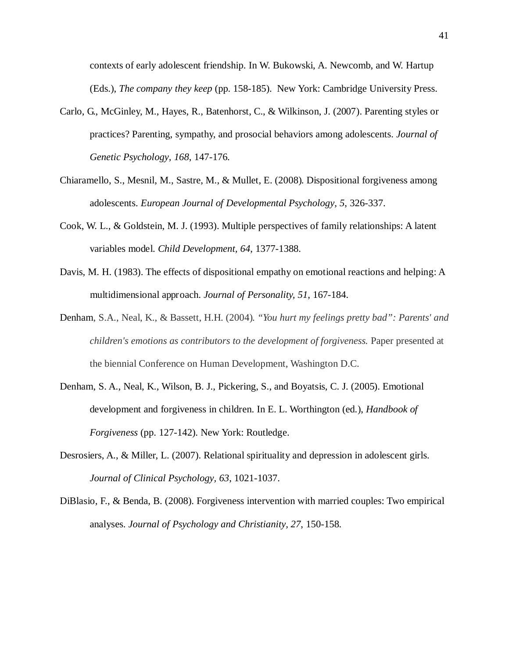contexts of early adolescent friendship. In W. Bukowski, A. Newcomb, and W. Hartup (Eds.), *The company they keep* (pp. 158-185). New York: Cambridge University Press.

- Carlo, G., McGinley, M., Hayes, R., Batenhorst, C., & Wilkinson, J. (2007). Parenting styles or practices? Parenting, sympathy, and prosocial behaviors among adolescents. *Journal of Genetic Psychology, 168*, 147-176.
- Chiaramello, S., Mesnil, M., Sastre, M., & Mullet, E. (2008). Dispositional forgiveness among adolescents. *European Journal of Developmental Psychology, 5*, 326-337.
- Cook, W. L., & Goldstein, M. J. (1993). Multiple perspectives of family relationships: A latent variables model. *Child Development, 64*, 1377-1388.
- Davis, M. H. (1983). The effects of dispositional empathy on emotional reactions and helping: A multidimensional approach. *Journal of Personality, 51*, 167-184.
- Denham, S.A., Neal, K., & Bassett, H.H. (2004). *"You hurt my feelings pretty bad": Parents' and children's emotions as contributors to the development of forgiveness.* Paper presented at the biennial Conference on Human Development, Washington D.C.
- Denham, S. A., Neal, K., Wilson, B. J., Pickering, S., and Boyatsis, C. J. (2005). Emotional development and forgiveness in children. In E. L. Worthington (ed.), *Handbook of Forgiveness* (pp. 127-142). New York: Routledge.
- Desrosiers, A., & Miller, L. (2007). Relational spirituality and depression in adolescent girls. *Journal of Clinical Psychology, 63*, 1021-1037.
- DiBlasio, F., & Benda, B. (2008). Forgiveness intervention with married couples: Two empirical analyses. *Journal of Psychology and Christianity, 27*, 150-158.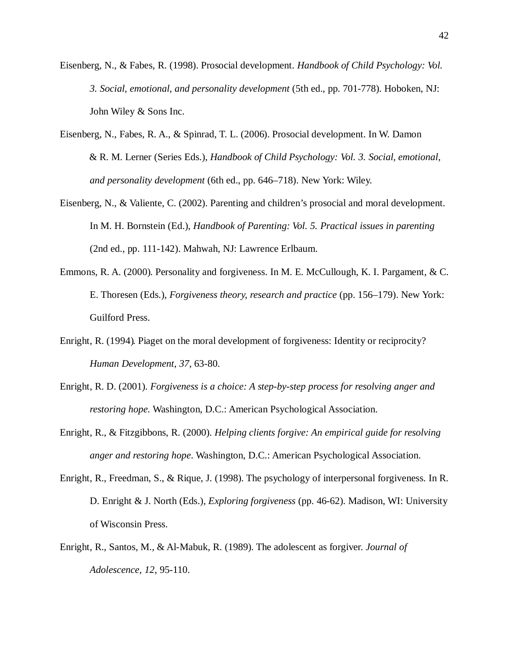- Eisenberg, N., & Fabes, R. (1998). Prosocial development. *Handbook of Child Psychology: Vol. 3. Social, emotional, and personality development* (5th ed., pp. 701-778). Hoboken, NJ: John Wiley & Sons Inc.
- Eisenberg, N., Fabes, R. A., & Spinrad, T. L. (2006). Prosocial development. In W. Damon & R. M. Lerner (Series Eds.), *Handbook of Child Psychology: Vol. 3. Social, emotional, and personality development* (6th ed., pp. 646–718). New York: Wiley.
- Eisenberg, N., & Valiente, C. (2002). Parenting and children's prosocial and moral development. In M. H. Bornstein (Ed.), *Handbook of Parenting: Vol. 5. Practical issues in parenting*  (2nd ed., pp. 111-142). Mahwah, NJ: Lawrence Erlbaum.
- Emmons, R. A. (2000). Personality and forgiveness. In M. E. McCullough, K. I. Pargament, & C. E. Thoresen (Eds.), *Forgiveness theory, research and practice* (pp. 156–179). New York: Guilford Press.
- Enright, R. (1994). Piaget on the moral development of forgiveness: Identity or reciprocity? *Human Development, 37*, 63-80.
- Enright, R. D. (2001). *Forgiveness is a choice: A step-by-step process for resolving anger and restoring hope.* Washington, D.C.: American Psychological Association.
- Enright, R., & Fitzgibbons, R. (2000). *Helping clients forgive: An empirical guide for resolving anger and restoring hope*. Washington, D.C.: American Psychological Association.
- Enright, R., Freedman, S., & Rique, J. (1998). The psychology of interpersonal forgiveness. In R. D. Enright & J. North (Eds.), *Exploring forgiveness* (pp. 46-62). Madison, WI: University of Wisconsin Press.
- Enright, R., Santos, M., & Al-Mabuk, R. (1989). The adolescent as forgiver. *Journal of Adolescence, 12*, 95-110.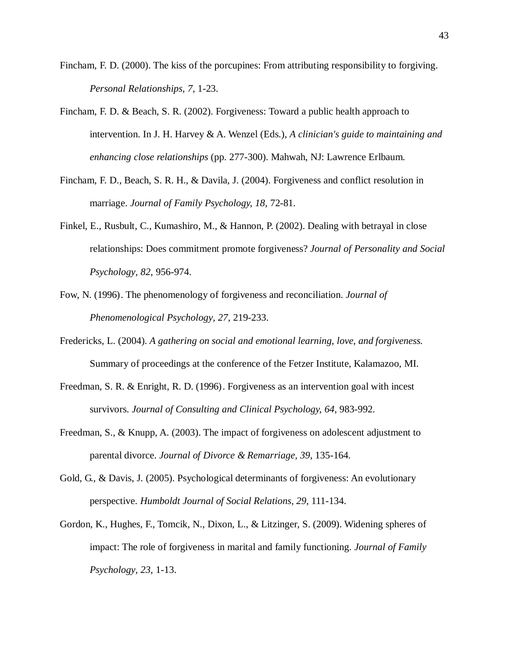- Fincham, F. D. (2000). The kiss of the porcupines: From attributing responsibility to forgiving. *Personal Relationships, 7*, 1-23.
- Fincham, F. D. & Beach, S. R. (2002). Forgiveness: Toward a public health approach to intervention. In J. H. Harvey & A. Wenzel (Eds.), *A clinician's guide to maintaining and enhancing close relationships* (pp. 277-300). Mahwah, NJ: Lawrence Erlbaum.
- Fincham, F. D., Beach, S. R. H., & Davila, J. (2004). Forgiveness and conflict resolution in marriage. *Journal of Family Psychology, 18*, 72-81.
- Finkel, E., Rusbult, C., Kumashiro, M., & Hannon, P. (2002). Dealing with betrayal in close relationships: Does commitment promote forgiveness? *Journal of Personality and Social Psychology, 82*, 956-974.
- Fow, N. (1996). The phenomenology of forgiveness and reconciliation. *Journal of Phenomenological Psychology, 27*, 219-233.
- Fredericks, L. (2004). *A gathering on social and emotional learning, love, and forgiveness.*  Summary of proceedings at the conference of the Fetzer Institute, Kalamazoo, MI.
- Freedman, S. R. & Enright, R. D. (1996). Forgiveness as an intervention goal with incest survivors. *Journal of Consulting and Clinical Psychology, 64*, 983-992.
- Freedman, S., & Knupp, A. (2003). The impact of forgiveness on adolescent adjustment to parental divorce. *Journal of Divorce & Remarriage, 39*, 135-164.
- Gold, G., & Davis, J. (2005). Psychological determinants of forgiveness: An evolutionary perspective. *Humboldt Journal of Social Relations, 29*, 111-134.
- Gordon, K., Hughes, F., Tomcik, N., Dixon, L., & Litzinger, S. (2009). Widening spheres of impact: The role of forgiveness in marital and family functioning. *Journal of Family Psychology, 23*, 1-13.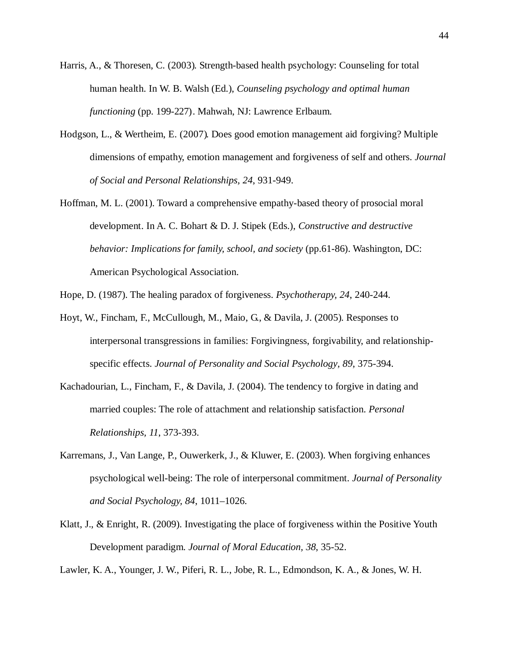- Harris, A., & Thoresen, C. (2003). Strength-based health psychology: Counseling for total human health. In W. B. Walsh (Ed.), *Counseling psychology and optimal human functioning* (pp. 199-227). Mahwah, NJ: Lawrence Erlbaum.
- Hodgson, L., & Wertheim, E. (2007). Does good emotion management aid forgiving? Multiple dimensions of empathy, emotion management and forgiveness of self and others. *Journal of Social and Personal Relationships, 24*, 931-949.
- Hoffman, M. L. (2001). Toward a comprehensive empathy-based theory of prosocial moral development. In A. C. Bohart & D. J. Stipek (Eds.), *Constructive and destructive behavior: Implications for family, school, and society* (pp.61-86). Washington, DC: American Psychological Association.
- Hope, D. (1987). The healing paradox of forgiveness. *Psychotherapy, 24*, 240-244.
- Hoyt, W., Fincham, F., McCullough, M., Maio, G., & Davila, J. (2005). Responses to interpersonal transgressions in families: Forgivingness, forgivability, and relationshipspecific effects. *Journal of Personality and Social Psychology, 89*, 375-394.
- Kachadourian, L., Fincham, F., & Davila, J. (2004). The tendency to forgive in dating and married couples: The role of attachment and relationship satisfaction. *Personal Relationships, 11*, 373-393.
- Karremans, J., Van Lange, P., Ouwerkerk, J., & Kluwer, E. (2003). When forgiving enhances psychological well-being: The role of interpersonal commitment. *Journal of Personality and Social Psychology, 84*, 1011–1026.
- Klatt, J., & Enright, R. (2009). Investigating the place of forgiveness within the Positive Youth Development paradigm. *Journal of Moral Education, 38*, 35-52.

Lawler, K. A., Younger, J. W., Piferi, R. L., Jobe, R. L., Edmondson, K. A., & Jones, W. H.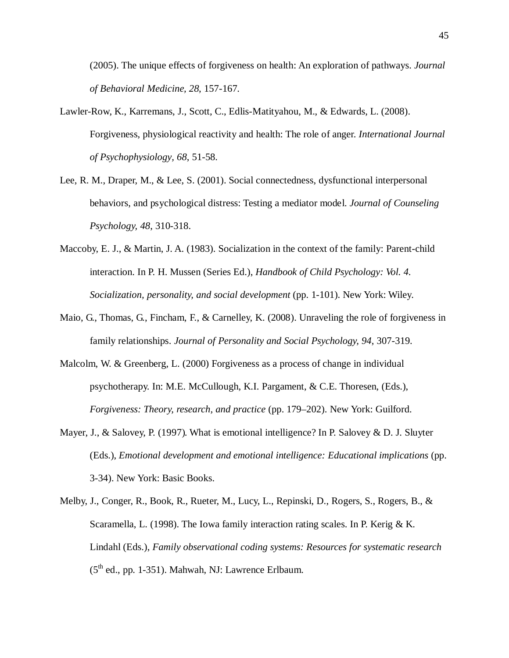(2005). The unique effects of forgiveness on health: An exploration of pathways. *Journal of Behavioral Medicine, 28*, 157-167.

- Lawler-Row, K., Karremans, J., Scott, C., Edlis-Matityahou, M., & Edwards, L. (2008). Forgiveness, physiological reactivity and health: The role of anger. *International Journal of Psychophysiology, 68*, 51-58.
- Lee, R. M., Draper, M., & Lee, S. (2001). Social connectedness, dysfunctional interpersonal behaviors, and psychological distress: Testing a mediator model. *Journal of Counseling Psychology, 48*, 310-318.
- Maccoby, E. J., & Martin, J. A. (1983). Socialization in the context of the family: Parent-child interaction. In P. H. Mussen (Series Ed.), *Handbook of Child Psychology: Vol. 4. Socialization, personality, and social development* (pp. 1-101). New York: Wiley.
- Maio, G., Thomas, G., Fincham, F., & Carnelley, K. (2008). Unraveling the role of forgiveness in family relationships. *Journal of Personality and Social Psychology, 94*, 307-319.
- Malcolm, W. & Greenberg, L. (2000) Forgiveness as a process of change in individual psychotherapy. In: M.E. McCullough, K.I. Pargament, & C.E. Thoresen, (Eds.), *Forgiveness: Theory, research, and practice* (pp. 179–202). New York: Guilford.
- Mayer, J., & Salovey, P. (1997). What is emotional intelligence? In P. Salovey & D. J. Sluyter (Eds.), *Emotional development and emotional intelligence: Educational implications* (pp. 3-34). New York: Basic Books.
- Melby, J., Conger, R., Book, R., Rueter, M., Lucy, L., Repinski, D., Rogers, S., Rogers, B., & Scaramella, L. (1998). The Iowa family interaction rating scales. In P. Kerig  $\& K$ . Lindahl (Eds.), *Family observational coding systems: Resources for systematic research*   $(5<sup>th</sup>$  ed., pp. 1-351). Mahwah, NJ: Lawrence Erlbaum.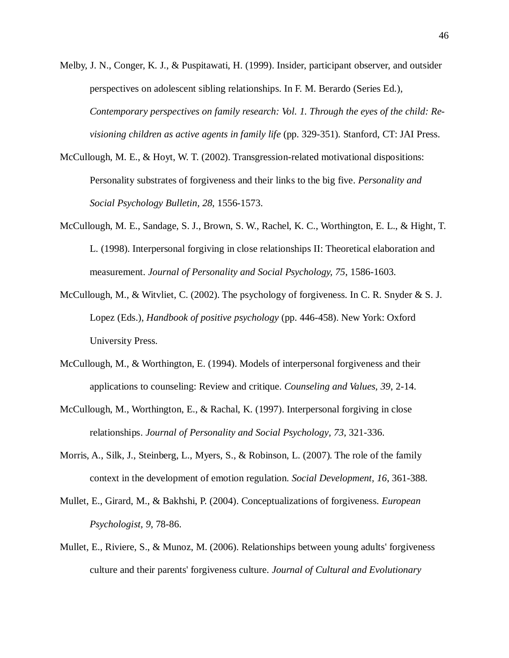- Melby, J. N., Conger, K. J., & Puspitawati, H. (1999). Insider, participant observer, and outsider perspectives on adolescent sibling relationships. In F. M. Berardo (Series Ed.), *Contemporary perspectives on family research: Vol. 1. Through the eyes of the child: Revisioning children as active agents in family life* (pp. 329-351)*.* Stanford, CT: JAI Press.
- McCullough, M. E., & Hoyt, W. T. (2002). Transgression-related motivational dispositions: Personality substrates of forgiveness and their links to the big five. *Personality and Social Psychology Bulletin, 28*, 1556-1573.
- McCullough, M. E., Sandage, S. J., Brown, S. W., Rachel, K. C., Worthington, E. L., & Hight, T. L. (1998). Interpersonal forgiving in close relationships II: Theoretical elaboration and measurement. *Journal of Personality and Social Psychology, 75*, 1586-1603.
- McCullough, M., & Witvliet, C. (2002). The psychology of forgiveness. In C. R. Snyder & S. J. Lopez (Eds.), *Handbook of positive psychology* (pp. 446-458). New York: Oxford University Press.
- McCullough, M., & Worthington, E. (1994). Models of interpersonal forgiveness and their applications to counseling: Review and critique. *Counseling and Values, 39*, 2-14.
- McCullough, M., Worthington, E., & Rachal, K. (1997). Interpersonal forgiving in close relationships. *Journal of Personality and Social Psychology, 73*, 321-336.
- Morris, A., Silk, J., Steinberg, L., Myers, S., & Robinson, L. (2007). The role of the family context in the development of emotion regulation. *Social Development, 16*, 361-388.
- Mullet, E., Girard, M., & Bakhshi, P. (2004). Conceptualizations of forgiveness. *European Psychologist, 9*, 78-86.
- Mullet, E., Riviere, S., & Munoz, M. (2006). Relationships between young adults' forgiveness culture and their parents' forgiveness culture. *Journal of Cultural and Evolutionary*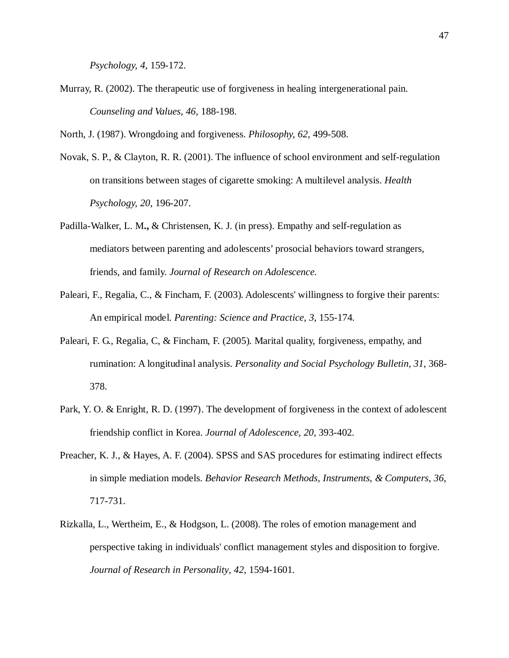*Psychology, 4*, 159-172.

Murray, R. (2002). The therapeutic use of forgiveness in healing intergenerational pain. *Counseling and Values, 46*, 188-198.

North, J. (1987). Wrongdoing and forgiveness. *Philosophy, 62*, 499-508.

- Novak, S. P., & Clayton, R. R. (2001). The influence of school environment and self-regulation on transitions between stages of cigarette smoking: A multilevel analysis. *Health Psychology, 20*, 196-207.
- Padilla-Walker, L. M**.,** & Christensen, K. J. (in press). Empathy and self-regulation as mediators between parenting and adolescents' prosocial behaviors toward strangers, friends, and family. *Journal of Research on Adolescence.*
- Paleari, F., Regalia, C., & Fincham, F. (2003). Adolescents' willingness to forgive their parents: An empirical model. *Parenting: Science and Practice, 3*, 155-174.
- Paleari, F. G., Regalia, C, & Fincham, F. (2005). Marital quality, forgiveness, empathy, and rumination: A longitudinal analysis. *Personality and Social Psychology Bulletin, 31*, 368- 378.
- Park, Y. O. & Enright, R. D. (1997). The development of forgiveness in the context of adolescent friendship conflict in Korea. *Journal of Adolescence, 20*, 393-402.
- Preacher, K. J., & Hayes, A. F. (2004). SPSS and SAS procedures for estimating indirect effects in simple mediation models. *Behavior Research Methods, Instruments, & Computers*, *36*, 717-731.
- Rizkalla, L., Wertheim, E., & Hodgson, L. (2008). The roles of emotion management and perspective taking in individuals' conflict management styles and disposition to forgive. *Journal of Research in Personality, 42*, 1594-1601.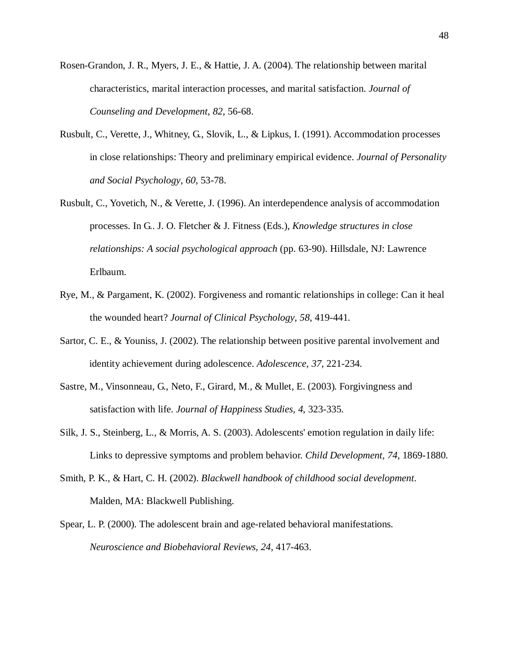- Rosen-Grandon, J. R., Myers, J. E., & Hattie, J. A. (2004). The relationship between marital characteristics, marital interaction processes, and marital satisfaction. *Journal of Counseling and Development, 82*, 56-68.
- Rusbult, C., Verette, J., Whitney, G., Slovik, L., & Lipkus, I. (1991). Accommodation processes in close relationships: Theory and preliminary empirical evidence. *Journal of Personality and Social Psychology, 60*, 53-78.
- Rusbult, C., Yovetich, N., & Verette, J. (1996). An interdependence analysis of accommodation processes. In G.. J. O. Fletcher & J. Fitness (Eds.), *Knowledge structures in close relationships: A social psychological approach* (pp. 63-90). Hillsdale, NJ: Lawrence Erlbaum.
- Rye, M., & Pargament, K. (2002). Forgiveness and romantic relationships in college: Can it heal the wounded heart? *Journal of Clinical Psychology, 58*, 419-441.
- Sartor, C. E., & Youniss, J. (2002). The relationship between positive parental involvement and identity achievement during adolescence. *Adolescence, 37*, 221-234.
- Sastre, M., Vinsonneau, G., Neto, F., Girard, M., & Mullet, E. (2003). Forgivingness and satisfaction with life. *Journal of Happiness Studies, 4*, 323-335.
- Silk, J. S., Steinberg, L., & Morris, A. S. (2003). Adolescents' emotion regulation in daily life: Links to depressive symptoms and problem behavior. *Child Development, 74*, 1869-1880.
- Smith, P. K., & Hart, C. H. (2002). *Blackwell handbook of childhood social development*. Malden, MA: Blackwell Publishing.
- Spear, L. P. (2000). The adolescent brain and age-related behavioral manifestations. *Neuroscience and Biobehavioral Reviews, 24*, 417-463.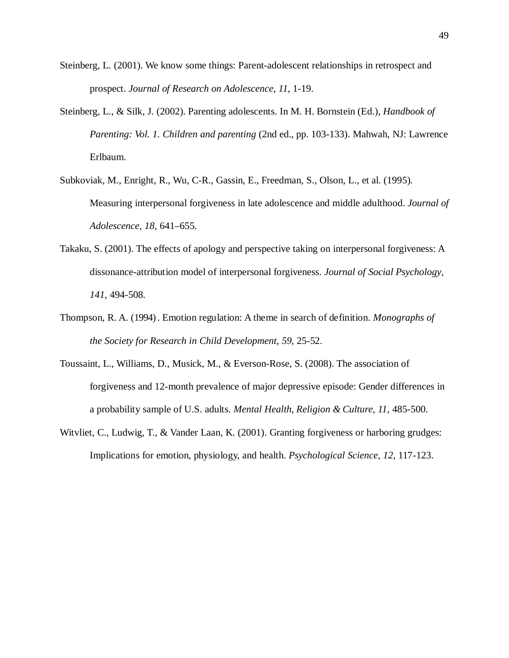- Steinberg, L. (2001). We know some things: Parent-adolescent relationships in retrospect and prospect. *Journal of Research on Adolescence, 11*, 1-19.
- Steinberg, L., & Silk, J. (2002). Parenting adolescents. In M. H. Bornstein (Ed.), *Handbook of Parenting: Vol. 1. Children and parenting* (2nd ed., pp. 103-133). Mahwah, NJ: Lawrence Erlbaum.
- Subkoviak, M., Enright, R., Wu, C-R., Gassin, E., Freedman, S., Olson, L., et al. (1995). Measuring interpersonal forgiveness in late adolescence and middle adulthood. *Journal of Adolescence, 18*, 641–655.
- Takaku, S. (2001). The effects of apology and perspective taking on interpersonal forgiveness: A dissonance-attribution model of interpersonal forgiveness. *Journal of Social Psychology, 141*, 494-508.
- Thompson, R. A. (1994) . Emotion regulation: A theme in search of definition. *Monographs of the Society for Research in Child Development, 59*, 25-52.
- Toussaint, L., Williams, D., Musick, M., & Everson-Rose, S. (2008). The association of forgiveness and 12-month prevalence of major depressive episode: Gender differences in a probability sample of U.S. adults. *Mental Health, Religion & Culture, 11*, 485-500.
- Witvliet, C., Ludwig, T., & Vander Laan, K. (2001). Granting forgiveness or harboring grudges: Implications for emotion, physiology, and health. *Psychological Science, 12*, 117-123.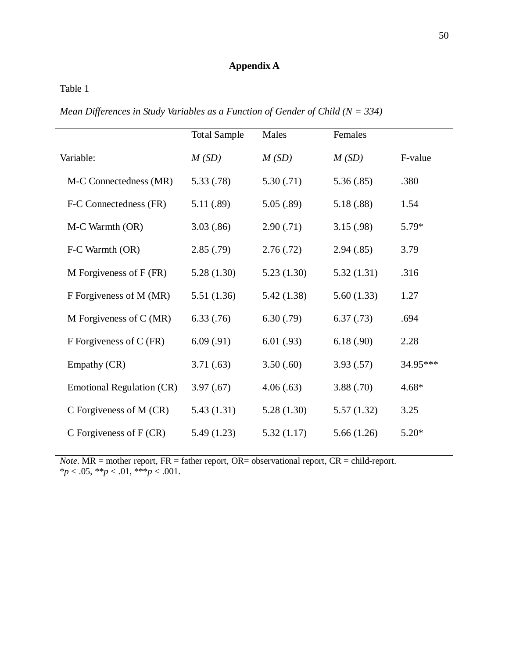# **Appendix A**

Table 1

*Mean Differences in Study Variables as a Function of Gender of Child (N = 334)*

|                                  | <b>Total Sample</b> | Males      | Females    |          |
|----------------------------------|---------------------|------------|------------|----------|
| Variable:                        | M(SD)               | M(SD)      | M(SD)      | F-value  |
| M-C Connectedness (MR)           | 5.33(.78)           | 5.30(.71)  | 5.36(.85)  | .380     |
| F-C Connectedness (FR)           | 5.11 (.89)          | 5.05(.89)  | 5.18(.88)  | 1.54     |
| M-C Warmth (OR)                  | 3.03(.86)           | 2.90(.71)  | 3.15(.98)  | $5.79*$  |
| F-C Warmth (OR)                  | 2.85(.79)           | 2.76(.72)  | 2.94(.85)  | 3.79     |
| M Forgiveness of $F$ (FR)        | 5.28(1.30)          | 5.23(1.30) | 5.32(1.31) | .316     |
| F Forgiveness of M (MR)          | 5.51(1.36)          | 5.42(1.38) | 5.60(1.33) | 1.27     |
| M Forgiveness of $C(MR)$         | 6.33(.76)           | 6.30(.79)  | 6.37(0.73) | .694     |
| F Forgiveness of C (FR)          | 6.09(.91)           | 6.01(.93)  | 6.18(.90)  | 2.28     |
| Empathy (CR)                     | 3.71(.63)           | 3.50(.60)  | 3.93(.57)  | 34.95*** |
| <b>Emotional Regulation (CR)</b> | 3.97(0.67)          | 4.06(.63)  | 3.88(.70)  | $4.68*$  |
| C Forgiveness of M (CR)          | 5.43(1.31)          | 5.28(1.30) | 5.57(1.32) | 3.25     |
| C Forgiveness of $F(CR)$         | 5.49(1.23)          | 5.32(1.17) | 5.66(1.26) | $5.20*$  |

*Note*. MR = mother report, FR = father report, OR= observational report, CR = child-report. \**p* < .05, \*\**p* < .01, \*\*\**p* < .001.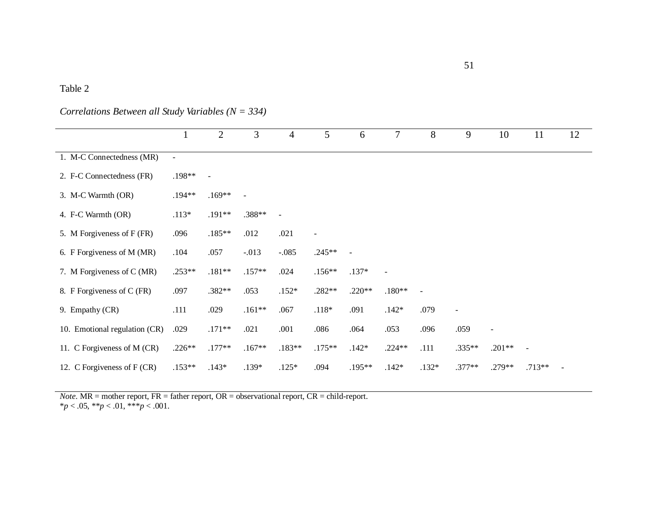# Table 2

# *Correlations Between all Study Variables (N = 334)*

|                               |                | $\overline{2}$           | 3                        | $\overline{4}$       | 5                        | 6              | 7                        | 8                        | 9              | 10             | 11                       | 12 |
|-------------------------------|----------------|--------------------------|--------------------------|----------------------|--------------------------|----------------|--------------------------|--------------------------|----------------|----------------|--------------------------|----|
| 1. M-C Connectedness (MR)     | $\blacksquare$ |                          |                          |                      |                          |                |                          |                          |                |                |                          |    |
| 2. F-C Connectedness (FR)     | .198**         | $\overline{\phantom{a}}$ |                          |                      |                          |                |                          |                          |                |                |                          |    |
| 3. M-C Warmth (OR)            | .194**         | $.169**$                 | $\overline{\phantom{a}}$ |                      |                          |                |                          |                          |                |                |                          |    |
| 4. F-C Warmth (OR)            | $.113*$        | .191**                   | .388**                   | $\ddot{\phantom{1}}$ |                          |                |                          |                          |                |                |                          |    |
| 5. M Forgiveness of F (FR)    | .096           | $.185**$                 | .012                     | .021                 | $\overline{\phantom{0}}$ |                |                          |                          |                |                |                          |    |
| 6. F Forgiveness of M (MR)    | .104           | .057                     | $-.013$                  | $-.085$              | $.245**$                 | $\blacksquare$ |                          |                          |                |                |                          |    |
| 7. M Forgiveness of C (MR)    | .253**         | $.181**$                 | $.157**$                 | .024                 | $.156**$                 | $.137*$        | $\overline{\phantom{a}}$ |                          |                |                |                          |    |
| 8. F Forgiveness of C (FR)    | .097           | .382**                   | .053                     | $.152*$              | $.282**$                 | $.220**$       | $.180**$                 | $\overline{\phantom{a}}$ |                |                |                          |    |
| 9. Empathy (CR)               | .111           | .029                     | $.161**$                 | .067                 | $.118*$                  | .091           | $.142*$                  | .079                     | $\blacksquare$ |                |                          |    |
| 10. Emotional regulation (CR) | .029           | $.171**$                 | .021                     | .001                 | .086                     | .064           | .053                     | .096                     | .059           | $\blacksquare$ |                          |    |
| 11. C Forgiveness of M (CR)   | $.226**$       | $.177**$                 | $.167**$                 | $.183**$             | $.175**$                 | $.142*$        | $.224**$                 | .111                     | .335**         | $.201**$       | $\overline{\phantom{a}}$ |    |
| 12. C Forgiveness of F (CR)   | $.153**$       | $.143*$                  | .139*                    | $.125*$              | .094                     | .195**         | $.142*$                  | $.132*$                  | .377**         | .279**         | $.713**$                 |    |

*Note*. MR = mother report, FR = father report, OR = observational report, CR = child-report.  $**p* < .05, ***p* < .01, ***p* < .001.$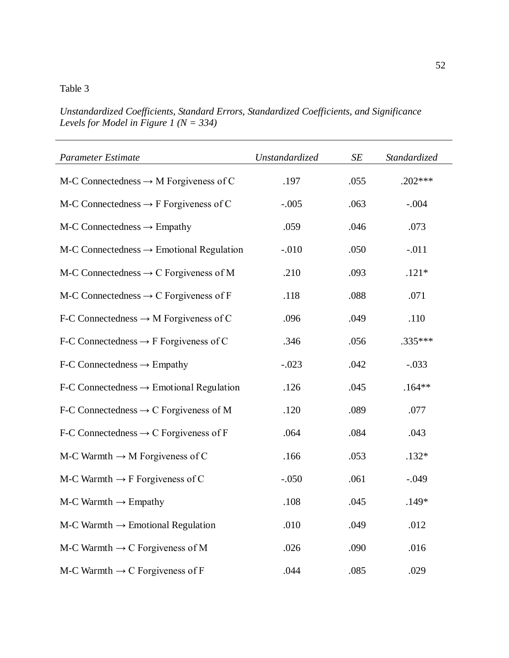*Unstandardized Coefficients, Standard Errors, Standardized Coefficients, and Significance Levels for Model in Figure 1 (N = 334)* 

| <b>Parameter Estimate</b>                              | Unstandardized | $\cal SE$ | Standardized |
|--------------------------------------------------------|----------------|-----------|--------------|
| $M-C$ Connectedness $\rightarrow$ M Forgiveness of C   | .197           | .055      | $.202***$    |
| M-C Connectedness $\rightarrow$ F Forgiveness of C     | $-.005$        | .063      | $-.004$      |
| $M-C$ Connectedness $\rightarrow$ Empathy              | .059           | .046      | .073         |
| $M-C$ Connectedness $\rightarrow$ Emotional Regulation | $-.010$        | .050      | $-.011$      |
| M-C Connectedness $\rightarrow$ C Forgiveness of M     | .210           | .093      | $.121*$      |
| M-C Connectedness $\rightarrow$ C Forgiveness of F     | .118           | .088      | .071         |
| F-C Connectedness $\rightarrow$ M Forgiveness of C     | .096           | .049      | .110         |
| F-C Connectedness $\rightarrow$ F Forgiveness of C     | .346           | .056      | .335***      |
| $F-C$ Connectedness $\rightarrow$ Empathy              | $-.023$        | .042      | $-.033$      |
| $F-C$ Connectedness $\rightarrow$ Emotional Regulation | .126           | .045      | $.164**$     |
| F-C Connectedness $\rightarrow$ C Forgiveness of M     | .120           | .089      | .077         |
| F-C Connectedness $\rightarrow$ C Forgiveness of F     | .064           | .084      | .043         |
| M-C Warmth $\rightarrow$ M Forgiveness of C            | .166           | .053      | $.132*$      |
| M-C Warmth $\rightarrow$ F Forgiveness of C            | $-.050$        | .061      | $-.049$      |
| $M-C$ Warmth $\rightarrow$ Empathy                     | .108           | .045      | .149*        |
| $M-C$ Warmth $\rightarrow$ Emotional Regulation        | .010           | .049      | .012         |
| M-C Warmth $\rightarrow$ C Forgiveness of M            | .026           | .090      | .016         |
| M-C Warmth $\rightarrow$ C Forgiveness of F            | .044           | .085      | .029         |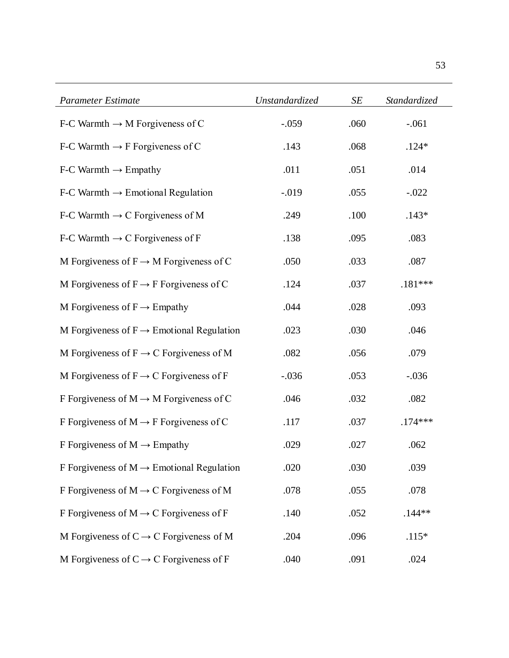| <b>Parameter Estimate</b>                             | <b>Unstandardized</b> | SE   | Standardized |
|-------------------------------------------------------|-----------------------|------|--------------|
| F-C Warmth $\rightarrow$ M Forgiveness of C           | $-.059$               | .060 | $-.061$      |
| F-C Warmth $\rightarrow$ F Forgiveness of C           | .143                  | .068 | $.124*$      |
| $F-C$ Warmth $\rightarrow$ Empathy                    | .011                  | .051 | .014         |
| $F-C$ Warmth $\rightarrow$ Emotional Regulation       | $-.019$               | .055 | $-.022$      |
| F-C Warmth $\rightarrow$ C Forgiveness of M           | .249                  | .100 | $.143*$      |
| F-C Warmth $\rightarrow$ C Forgiveness of F           | .138                  | .095 | .083         |
| M Forgiveness of $F \rightarrow M$ Forgiveness of C   | .050                  | .033 | .087         |
| M Forgiveness of $F \rightarrow F$ Forgiveness of C   | .124                  | .037 | $.181***$    |
| M Forgiveness of $F \rightarrow$ Empathy              | .044                  | .028 | .093         |
| M Forgiveness of $F \rightarrow$ Emotional Regulation | .023                  | .030 | .046         |
| M Forgiveness of $F \to C$ Forgiveness of M           | .082                  | .056 | .079         |
| M Forgiveness of $F \rightarrow C$ Forgiveness of F   | $-.036$               | .053 | $-.036$      |
| F Forgiveness of $M \rightarrow M$ Forgiveness of C   | .046                  | .032 | .082         |
| F Forgiveness of $M \rightarrow F$ Forgiveness of C   | .117                  | .037 | $.174***$    |
| F Forgiveness of $M \rightarrow$ Empathy              | .029                  | .027 | .062         |
| F Forgiveness of $M \rightarrow$ Emotional Regulation | .020                  | .030 | .039         |
| F Forgiveness of $M \rightarrow C$ Forgiveness of M   | .078                  | .055 | .078         |
| F Forgiveness of $M \rightarrow C$ Forgiveness of F   | .140                  | .052 | $.144**$     |
| M Forgiveness of $C \rightarrow C$ Forgiveness of M   | .204                  | .096 | $.115*$      |
| M Forgiveness of $C \rightarrow C$ Forgiveness of F   | .040                  | .091 | .024         |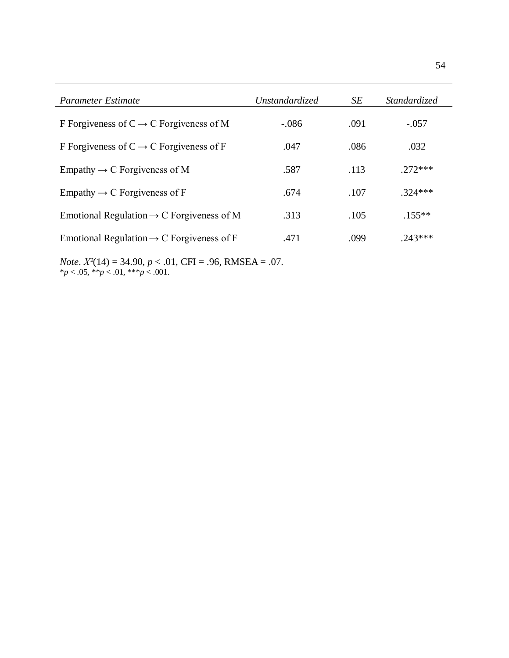| Parameter Estimate                                    | Unstandardized | SE   | <i>Standardized</i> |
|-------------------------------------------------------|----------------|------|---------------------|
| F Forgiveness of $C \rightarrow C$ Forgiveness of M   | $-.086$        | .091 | $-.057$             |
| F Forgiveness of $C \rightarrow C$ Forgiveness of F   | .047           | .086 | .032                |
| Empathy $\rightarrow$ C Forgiveness of M              | .587           | .113 | $272***$            |
| Empathy $\rightarrow$ C Forgiveness of F              | .674           | .107 | $.324***$           |
| Emotional Regulation $\rightarrow$ C Forgiveness of M | .313           | .105 | $.155***$           |
| Emotional Regulation $\rightarrow$ C Forgiveness of F | .471           | .099 | $243***$            |

54

*Note*. *Χ²*(14) = 34.90, *p* < .01, CFI = .96, RMSEA = .07. \**p* < .05, \*\**p* < .01, \*\*\**p* < .001.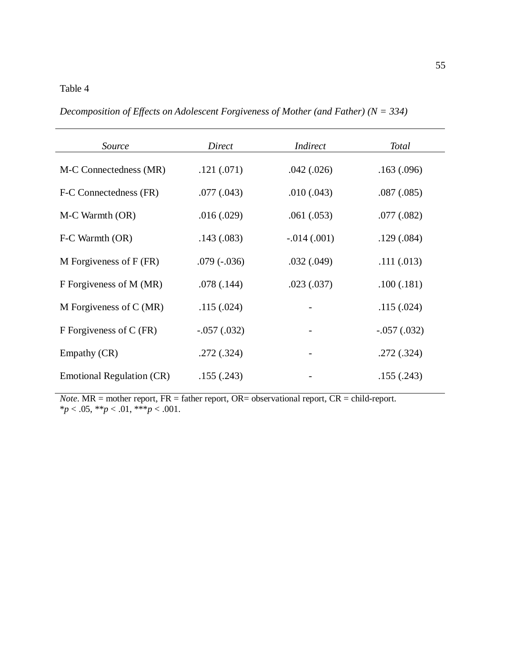# Table 4

*Decomposition of Effects on Adolescent Forgiveness of Mother (and Father) (N = 334)*

| Source                    | Direct        | <i>Indirect</i> | <b>Total</b>  |
|---------------------------|---------------|-----------------|---------------|
| M-C Connectedness (MR)    | .121(.071)    | .042(.026)      | .163(.096)    |
| F-C Connectedness (FR)    | .077(.043)    | .010(.043)      | .087(.085)    |
| M-C Warmth (OR)           | .016(.029)    | .061(.053)      | .077(.082)    |
| F-C Warmth (OR)           | .143(.083)    | $-.014(.001)$   | .129(.084)    |
| M Forgiveness of $F$ (FR) | $.079(-.036)$ | .032(.049)      | .111(.013)    |
| F Forgiveness of M (MR)   | .078(.144)    | .023(.037)      | .100(.181)    |
| M Forgiveness of $C(MR)$  | .115(.024)    |                 | .115(.024)    |
| F Forgiveness of C (FR)   | $-.057(.032)$ |                 | $-.057(.032)$ |
| Empathy (CR)              | .272(.324)    |                 | .272(.324)    |
| Emotional Regulation (CR) | .155(.243)    |                 | .155(.243)    |

*Note*. MR = mother report, FR = father report, OR= observational report, CR = child-report. \**p* < .05, \*\**p* < .01, \*\*\**p* < .001.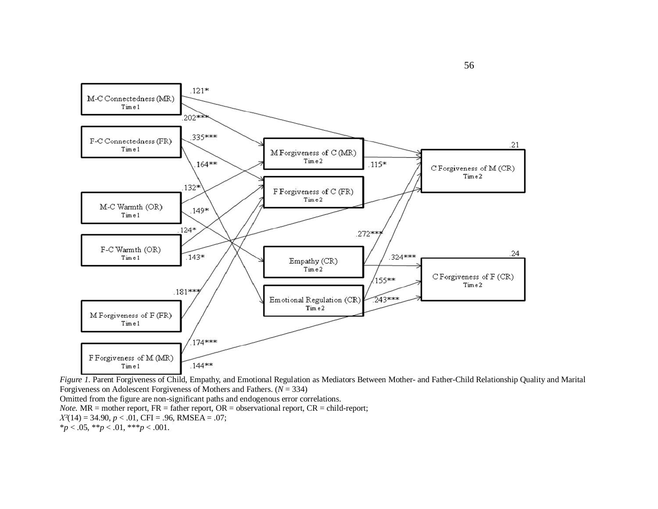

*Figure 1*. Parent Forgiveness of Child, Empathy, and Emotional Regulation as Mediators Between Mother- and Father-Child Relationship Quality and Marital Forgiveness on Adolescent Forgiveness of Mothers and Fathers. (*N* = 334)

Omitted from the figure are non-significant paths and endogenous error correlations.

*Note.* MR = mother report, FR = father report, OR = observational report, CR = child-report;

*Χ²*(14) = 34.90, *p* < .01, CFI = .96, RMSEA = .07;

\**p* < .05, \*\**p* < .01, \*\*\**p* < .001.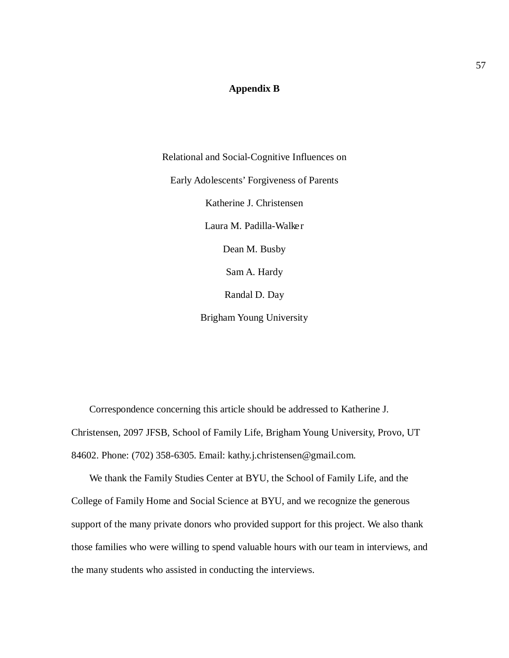# **Appendix B**

Relational and Social-Cognitive Influences on Early Adolescents' Forgiveness of Parents Katherine J. Christensen Laura M. Padilla-Walker Dean M. Busby Sam A. Hardy Randal D. Day

Brigham Young University

Correspondence concerning this article should be addressed to Katherine J. Christensen, 2097 JFSB, School of Family Life, Brigham Young University, Provo, UT 84602. Phone: (702) 358-6305. Email: kathy.j.christensen@gmail.com.

We thank the Family Studies Center at BYU, the School of Family Life, and the College of Family Home and Social Science at BYU, and we recognize the generous support of the many private donors who provided support for this project. We also thank those families who were willing to spend valuable hours with our team in interviews, and the many students who assisted in conducting the interviews.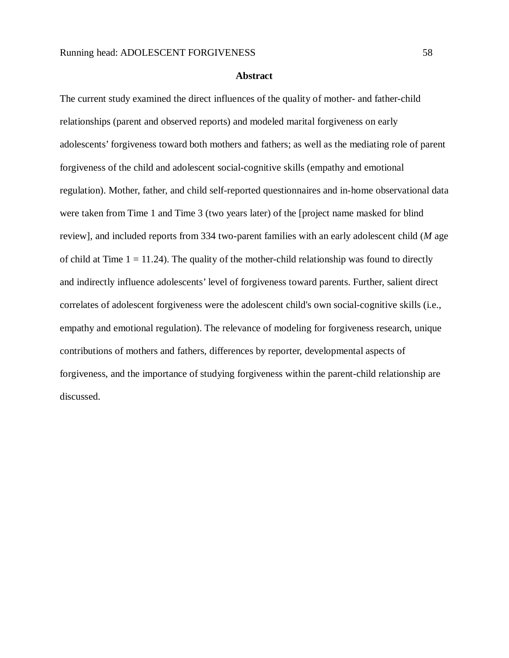#### **Abstract**

The current study examined the direct influences of the quality of mother- and father-child relationships (parent and observed reports) and modeled marital forgiveness on early adolescents' forgiveness toward both mothers and fathers; as well as the mediating role of parent forgiveness of the child and adolescent social-cognitive skills (empathy and emotional regulation). Mother, father, and child self-reported questionnaires and in-home observational data were taken from Time 1 and Time 3 (two years later) of the [project name masked for blind review]*,* and included reports from 334 two-parent families with an early adolescent child (*M* age of child at Time  $1 = 11.24$ ). The quality of the mother-child relationship was found to directly and indirectly influence adolescents' level of forgiveness toward parents. Further, salient direct correlates of adolescent forgiveness were the adolescent child's own social-cognitive skills (i.e., empathy and emotional regulation). The relevance of modeling for forgiveness research, unique contributions of mothers and fathers, differences by reporter, developmental aspects of forgiveness, and the importance of studying forgiveness within the parent-child relationship are discussed.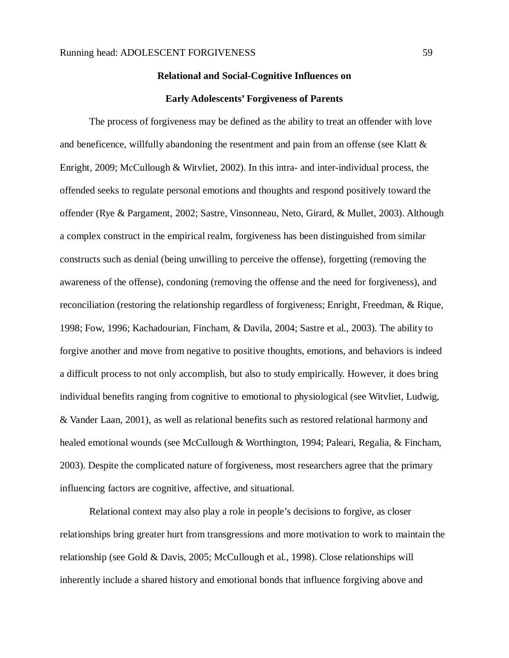#### **Relational and Social-Cognitive Influences on**

#### **Early Adolescents' Forgiveness of Parents**

The process of forgiveness may be defined as the ability to treat an offender with love and beneficence, willfully abandoning the resentment and pain from an offense (see Klatt  $\&$ Enright, 2009; McCullough & Witvliet, 2002). In this intra- and inter-individual process, the offended seeks to regulate personal emotions and thoughts and respond positively toward the offender (Rye & Pargament, 2002; Sastre, Vinsonneau, Neto, Girard, & Mullet, 2003). Although a complex construct in the empirical realm, forgiveness has been distinguished from similar constructs such as denial (being unwilling to perceive the offense), forgetting (removing the awareness of the offense), condoning (removing the offense and the need for forgiveness), and reconciliation (restoring the relationship regardless of forgiveness; Enright, Freedman, & Rique, 1998; Fow, 1996; Kachadourian, Fincham, & Davila, 2004; Sastre et al., 2003). The ability to forgive another and move from negative to positive thoughts, emotions, and behaviors is indeed a difficult process to not only accomplish, but also to study empirically. However, it does bring individual benefits ranging from cognitive to emotional to physiological (see Witvliet, Ludwig, & Vander Laan, 2001), as well as relational benefits such as restored relational harmony and healed emotional wounds (see McCullough & Worthington, 1994; Paleari, Regalia, & Fincham, 2003). Despite the complicated nature of forgiveness, most researchers agree that the primary influencing factors are cognitive, affective, and situational.

Relational context may also play a role in people's decisions to forgive, as closer relationships bring greater hurt from transgressions and more motivation to work to maintain the relationship (see Gold & Davis, 2005; McCullough et al., 1998). Close relationships will inherently include a shared history and emotional bonds that influence forgiving above and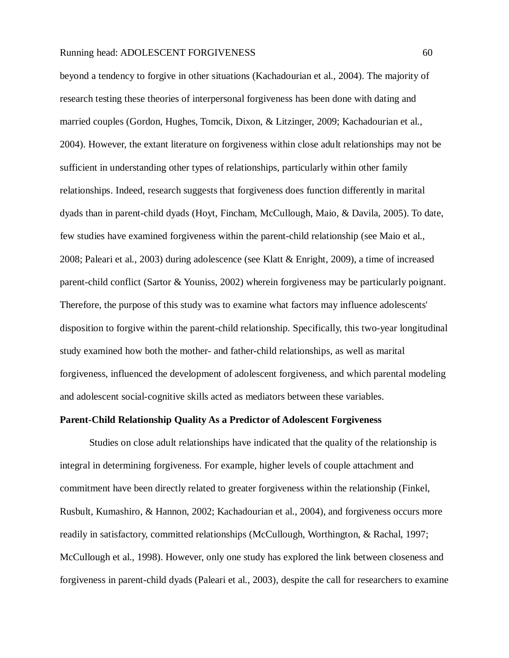beyond a tendency to forgive in other situations (Kachadourian et al., 2004). The majority of research testing these theories of interpersonal forgiveness has been done with dating and married couples (Gordon, Hughes, Tomcik, Dixon, & Litzinger, 2009; Kachadourian et al., 2004). However, the extant literature on forgiveness within close adult relationships may not be sufficient in understanding other types of relationships, particularly within other family relationships. Indeed, research suggests that forgiveness does function differently in marital dyads than in parent-child dyads (Hoyt, Fincham, McCullough, Maio, & Davila, 2005). To date, few studies have examined forgiveness within the parent-child relationship (see Maio et al., 2008; Paleari et al., 2003) during adolescence (see Klatt & Enright, 2009), a time of increased parent-child conflict (Sartor & Youniss, 2002) wherein forgiveness may be particularly poignant. Therefore, the purpose of this study was to examine what factors may influence adolescents' disposition to forgive within the parent-child relationship. Specifically, this two-year longitudinal study examined how both the mother- and father-child relationships, as well as marital forgiveness, influenced the development of adolescent forgiveness, and which parental modeling and adolescent social-cognitive skills acted as mediators between these variables.

## **Parent-Child Relationship Quality As a Predictor of Adolescent Forgiveness**

Studies on close adult relationships have indicated that the quality of the relationship is integral in determining forgiveness. For example, higher levels of couple attachment and commitment have been directly related to greater forgiveness within the relationship (Finkel, Rusbult, Kumashiro, & Hannon, 2002; Kachadourian et al., 2004), and forgiveness occurs more readily in satisfactory, committed relationships (McCullough, Worthington, & Rachal, 1997; McCullough et al., 1998). However, only one study has explored the link between closeness and forgiveness in parent-child dyads (Paleari et al., 2003), despite the call for researchers to examine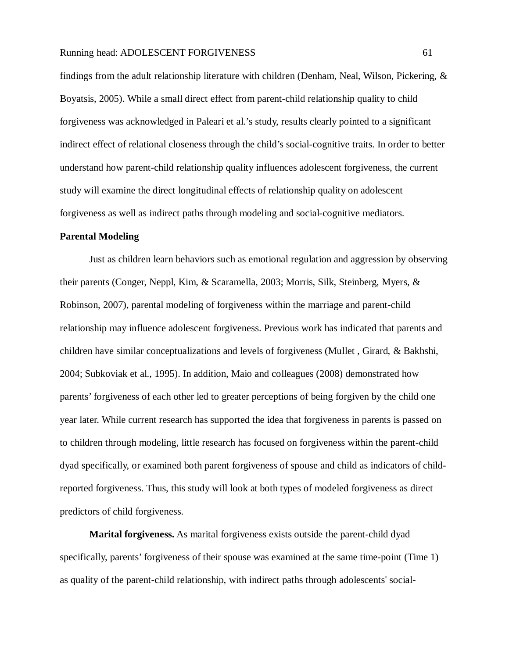findings from the adult relationship literature with children (Denham, Neal, Wilson, Pickering, & Boyatsis, 2005). While a small direct effect from parent-child relationship quality to child forgiveness was acknowledged in Paleari et al.'s study, results clearly pointed to a significant indirect effect of relational closeness through the child's social-cognitive traits. In order to better understand how parent-child relationship quality influences adolescent forgiveness, the current study will examine the direct longitudinal effects of relationship quality on adolescent forgiveness as well as indirect paths through modeling and social-cognitive mediators.

#### **Parental Modeling**

Just as children learn behaviors such as emotional regulation and aggression by observing their parents (Conger, Neppl, Kim, & Scaramella, 2003; Morris, Silk, Steinberg, Myers, & Robinson, 2007), parental modeling of forgiveness within the marriage and parent-child relationship may influence adolescent forgiveness. Previous work has indicated that parents and children have similar conceptualizations and levels of forgiveness (Mullet , Girard, & Bakhshi, 2004; Subkoviak et al., 1995). In addition, Maio and colleagues (2008) demonstrated how parents' forgiveness of each other led to greater perceptions of being forgiven by the child one year later. While current research has supported the idea that forgiveness in parents is passed on to children through modeling, little research has focused on forgiveness within the parent-child dyad specifically, or examined both parent forgiveness of spouse and child as indicators of childreported forgiveness. Thus, this study will look at both types of modeled forgiveness as direct predictors of child forgiveness.

**Marital forgiveness.** As marital forgiveness exists outside the parent-child dyad specifically, parents' forgiveness of their spouse was examined at the same time-point (Time 1) as quality of the parent-child relationship, with indirect paths through adolescents' social-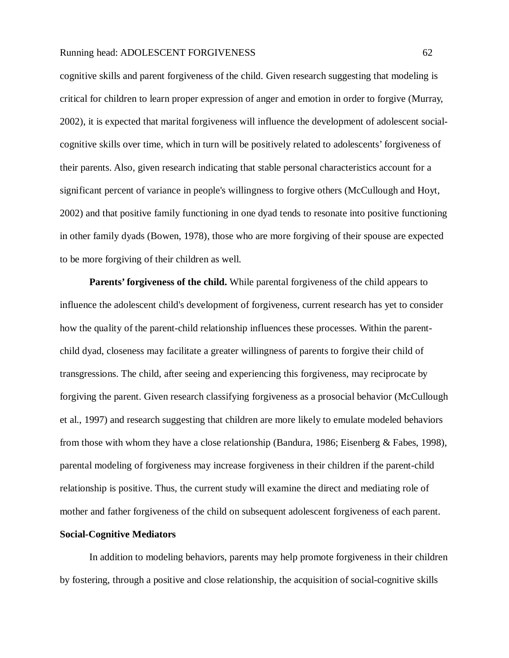cognitive skills and parent forgiveness of the child. Given research suggesting that modeling is critical for children to learn proper expression of anger and emotion in order to forgive (Murray, 2002), it is expected that marital forgiveness will influence the development of adolescent socialcognitive skills over time, which in turn will be positively related to adolescents' forgiveness of their parents. Also, given research indicating that stable personal characteristics account for a significant percent of variance in people's willingness to forgive others (McCullough and Hoyt, 2002) and that positive family functioning in one dyad tends to resonate into positive functioning in other family dyads (Bowen, 1978), those who are more forgiving of their spouse are expected to be more forgiving of their children as well.

**Parents' forgiveness of the child.** While parental forgiveness of the child appears to influence the adolescent child's development of forgiveness, current research has yet to consider how the quality of the parent-child relationship influences these processes. Within the parentchild dyad, closeness may facilitate a greater willingness of parents to forgive their child of transgressions. The child, after seeing and experiencing this forgiveness, may reciprocate by forgiving the parent. Given research classifying forgiveness as a prosocial behavior (McCullough et al., 1997) and research suggesting that children are more likely to emulate modeled behaviors from those with whom they have a close relationship (Bandura, 1986; Eisenberg & Fabes, 1998), parental modeling of forgiveness may increase forgiveness in their children if the parent-child relationship is positive. Thus, the current study will examine the direct and mediating role of mother and father forgiveness of the child on subsequent adolescent forgiveness of each parent.

# **Social-Cognitive Mediators**

In addition to modeling behaviors, parents may help promote forgiveness in their children by fostering, through a positive and close relationship, the acquisition of social-cognitive skills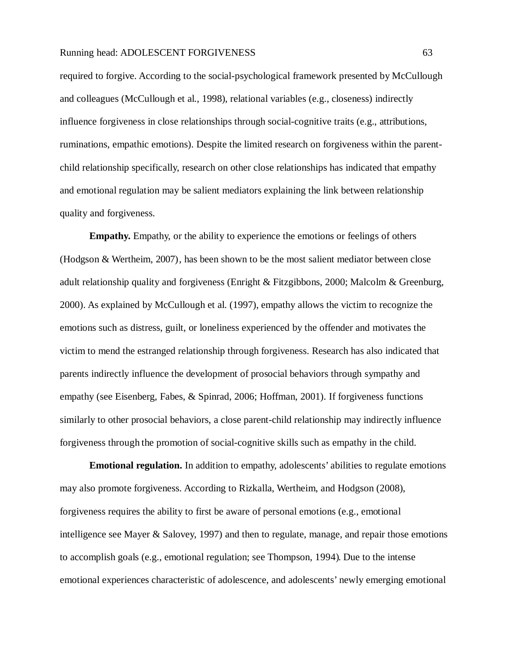required to forgive. According to the social-psychological framework presented by McCullough and colleagues (McCullough et al., 1998), relational variables (e.g., closeness) indirectly influence forgiveness in close relationships through social-cognitive traits (e.g., attributions, ruminations, empathic emotions). Despite the limited research on forgiveness within the parentchild relationship specifically, research on other close relationships has indicated that empathy and emotional regulation may be salient mediators explaining the link between relationship quality and forgiveness.

**Empathy.** Empathy, or the ability to experience the emotions or feelings of others (Hodgson & Wertheim, 2007), has been shown to be the most salient mediator between close adult relationship quality and forgiveness (Enright & Fitzgibbons, 2000; Malcolm & Greenburg, 2000). As explained by McCullough et al. (1997), empathy allows the victim to recognize the emotions such as distress, guilt, or loneliness experienced by the offender and motivates the victim to mend the estranged relationship through forgiveness. Research has also indicated that parents indirectly influence the development of prosocial behaviors through sympathy and empathy (see Eisenberg, Fabes, & Spinrad, 2006; Hoffman, 2001). If forgiveness functions similarly to other prosocial behaviors, a close parent-child relationship may indirectly influence forgiveness through the promotion of social-cognitive skills such as empathy in the child.

**Emotional regulation.** In addition to empathy, adolescents' abilities to regulate emotions may also promote forgiveness. According to Rizkalla, Wertheim, and Hodgson (2008), forgiveness requires the ability to first be aware of personal emotions (e.g., emotional intelligence see Mayer & Salovey, 1997) and then to regulate, manage, and repair those emotions to accomplish goals (e.g., emotional regulation; see Thompson, 1994). Due to the intense emotional experiences characteristic of adolescence, and adolescents' newly emerging emotional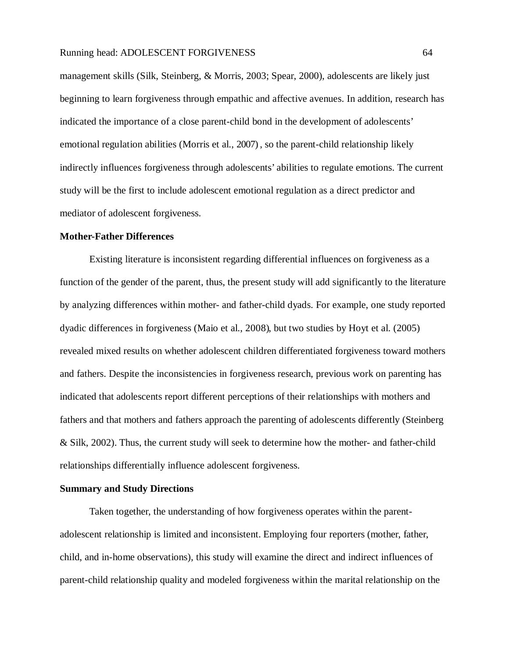management skills (Silk, Steinberg, & Morris, 2003; Spear, 2000), adolescents are likely just beginning to learn forgiveness through empathic and affective avenues. In addition, research has indicated the importance of a close parent-child bond in the development of adolescents' emotional regulation abilities (Morris et al., 2007) , so the parent-child relationship likely indirectly influences forgiveness through adolescents' abilities to regulate emotions. The current study will be the first to include adolescent emotional regulation as a direct predictor and mediator of adolescent forgiveness.

### **Mother-Father Differences**

Existing literature is inconsistent regarding differential influences on forgiveness as a function of the gender of the parent, thus, the present study will add significantly to the literature by analyzing differences within mother- and father-child dyads. For example, one study reported dyadic differences in forgiveness (Maio et al., 2008), but two studies by Hoyt et al. (2005) revealed mixed results on whether adolescent children differentiated forgiveness toward mothers and fathers. Despite the inconsistencies in forgiveness research, previous work on parenting has indicated that adolescents report different perceptions of their relationships with mothers and fathers and that mothers and fathers approach the parenting of adolescents differently (Steinberg & Silk, 2002). Thus, the current study will seek to determine how the mother- and father-child relationships differentially influence adolescent forgiveness.

# **Summary and Study Directions**

Taken together, the understanding of how forgiveness operates within the parentadolescent relationship is limited and inconsistent. Employing four reporters (mother, father, child, and in-home observations), this study will examine the direct and indirect influences of parent-child relationship quality and modeled forgiveness within the marital relationship on the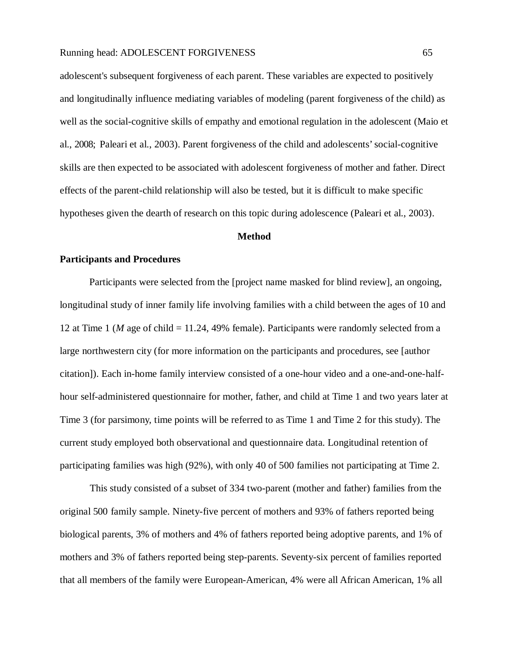adolescent's subsequent forgiveness of each parent. These variables are expected to positively and longitudinally influence mediating variables of modeling (parent forgiveness of the child) as well as the social-cognitive skills of empathy and emotional regulation in the adolescent (Maio et al., 2008; Paleari et al., 2003). Parent forgiveness of the child and adolescents' social-cognitive skills are then expected to be associated with adolescent forgiveness of mother and father. Direct effects of the parent-child relationship will also be tested, but it is difficult to make specific hypotheses given the dearth of research on this topic during adolescence (Paleari et al., 2003).

#### **Method**

## **Participants and Procedures**

Participants were selected from the [project name masked for blind review], an ongoing, longitudinal study of inner family life involving families with a child between the ages of 10 and 12 at Time 1 (*M* age of child = 11.24, 49% female). Participants were randomly selected from a large northwestern city (for more information on the participants and procedures, see [author citation]). Each in-home family interview consisted of a one-hour video and a one-and-one-halfhour self-administered questionnaire for mother, father, and child at Time 1 and two years later at Time 3 (for parsimony, time points will be referred to as Time 1 and Time 2 for this study). The current study employed both observational and questionnaire data. Longitudinal retention of participating families was high (92%), with only 40 of 500 families not participating at Time 2.

This study consisted of a subset of 334 two-parent (mother and father) families from the original 500 family sample. Ninety-five percent of mothers and 93% of fathers reported being biological parents, 3% of mothers and 4% of fathers reported being adoptive parents, and 1% of mothers and 3% of fathers reported being step-parents. Seventy-six percent of families reported that all members of the family were European-American, 4% were all African American, 1% all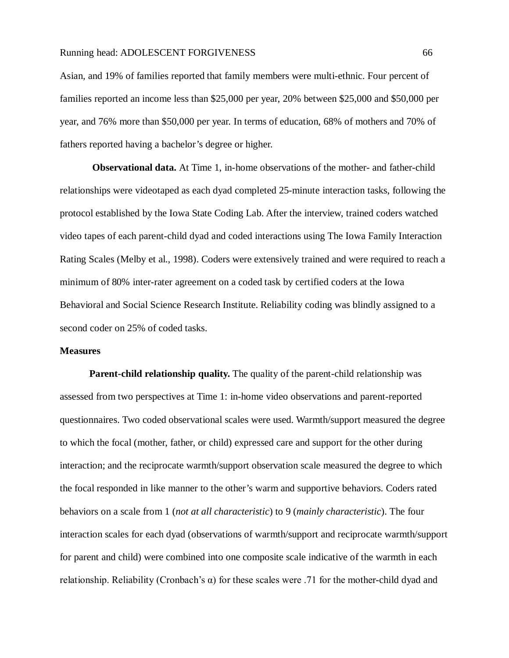Asian, and 19% of families reported that family members were multi-ethnic. Four percent of families reported an income less than \$25,000 per year, 20% between \$25,000 and \$50,000 per year, and 76% more than \$50,000 per year. In terms of education, 68% of mothers and 70% of fathers reported having a bachelor's degree or higher.

**Observational data.** At Time 1, in-home observations of the mother- and father-child relationships were videotaped as each dyad completed 25-minute interaction tasks, following the protocol established by the Iowa State Coding Lab. After the interview, trained coders watched video tapes of each parent-child dyad and coded interactions using The Iowa Family Interaction Rating Scales (Melby et al., 1998). Coders were extensively trained and were required to reach a minimum of 80% inter-rater agreement on a coded task by certified coders at the Iowa Behavioral and Social Science Research Institute. Reliability coding was blindly assigned to a second coder on 25% of coded tasks.

## **Measures**

**Parent-child relationship quality.** The quality of the parent-child relationship was assessed from two perspectives at Time 1: in-home video observations and parent-reported questionnaires. Two coded observational scales were used. Warmth/support measured the degree to which the focal (mother, father, or child) expressed care and support for the other during interaction; and the reciprocate warmth/support observation scale measured the degree to which the focal responded in like manner to the other's warm and supportive behaviors. Coders rated behaviors on a scale from 1 (*not at all characteristic*) to 9 (*mainly characteristic*). The four interaction scales for each dyad (observations of warmth/support and reciprocate warmth/support for parent and child) were combined into one composite scale indicative of the warmth in each relationship. Reliability (Cronbach's α) for these scales were .71 for the mother-child dyad and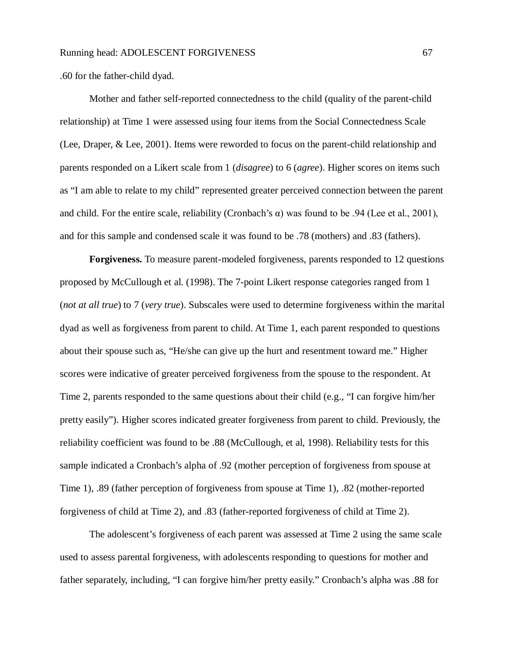.60 for the father-child dyad.

Mother and father self-reported connectedness to the child (quality of the parent-child relationship) at Time 1 were assessed using four items from the Social Connectedness Scale (Lee, Draper, & Lee, 2001). Items were reworded to focus on the parent-child relationship and parents responded on a Likert scale from 1 (*disagree*) to 6 (*agree*). Higher scores on items such as "I am able to relate to my child" represented greater perceived connection between the parent and child. For the entire scale, reliability (Cronbach's  $\alpha$ ) was found to be .94 (Lee et al., 2001), and for this sample and condensed scale it was found to be .78 (mothers) and .83 (fathers).

**Forgiveness.** To measure parent-modeled forgiveness, parents responded to 12 questions proposed by McCullough et al. (1998). The 7-point Likert response categories ranged from 1 (*not at all true*) to 7 (*very true*). Subscales were used to determine forgiveness within the marital dyad as well as forgiveness from parent to child. At Time 1, each parent responded to questions about their spouse such as, "He/she can give up the hurt and resentment toward me." Higher scores were indicative of greater perceived forgiveness from the spouse to the respondent. At Time 2, parents responded to the same questions about their child (e.g., "I can forgive him/her pretty easily"). Higher scores indicated greater forgiveness from parent to child. Previously, the reliability coefficient was found to be .88 (McCullough, et al, 1998). Reliability tests for this sample indicated a Cronbach's alpha of .92 (mother perception of forgiveness from spouse at Time 1), .89 (father perception of forgiveness from spouse at Time 1), .82 (mother-reported forgiveness of child at Time 2), and .83 (father-reported forgiveness of child at Time 2).

The adolescent's forgiveness of each parent was assessed at Time 2 using the same scale used to assess parental forgiveness, with adolescents responding to questions for mother and father separately, including, "I can forgive him/her pretty easily." Cronbach's alpha was .88 for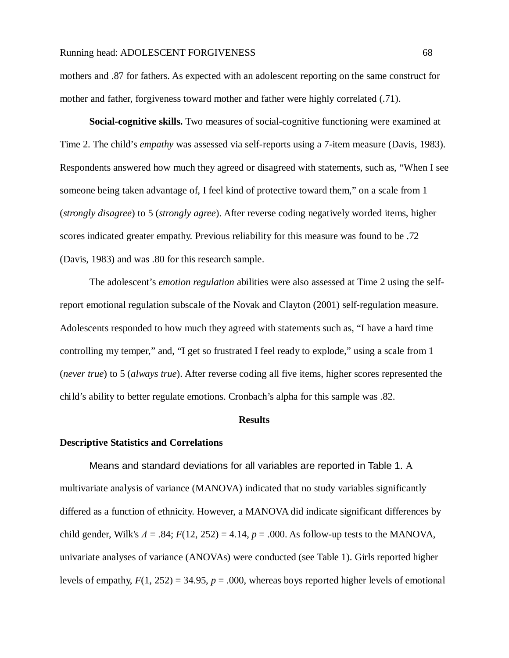mothers and .87 for fathers. As expected with an adolescent reporting on the same construct for mother and father, forgiveness toward mother and father were highly correlated (.71).

**Social-cognitive skills.** Two measures of social-cognitive functioning were examined at Time 2. The child's *empathy* was assessed via self-reports using a 7-item measure (Davis, 1983). Respondents answered how much they agreed or disagreed with statements, such as, "When I see someone being taken advantage of, I feel kind of protective toward them," on a scale from 1 (*strongly disagree*) to 5 (*strongly agree*). After reverse coding negatively worded items, higher scores indicated greater empathy. Previous reliability for this measure was found to be .72 (Davis, 1983) and was .80 for this research sample.

The adolescent's *emotion regulation* abilities were also assessed at Time 2 using the selfreport emotional regulation subscale of the Novak and Clayton (2001) self-regulation measure. Adolescents responded to how much they agreed with statements such as, "I have a hard time controlling my temper," and, "I get so frustrated I feel ready to explode," using a scale from 1 (*never true*) to 5 (*always true*). After reverse coding all five items, higher scores represented the child's ability to better regulate emotions. Cronbach's alpha for this sample was .82.

## **Results**

## **Descriptive Statistics and Correlations**

Means and standard deviations for all variables are reported in Table 1. A multivariate analysis of variance (MANOVA) indicated that no study variables significantly differed as a function of ethnicity. However, a MANOVA did indicate significant differences by child gender, Wilk's  $\Lambda = .84$ ;  $F(12, 252) = 4.14$ ,  $p = .000$ . As follow-up tests to the MANOVA, univariate analyses of variance (ANOVAs) were conducted (see Table 1). Girls reported higher levels of empathy,  $F(1, 252) = 34.95$ ,  $p = .000$ , whereas boys reported higher levels of emotional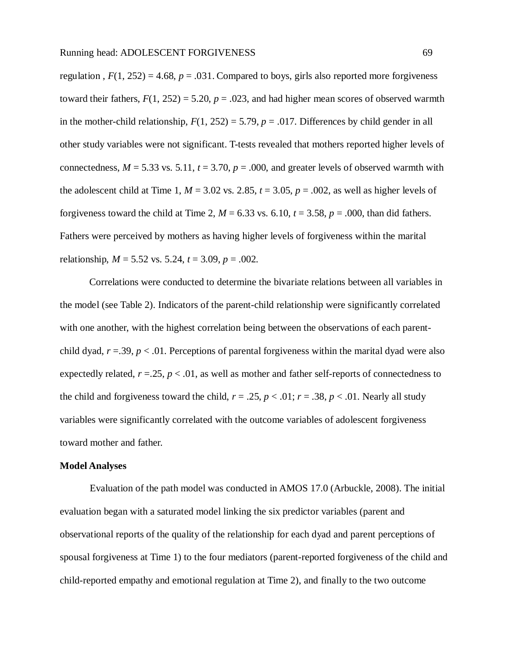regulation ,  $F(1, 252) = 4.68$ ,  $p = .031$ . Compared to boys, girls also reported more forgiveness toward their fathers,  $F(1, 252) = 5.20$ ,  $p = .023$ , and had higher mean scores of observed warmth in the mother-child relationship,  $F(1, 252) = 5.79$ ,  $p = .017$ . Differences by child gender in all other study variables were not significant. T-tests revealed that mothers reported higher levels of connectedness,  $M = 5.33$  vs. 5.11,  $t = 3.70$ ,  $p = .000$ , and greater levels of observed warmth with the adolescent child at Time 1,  $M = 3.02$  vs. 2.85,  $t = 3.05$ ,  $p = .002$ , as well as higher levels of forgiveness toward the child at Time 2,  $M = 6.33$  vs. 6.10,  $t = 3.58$ ,  $p = .000$ , than did fathers. Fathers were perceived by mothers as having higher levels of forgiveness within the marital relationship, *M* = 5.52 vs. 5.24, *t* = 3.09, *p* = .002.

Correlations were conducted to determine the bivariate relations between all variables in the model (see Table 2). Indicators of the parent-child relationship were significantly correlated with one another, with the highest correlation being between the observations of each parentchild dyad,  $r = .39$ ,  $p < .01$ . Perceptions of parental forgiveness within the marital dyad were also expectedly related,  $r = 0.25$ ,  $p < 0.01$ , as well as mother and father self-reports of connectedness to the child and forgiveness toward the child,  $r = .25$ ,  $p < .01$ ;  $r = .38$ ,  $p < .01$ . Nearly all study variables were significantly correlated with the outcome variables of adolescent forgiveness toward mother and father.

# **Model Analyses**

Evaluation of the path model was conducted in AMOS 17.0 (Arbuckle, 2008). The initial evaluation began with a saturated model linking the six predictor variables (parent and observational reports of the quality of the relationship for each dyad and parent perceptions of spousal forgiveness at Time 1) to the four mediators (parent-reported forgiveness of the child and child-reported empathy and emotional regulation at Time 2), and finally to the two outcome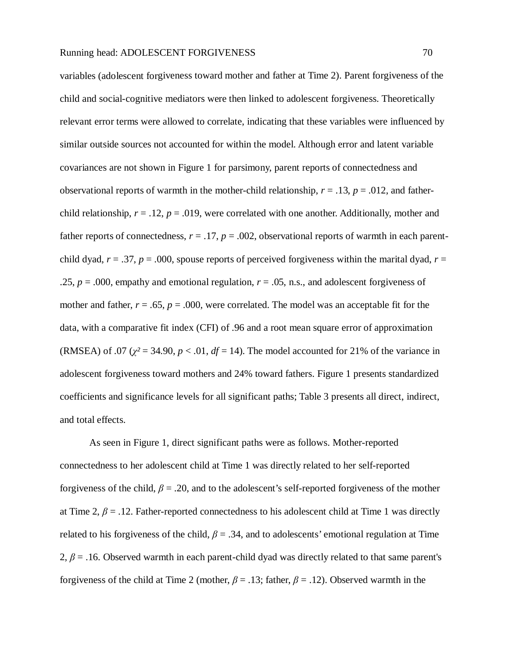variables (adolescent for giveness toward mother and father at Time 2). Parent forgiveness of the child and social-cognitive mediators were then linked to adolescent forgiveness. Theoretically relevant error terms were allowed to correlate, indicating that these variables were influenced by similar outside sources not accounted for within the model. Although error and latent variable covariances are not shown in Figure 1 for parsimony, parent reports of connectedness and observational reports of warmth in the mother-child relationship,  $r = .13$ ,  $p = .012$ , and fatherchild relationship,  $r = .12$ ,  $p = .019$ , were correlated with one another. Additionally, mother and father reports of connectedness,  $r = .17$ ,  $p = .002$ , observational reports of warmth in each parentchild dyad,  $r = .37$ ,  $p = .000$ , spouse reports of perceived forgiveness within the marital dyad,  $r =$ .25,  $p = .000$ , empathy and emotional regulation,  $r = .05$ , n.s., and adolescent forgiveness of mother and father,  $r = .65$ ,  $p = .000$ , were correlated. The model was an acceptable fit for the data, with a comparative fit index (CFI) of .96 and a root mean square error of approximation (RMSEA) of .07 ( $\chi^2$  = 34.90,  $p$  < .01,  $df$  = 14). The model accounted for 21% of the variance in adolescent forgiveness toward mothers and 24% toward fathers. Figure 1 presents standardized coefficients and significance levels for all significant paths; Table 3 presents all direct, indirect, and total effects.

As seen in Figure 1, direct significant paths were as follows. Mother-reported connectedness to her adolescent child at Time 1 was directly related to her self-reported forgiveness of the child, *β* = .20, and to the adolescent's self-reported forgiveness of the mother at Time 2,  $\beta$  = .12. Father-reported connectedness to his adolescent child at Time 1 was directly related to his forgiveness of the child,  $\beta = .34$ , and to adolescents' emotional regulation at Time 2,  $\beta$  = .16. Observed warmth in each parent-child dyad was directly related to that same parent's forgiveness of the child at Time 2 (mother,  $\beta = .13$ ; father,  $\beta = .12$ ). Observed warmth in the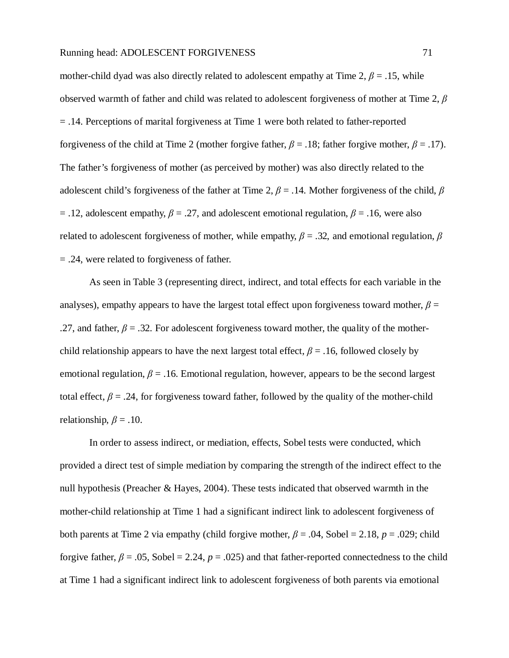mother-child dyad was also directly related to adolescent empathy at Time 2,  $\beta$  = .15, while observed warmth of father and child was related to adolescent forgiveness of mother at Time 2, *β* = .14. Perceptions of marital forgiveness at Time 1 were both related to father-reported forgiveness of the child at Time 2 (mother forgive father,  $\beta = .18$ ; father forgive mother,  $\beta = .17$ ). The father's forgiveness of mother (as perceived by mother) was also directly related to the adolescent child's forgiveness of the father at Time 2, *β* = .14. Mother forgiveness of the child, *β*  $=$  .12, adolescent empathy,  $\beta = 0.27$ , and adolescent emotional regulation,  $\beta = 0.16$ , were also related to adolescent forgiveness of mother, while empathy,  $\beta$  = .32, and emotional regulation,  $\beta$ = .24, were related to forgiveness of father.

As seen in Table 3 (representing direct, indirect, and total effects for each variable in the analyses), empathy appears to have the largest total effect upon forgiveness toward mother,  $\beta$  = .27, and father,  $\beta$  = .32. For adolescent forgiveness toward mother, the quality of the motherchild relationship appears to have the next largest total effect,  $\beta$  = .16, followed closely by emotional regulation,  $\beta$  = .16. Emotional regulation, however, appears to be the second largest total effect,  $\beta$  = .24, for forgiveness toward father, followed by the quality of the mother-child relationship,  $\beta = .10$ .

In order to assess indirect, or mediation, effects, Sobel tests were conducted, which provided a direct test of simple mediation by comparing the strength of the indirect effect to the null hypothesis (Preacher & Hayes, 2004). These tests indicated that observed warmth in the mother-child relationship at Time 1 had a significant indirect link to adolescent forgiveness of both parents at Time 2 via empathy (child forgive mother,  $\beta = .04$ , Sobel = 2.18,  $p = .029$ ; child forgive father,  $\beta = .05$ , Sobel = 2.24,  $p = .025$ ) and that father-reported connectedness to the child at Time 1 had a significant indirect link to adolescent forgiveness of both parents via emotional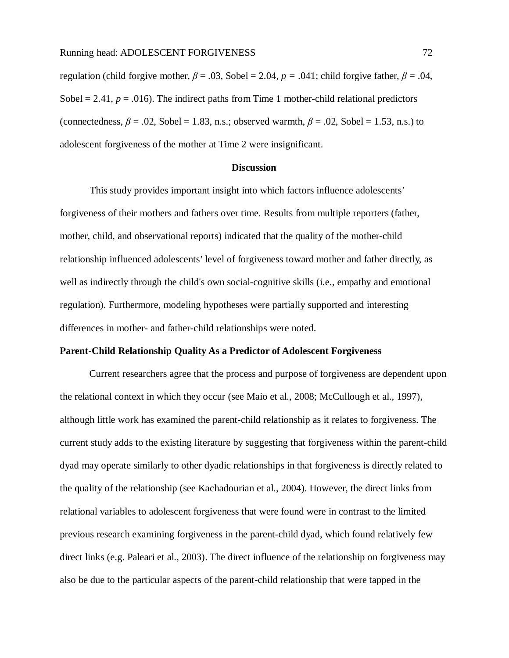regulation (child forgive mother,  $\beta = .03$ , Sobel = 2.04,  $p = .041$ ; child forgive father,  $\beta = .04$ , Sobel  $= 2.41$ ,  $p = .016$ ). The indirect paths from Time 1 mother-child relational predictors (connectedness,  $\beta$  = .02, Sobel = 1.83, n.s.; observed warmth,  $\beta$  = .02, Sobel = 1.53, n.s.) to adolescent forgiveness of the mother at Time 2 were insignificant.

## **Discussion**

This study provides important insight into which factors influence adolescents' forgiveness of their mothers and fathers over time. Results from multiple reporters (father, mother, child, and observational reports) indicated that the quality of the mother-child relationship influenced adolescents' level of forgiveness toward mother and father directly, as well as indirectly through the child's own social-cognitive skills (i.e., empathy and emotional regulation). Furthermore, modeling hypotheses were partially supported and interesting differences in mother- and father-child relationships were noted.

# **Parent-Child Relationship Quality As a Predictor of Adolescent Forgiveness**

Current researchers agree that the process and purpose of forgiveness are dependent upon the relational context in which they occur (see Maio et al., 2008; McCullough et al., 1997), although little work has examined the parent-child relationship as it relates to forgiveness. The current study adds to the existing literature by suggesting that forgiveness within the parent-child dyad may operate similarly to other dyadic relationships in that forgiveness is directly related to the quality of the relationship (see Kachadourian et al., 2004). However, the direct links from relational variables to adolescent forgiveness that were found were in contrast to the limited previous research examining forgiveness in the parent-child dyad, which found relatively few direct links (e.g. Paleari et al., 2003). The direct influence of the relationship on forgiveness may also be due to the particular aspects of the parent-child relationship that were tapped in the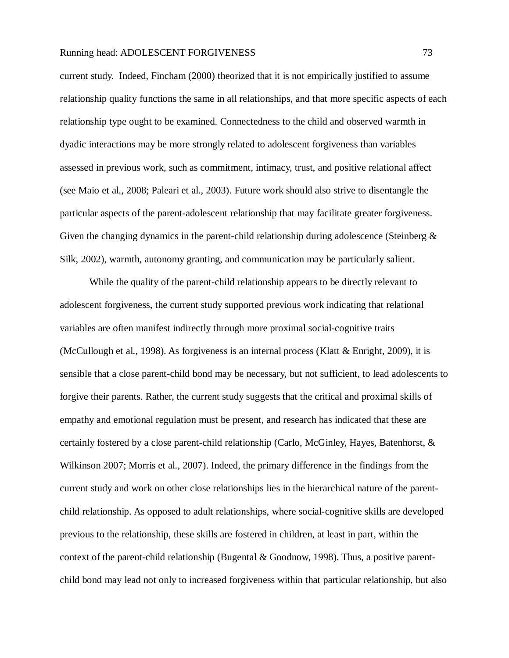current study. Indeed, Fincham (2000) theorized that it is not empirically justified to assume relationship quality functions the same in all relationships, and that more specific aspects of each relationship type ought to be examined. Connectedness to the child and observed warmth in dyadic interactions may be more strongly related to adolescent forgiveness than variables assessed in previous work, such as commitment, intimacy, trust, and positive relational affect (see Maio et al., 2008; Paleari et al., 2003). Future work should also strive to disentangle the particular aspects of the parent-adolescent relationship that may facilitate greater forgiveness. Given the changing dynamics in the parent-child relationship during adolescence (Steinberg  $\&$ Silk, 2002), warmth, autonomy granting, and communication may be particularly salient.

While the quality of the parent-child relationship appears to be directly relevant to adolescent forgiveness, the current study supported previous work indicating that relational variables are often manifest indirectly through more proximal social-cognitive traits (McCullough et al., 1998). As forgiveness is an internal process (Klatt & Enright, 2009), it is sensible that a close parent-child bond may be necessary, but not sufficient, to lead adolescents to forgive their parents. Rather, the current study suggests that the critical and proximal skills of empathy and emotional regulation must be present, and research has indicated that these are certainly fostered by a close parent-child relationship (Carlo, McGinley, Hayes, Batenhorst, & Wilkinson 2007; Morris et al., 2007). Indeed, the primary difference in the findings from the current study and work on other close relationships lies in the hierarchical nature of the parentchild relationship. As opposed to adult relationships, where social-cognitive skills are developed previous to the relationship, these skills are fostered in children, at least in part, within the context of the parent-child relationship (Bugental  $& Goodnow, 1998$ ). Thus, a positive parentchild bond may lead not only to increased forgiveness within that particular relationship, but also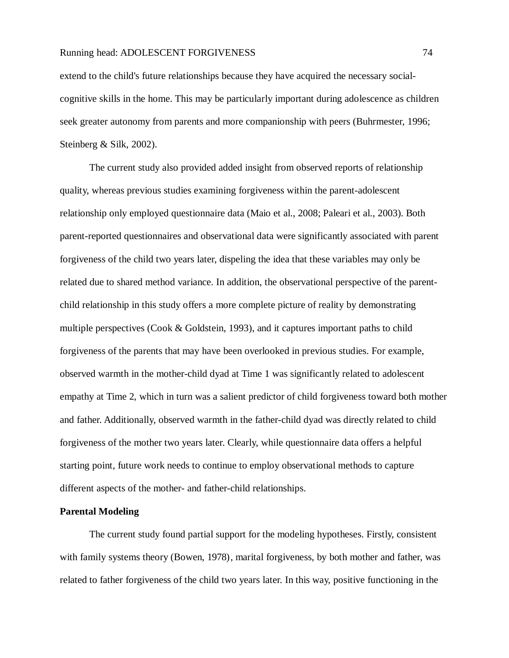extend to the child's future relationships because they have acquired the necessary socialcognitive skills in the home. This may be particularly important during adolescence as children seek greater autonomy from parents and more companionship with peers (Buhrmester, 1996; Steinberg & Silk, 2002).

The current study also provided added insight from observed reports of relationship quality, whereas previous studies examining forgiveness within the parent-adolescent relationship only employed questionnaire data (Maio et al., 2008; Paleari et al., 2003). Both parent-reported questionnaires and observational data were significantly associated with parent forgiveness of the child two years later, dispeling the idea that these variables may only be related due to shared method variance. In addition, the observational perspective of the parentchild relationship in this study offers a more complete picture of reality by demonstrating multiple perspectives (Cook  $&$  Goldstein, 1993), and it captures important paths to child forgiveness of the parents that may have been overlooked in previous studies. For example, observed warmth in the mother-child dyad at Time 1 was significantly related to adolescent empathy at Time 2, which in turn was a salient predictor of child forgiveness toward both mother and father. Additionally, observed warmth in the father-child dyad was directly related to child forgiveness of the mother two years later. Clearly, while questionnaire data offers a helpful starting point, future work needs to continue to employ observational methods to capture different aspects of the mother- and father-child relationships.

# **Parental Modeling**

The current study found partial support for the modeling hypotheses. Firstly, consistent with family systems theory (Bowen, 1978), marital forgiveness, by both mother and father, was related to father forgiveness of the child two years later. In this way, positive functioning in the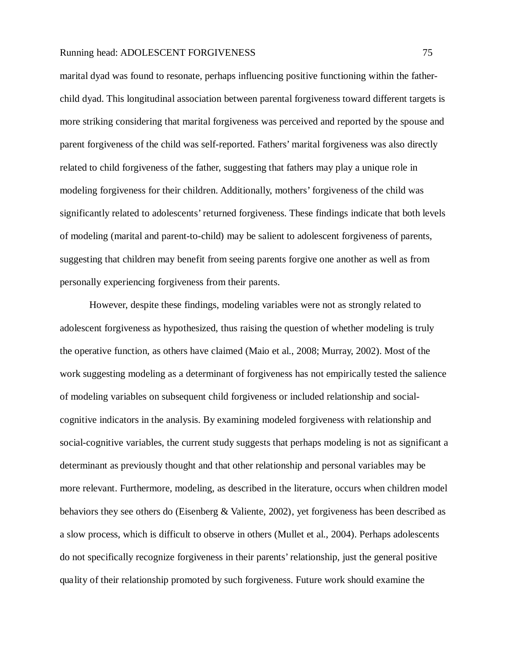marital dyad was found to resonate, perhaps influencing positive functioning within the fatherchild dyad. This longitudinal association between parental forgiveness toward different targets is more striking considering that marital forgiveness was perceived and reported by the spouse and parent forgiveness of the child was self-reported. Fathers' marital forgiveness was also directly related to child forgiveness of the father, suggesting that fathers may play a unique role in modeling forgiveness for their children. Additionally, mothers' forgiveness of the child was significantly related to adolescents' returned forgiveness. These findings indicate that both levels of modeling (marital and parent-to-child) may be salient to adolescent forgiveness of parents, suggesting that children may benefit from seeing parents forgive one another as well as from personally experiencing forgiveness from their parents.

However, despite these findings, modeling variables were not as strongly related to adolescent forgiveness as hypothesized, thus raising the question of whether modeling is truly the operative function, as others have claimed (Maio et al., 2008; Murray, 2002). Most of the work suggesting modeling as a determinant of forgiveness has not empirically tested the salience of modeling variables on subsequent child forgiveness or included relationship and socialcognitive indicators in the analysis. By examining modeled forgiveness with relationship and social-cognitive variables, the current study suggests that perhaps modeling is not as significant a determinant as previously thought and that other relationship and personal variables may be more relevant. Furthermore, modeling, as described in the literature, occurs when children model behaviors they see others do (Eisenberg & Valiente, 2002), yet forgiveness has been described as a slow process, which is difficult to observe in others (Mullet et al., 2004). Perhaps adolescents do not specifically recognize forgiveness in their parents' relationship, just the general positive quality of their relationship promoted by such forgiveness. Future work should examine the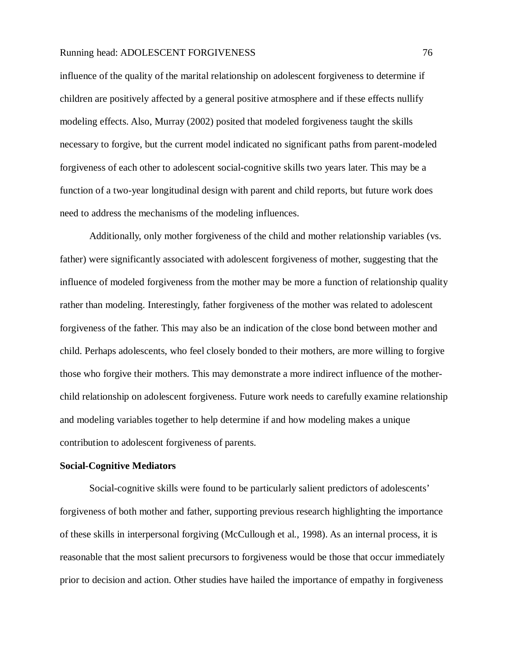influence of the quality of the marital relationship on adolescent forgiveness to determine if children are positively affected by a general positive atmosphere and if these effects nullify modeling effects. Also, Murray (2002) posited that modeled forgiveness taught the skills necessary to forgive, but the current model indicated no significant paths from parent-modeled forgiveness of each other to adolescent social-cognitive skills two years later. This may be a function of a two-year longitudinal design with parent and child reports, but future work does need to address the mechanisms of the modeling influences.

Additionally, only mother forgiveness of the child and mother relationship variables (vs. father) were significantly associated with adolescent forgiveness of mother, suggesting that the influence of modeled forgiveness from the mother may be more a function of relationship quality rather than modeling. Interestingly, father forgiveness of the mother was related to adolescent forgiveness of the father. This may also be an indication of the close bond between mother and child. Perhaps adolescents, who feel closely bonded to their mothers, are more willing to forgive those who forgive their mothers. This may demonstrate a more indirect influence of the motherchild relationship on adolescent forgiveness. Future work needs to carefully examine relationship and modeling variables together to help determine if and how modeling makes a unique contribution to adolescent forgiveness of parents.

# **Social-Cognitive Mediators**

Social-cognitive skills were found to be particularly salient predictors of adolescents' forgiveness of both mother and father, supporting previous research highlighting the importance of these skills in interpersonal forgiving (McCullough et al., 1998). As an internal process, it is reasonable that the most salient precursors to forgiveness would be those that occur immediately prior to decision and action. Other studies have hailed the importance of empathy in forgiveness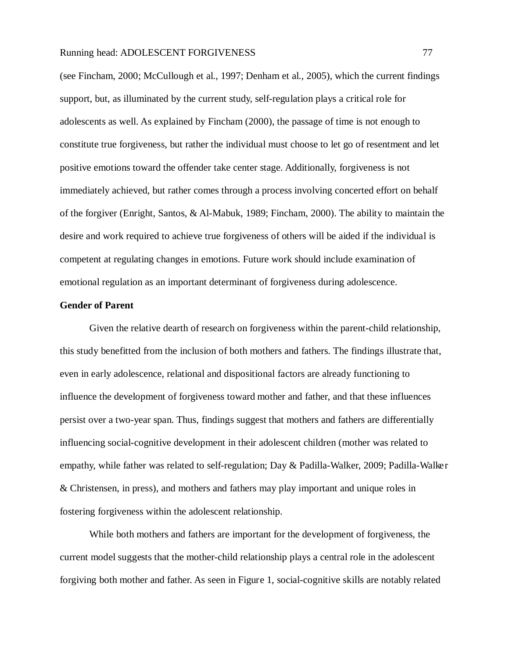(see Fincham, 2000; McCullough et al., 1997; Denham et al., 2005), which the current findings support, but, as illuminated by the current study, self-regulation plays a critical role for adolescents as well. As explained by Fincham (2000), the passage of time is not enough to constitute true forgiveness, but rather the individual must choose to let go of resentment and let positive emotions toward the offender take center stage. Additionally, forgiveness is not immediately achieved, but rather comes through a process involving concerted effort on behalf of the forgiver (Enright, Santos, & Al-Mabuk, 1989; Fincham, 2000). The ability to maintain the desire and work required to achieve true forgiveness of others will be aided if the individual is competent at regulating changes in emotions. Future work should include examination of emotional regulation as an important determinant of forgiveness during adolescence.

# **Gender of Parent**

Given the relative dearth of research on forgiveness within the parent-child relationship, this study benefitted from the inclusion of both mothers and fathers. The findings illustrate that, even in early adolescence, relational and dispositional factors are already functioning to influence the development of forgiveness toward mother and father, and that these influences persist over a two-year span. Thus, findings suggest that mothers and fathers are differentially influencing social-cognitive development in their adolescent children (mother was related to empathy, while father was related to self-regulation; Day & Padilla-Walker, 2009; Padilla-Walker & Christensen, in press), and mothers and fathers may play important and unique roles in fostering forgiveness within the adolescent relationship.

While both mothers and fathers are important for the development of forgiveness, the current model suggests that the mother-child relationship plays a central role in the adolescent forgiving both mother and father. As seen in Figure 1, social-cognitive skills are notably related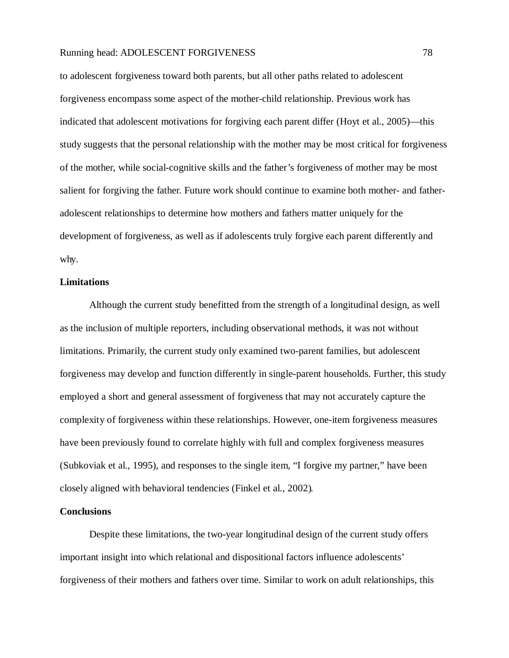to adolescent forgiveness toward both parents, but all other paths related to adolescent forgiveness encompass some aspect of the mother-child relationship. Previous work has indicated that adolescent motivations for forgiving each parent differ (Hoyt et al., 2005)—this study suggests that the personal relationship with the mother may be most critical for forgiveness of the mother, while social-cognitive skills and the father's forgiveness of mother may be most salient for forgiving the father. Future work should continue to examine both mother- and fatheradolescent relationships to determine how mothers and fathers matter uniquely for the development of forgiveness, as well as if adolescents truly forgive each parent differently and why.

# **Limitations**

Although the current study benefitted from the strength of a longitudinal design, as well as the inclusion of multiple reporters, including observational methods, it was not without limitations. Primarily, the current study only examined two-parent families, but adolescent forgiveness may develop and function differently in single-parent households. Further, this study employed a short and general assessment of forgiveness that may not accurately capture the complexity of forgiveness within these relationships. However, one-item forgiveness measures have been previously found to correlate highly with full and complex forgiveness measures (Subkoviak et al., 1995), and responses to the single item, "I forgive my partner," have been closely aligned with behavioral tendencies (Finkel et al., 2002).

## **Conclusions**

Despite these limitations, the two-year longitudinal design of the current study offers important insight into which relational and dispositional factors influence adolescents' forgiveness of their mothers and fathers over time. Similar to work on adult relationships, this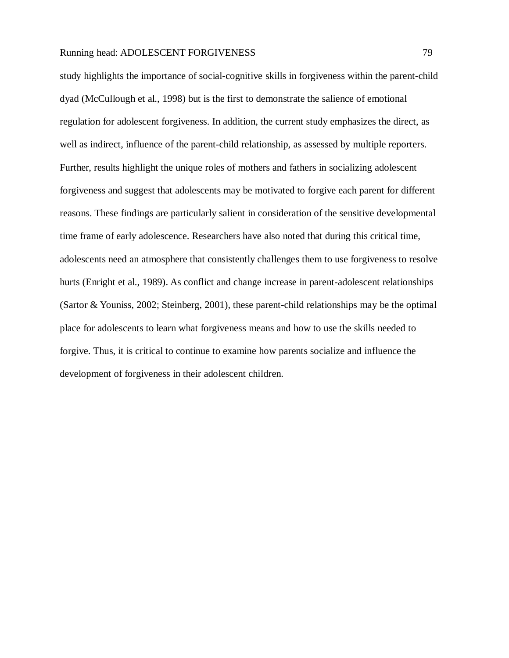study highlights the importance of social-cognitive skills in forgiveness within the parent-child dyad (McCullough et al., 1998) but is the first to demonstrate the salience of emotional regulation for adolescent forgiveness. In addition, the current study emphasizes the direct, as well as indirect, influence of the parent-child relationship, as assessed by multiple reporters. Further, results highlight the unique roles of mothers and fathers in socializing adolescent forgiveness and suggest that adolescents may be motivated to forgive each parent for different reasons. These findings are particularly salient in consideration of the sensitive developmental time frame of early adolescence. Researchers have also noted that during this critical time, adolescents need an atmosphere that consistently challenges them to use forgiveness to resolve hurts (Enright et al., 1989). As conflict and change increase in parent-adolescent relationships (Sartor & Youniss, 2002; Steinberg, 2001), these parent-child relationships may be the optimal place for adolescents to learn what forgiveness means and how to use the skills needed to forgive. Thus, it is critical to continue to examine how parents socialize and influence the development of forgiveness in their adolescent children.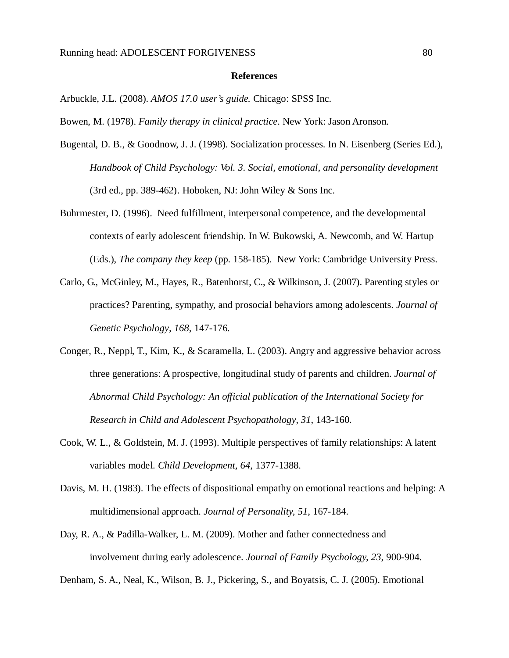#### **References**

- Arbuckle, J.L. (2008). *AMOS 17.0 user's guide.* Chicago: SPSS Inc.
- Bowen, M. (1978). *Family therapy in clinical practice*. New York: Jason Aronson.
- Bugental, D. B., & Goodnow, J. J. (1998). Socialization processes. In N. Eisenberg (Series Ed.), *Handbook of Child Psychology: Vol. 3. Social, emotional, and personality development* (3rd ed., pp. 389-462). Hoboken, NJ: John Wiley  $&$  Sons Inc.
- Buhrmester, D. (1996). Need fulfillment, interpersonal competence, and the developmental contexts of early adolescent friendship. In W. Bukowski, A. Newcomb, and W. Hartup (Eds.), *The company they keep* (pp. 158-185). New York: Cambridge University Press.
- Carlo, G., McGinley, M., Hayes, R., Batenhorst, C., & Wilkinson, J. (2007). Parenting styles or practices? Parenting, sympathy, and prosocial behaviors among adolescents. *Journal of Genetic Psychology, 168*, 147-176.
- Conger, R., Neppl, T., Kim, K., & Scaramella, L. (2003). Angry and aggressive behavior across three generations: A prospective, longitudinal study of parents and children. *Journal of Abnormal Child Psychology: An official publication of the International Society for Research in Child and Adolescent Psychopathology*, *31*, 143-160.
- Cook, W. L., & Goldstein, M. J. (1993). Multiple perspectives of family relationships: A latent variables model. *Child Development, 64*, 1377-1388.
- Davis, M. H. (1983). The effects of dispositional empathy on emotional reactions and helping: A multidimensional approach. *Journal of Personality, 51*, 167-184.
- Day, R. A., & Padilla-Walker, L. M. (2009). Mother and father connectedness and involvement during early adolescence. *Journal of Family Psychology, 23*, 900-904.
- Denham, S. A., Neal, K., Wilson, B. J., Pickering, S., and Boyatsis, C. J. (2005). Emotional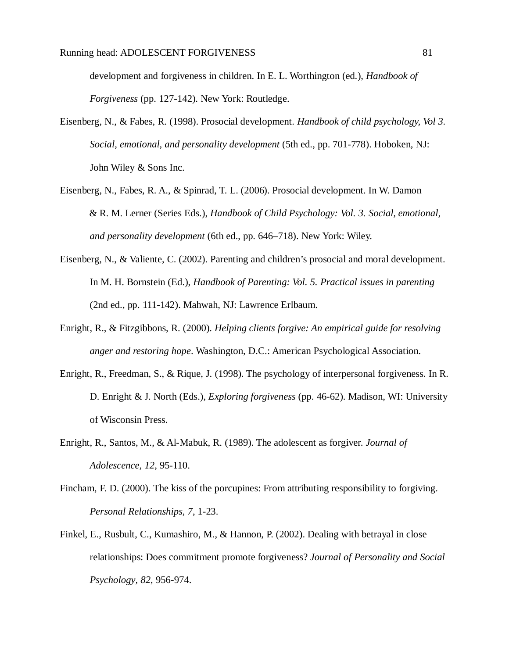development and forgiveness in children. In E. L. Worthington (ed.), *Handbook of Forgiveness* (pp. 127-142). New York: Routledge.

- Eisenberg, N., & Fabes, R. (1998). Prosocial development. *Handbook of child psychology, Vol 3. Social, emotional, and personality development* (5th ed., pp. 701-778). Hoboken, NJ: John Wiley & Sons Inc.
- Eisenberg, N., Fabes, R. A., & Spinrad, T. L. (2006). Prosocial development. In W. Damon & R. M. Lerner (Series Eds.), *Handbook of Child Psychology: Vol. 3. Social, emotional, and personality development* (6th ed., pp. 646–718). New York: Wiley.
- Eisenberg, N., & Valiente, C. (2002). Parenting and children's prosocial and moral development. In M. H. Bornstein (Ed.), *Handbook of Parenting: Vol. 5. Practical issues in parenting*  (2nd ed., pp. 111-142). Mahwah, NJ: Lawrence Erlbaum.
- Enright, R., & Fitzgibbons, R. (2000). *Helping clients forgive: An empirical guide for resolving anger and restoring hope*. Washington, D.C.: American Psychological Association.
- Enright, R., Freedman, S., & Rique, J. (1998). The psychology of interpersonal forgiveness. In R. D. Enright & J. North (Eds.), *Exploring forgiveness* (pp. 46-62). Madison, WI: University of Wisconsin Press.
- Enright, R., Santos, M., & Al-Mabuk, R. (1989). The adolescent as forgiver. *Journal of Adolescence, 12*, 95-110.
- Fincham, F. D. (2000). The kiss of the porcupines: From attributing responsibility to forgiving. *Personal Relationships, 7*, 1-23.
- Finkel, E., Rusbult, C., Kumashiro, M., & Hannon, P. (2002). Dealing with betrayal in close relationships: Does commitment promote forgiveness? *Journal of Personality and Social Psychology, 82*, 956-974.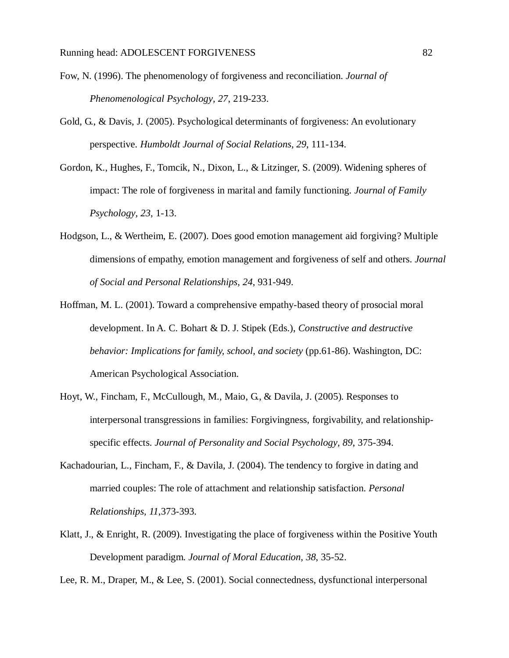- Fow, N. (1996). The phenomenology of forgiveness and reconciliation. *Journal of Phenomenological Psychology, 27*, 219-233.
- Gold, G., & Davis, J. (2005). Psychological determinants of forgiveness: An evolutionary perspective. *Humboldt Journal of Social Relations, 29*, 111-134.
- Gordon, K., Hughes, F., Tomcik, N., Dixon, L., & Litzinger, S. (2009). Widening spheres of impact: The role of forgiveness in marital and family functioning. *Journal of Family Psychology, 23*, 1-13.
- Hodgson, L., & Wertheim, E. (2007). Does good emotion management aid forgiving? Multiple dimensions of empathy, emotion management and forgiveness of self and others. *Journal of Social and Personal Relationships, 24*, 931-949.
- Hoffman, M. L. (2001). Toward a comprehensive empathy-based theory of prosocial moral development. In A. C. Bohart & D. J. Stipek (Eds.), *Constructive and destructive behavior: Implications for family, school, and society* (pp.61-86). Washington, DC: American Psychological Association.
- Hoyt, W., Fincham, F., McCullough, M., Maio, G., & Davila, J. (2005). Responses to interpersonal transgressions in families: Forgivingness, forgivability, and relationshipspecific effects. *Journal of Personality and Social Psychology, 89*, 375-394.
- Kachadourian, L., Fincham, F., & Davila, J. (2004). The tendency to forgive in dating and married couples: The role of attachment and relationship satisfaction. *Personal Relationships, 11*,373-393.
- Klatt, J., & Enright, R. (2009). Investigating the place of forgiveness within the Positive Youth Development paradigm. *Journal of Moral Education, 38*, 35-52.

Lee, R. M., Draper, M., & Lee, S. (2001). Social connectedness, dysfunctional interpersonal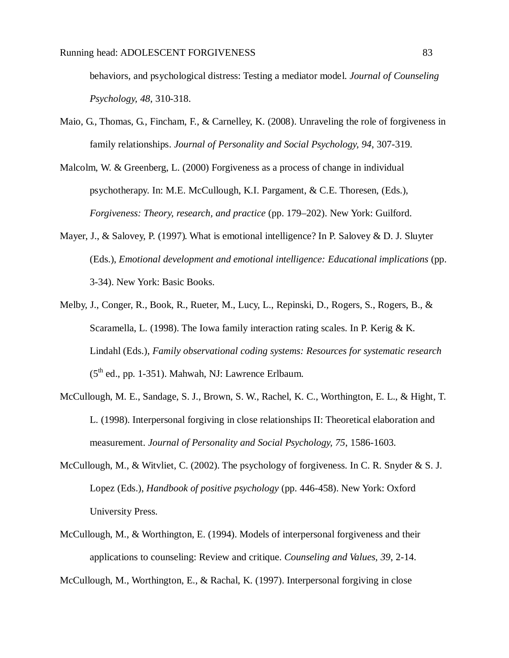behaviors, and psychological distress: Testing a mediator model. *Journal of Counseling Psychology, 48*, 310-318.

- Maio, G., Thomas, G., Fincham, F., & Carnelley, K. (2008). Unraveling the role of forgiveness in family relationships. *Journal of Personality and Social Psychology, 94*, 307-319.
- Malcolm, W. & Greenberg, L. (2000) Forgiveness as a process of change in individual psychotherapy. In: M.E. McCullough, K.I. Pargament, & C.E. Thoresen, (Eds.), *Forgiveness: Theory, research, and practice* (pp. 179–202). New York: Guilford.
- Mayer, J., & Salovey, P. (1997). What is emotional intelligence? In P. Salovey & D. J. Sluyter (Eds.), *Emotional development and emotional intelligence: Educational implications* (pp. 3-34). New York: Basic Books.
- Melby, J., Conger, R., Book, R., Rueter, M., Lucy, L., Repinski, D., Rogers, S., Rogers, B., & Scaramella, L. (1998). The Iowa family interaction rating scales. In P. Kerig & K. Lindahl (Eds.), *Family observational coding systems: Resources for systematic research*  (5<sup>th</sup> ed., pp. 1-351). Mahwah, NJ: Lawrence Erlbaum.
- McCullough, M. E., Sandage, S. J., Brown, S. W., Rachel, K. C., Worthington, E. L., & Hight, T. L. (1998). Interpersonal forgiving in close relationships II: Theoretical elaboration and measurement. *Journal of Personality and Social Psychology, 75*, 1586-1603.
- McCullough, M., & Witvliet, C. (2002). The psychology of forgiveness. In C. R. Snyder & S. J. Lopez (Eds.), *Handbook of positive psychology* (pp. 446-458). New York: Oxford University Press.
- McCullough, M., & Worthington, E. (1994). Models of interpersonal forgiveness and their applications to counseling: Review and critique. *Counseling and Values, 39*, 2-14.

McCullough, M., Worthington, E., & Rachal, K. (1997). Interpersonal forgiving in close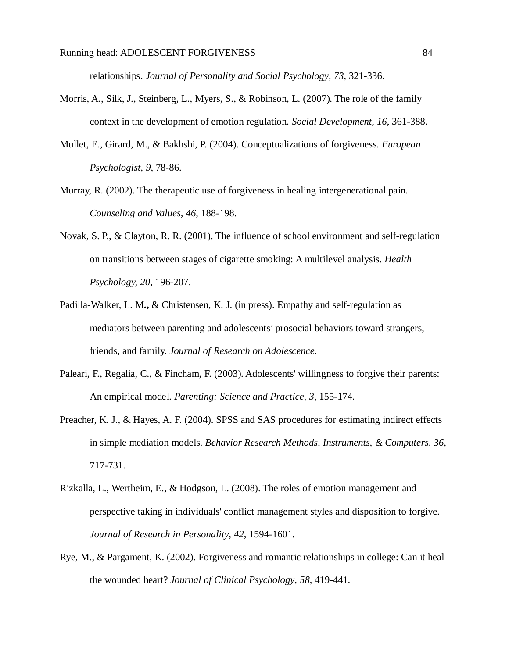relationships. *Journal of Personality and Social Psychology, 73*, 321-336.

- Morris, A., Silk, J., Steinberg, L., Myers, S., & Robinson, L. (2007). The role of the family context in the development of emotion regulation. *Social Development, 16*, 361-388.
- Mullet, E., Girard, M., & Bakhshi, P. (2004). Conceptualizations of forgiveness. *European Psychologist, 9*, 78-86.
- Murray, R. (2002). The therapeutic use of forgiveness in healing intergenerational pain. *Counseling and Values, 46*, 188-198.
- Novak, S. P., & Clayton, R. R. (2001). The influence of school environment and self-regulation on transitions between stages of cigarette smoking: A multilevel analysis. *Health Psychology, 20*, 196-207.
- Padilla-Walker, L. M**.,** & Christensen, K. J. (in press). Empathy and self-regulation as mediators between parenting and adolescents' prosocial behaviors toward strangers, friends, and family. *Journal of Research on Adolescence.*
- Paleari, F., Regalia, C., & Fincham, F. (2003). Adolescents' willingness to forgive their parents: An empirical model. *Parenting: Science and Practice, 3*, 155-174.
- Preacher, K. J., & Hayes, A. F. (2004). SPSS and SAS procedures for estimating indirect effects in simple mediation models. *Behavior Research Methods, Instruments, & Computers*, *36*, 717-731.
- Rizkalla, L., Wertheim, E., & Hodgson, L. (2008). The roles of emotion management and perspective taking in individuals' conflict management styles and disposition to forgive. *Journal of Research in Personality, 42*, 1594-1601.
- Rye, M., & Pargament, K. (2002). Forgiveness and romantic relationships in college: Can it heal the wounded heart? *Journal of Clinical Psychology, 58*, 419-441.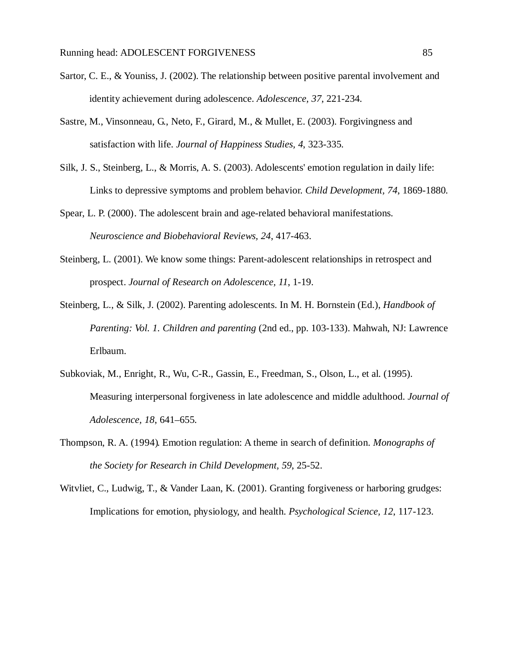- Sartor, C. E., & Youniss, J. (2002). The relationship between positive parental involvement and identity achievement during adolescence. *Adolescence, 37*, 221-234.
- Sastre, M., Vinsonneau, G., Neto, F., Girard, M., & Mullet, E. (2003). Forgivingness and satisfaction with life. *Journal of Happiness Studies, 4*, 323-335.
- Silk, J. S., Steinberg, L., & Morris, A. S. (2003). Adolescents' emotion regulation in daily life: Links to depressive symptoms and problem behavior. *Child Development, 74*, 1869-1880.
- Spear, L. P. (2000). The adolescent brain and age-related behavioral manifestations. *Neuroscience and Biobehavioral Reviews, 24*, 417-463.
- Steinberg, L. (2001). We know some things: Parent-adolescent relationships in retrospect and prospect. *Journal of Research on Adolescence, 11*, 1-19.
- Steinberg, L., & Silk, J. (2002). Parenting adolescents. In M. H. Bornstein (Ed.), *Handbook of Parenting: Vol. 1. Children and parenting* (2nd ed., pp. 103-133). Mahwah, NJ: Lawrence Erlbaum.
- Subkoviak, M., Enright, R., Wu, C-R., Gassin, E., Freedman, S., Olson, L., et al. (1995). Measuring interpersonal forgiveness in late adolescence and middle adulthood. *Journal of Adolescence, 18*, 641–655.
- Thompson, R. A. (1994). Emotion regulation: A theme in search of definition. *Monographs of the Society for Research in Child Development, 59*, 25-52.
- Witvliet, C., Ludwig, T., & Vander Laan, K. (2001). Granting forgiveness or harboring grudges: Implications for emotion, physiology, and health. *Psychological Science, 12*, 117-123.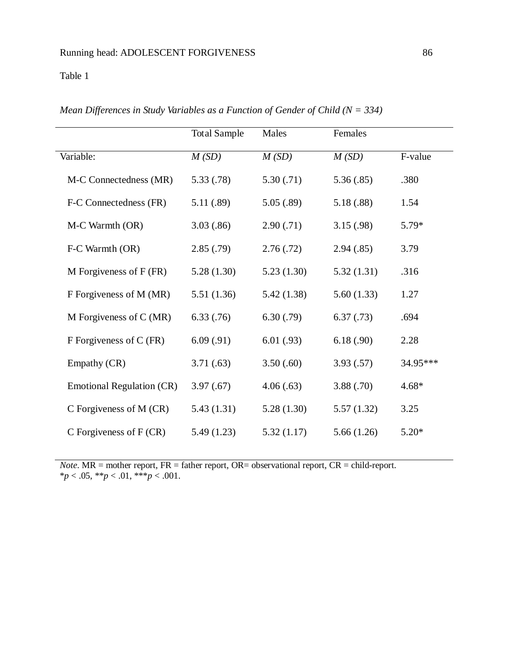# Table 1

|                                  | <b>Total Sample</b> | Males      | Females    |          |
|----------------------------------|---------------------|------------|------------|----------|
| Variable:                        | M(SD)               | M(SD)      | M(SD)      | F-value  |
| M-C Connectedness (MR)           | 5.33(.78)           | 5.30(.71)  | 5.36(.85)  | .380     |
| F-C Connectedness (FR)           | 5.11 (.89)          | 5.05(.89)  | 5.18(.88)  | 1.54     |
| M-C Warmth (OR)                  | 3.03(.86)           | 2.90(.71)  | 3.15(.98)  | 5.79*    |
| F-C Warmth (OR)                  | 2.85(.79)           | 2.76(.72)  | 2.94(.85)  | 3.79     |
| M Forgiveness of $F$ (FR)        | 5.28(1.30)          | 5.23(1.30) | 5.32(1.31) | .316     |
| F Forgiveness of M (MR)          | 5.51(1.36)          | 5.42(1.38) | 5.60(1.33) | 1.27     |
| M Forgiveness of $C(MR)$         | 6.33(.76)           | 6.30(.79)  | 6.37(0.73) | .694     |
| F Forgiveness of C (FR)          | 6.09(.91)           | 6.01(0.93) | 6.18(.90)  | 2.28     |
| Empathy (CR)                     | 3.71(.63)           | 3.50(.60)  | 3.93(.57)  | 34.95*** |
| <b>Emotional Regulation (CR)</b> | 3.97(0.67)          | 4.06(.63)  | 3.88(.70)  | $4.68*$  |
| C Forgiveness of M (CR)          | 5.43(1.31)          | 5.28(1.30) | 5.57(1.32) | 3.25     |
| C Forgiveness of $F(CR)$         | 5.49(1.23)          | 5.32(1.17) | 5.66(1.26) | $5.20*$  |

*Mean Differences in Study Variables as a Function of Gender of Child (N = 334)*

*Note*. MR = mother report, FR = father report, OR= observational report, CR = child-report. \**p* < .05, \*\**p* < .01, \*\*\**p* < .001.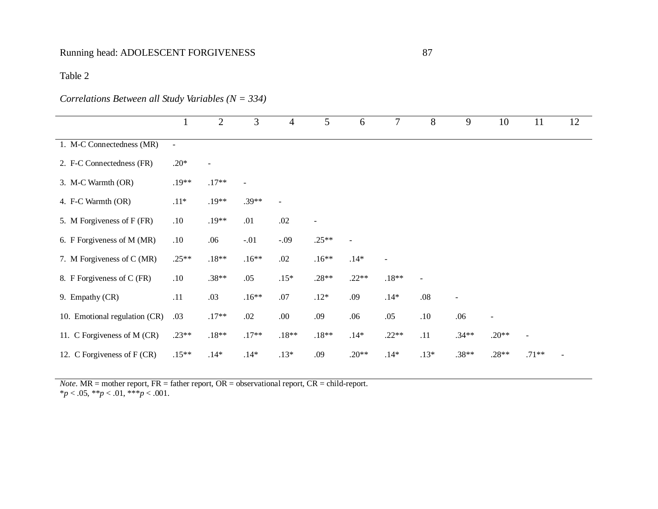# Table 2

# *Correlations Between all Study Variables (N = 334)*

|                               | $\perp$        | $\mathbf{2}$             | 3              | $\overline{4}$ | 5              | 6       | 7       | 8                        | 9                        | 10                       | 11             | 12 |
|-------------------------------|----------------|--------------------------|----------------|----------------|----------------|---------|---------|--------------------------|--------------------------|--------------------------|----------------|----|
| 1. M-C Connectedness (MR)     | $\blacksquare$ |                          |                |                |                |         |         |                          |                          |                          |                |    |
| 2. F-C Connectedness (FR)     | $.20*$         | $\overline{\phantom{a}}$ |                |                |                |         |         |                          |                          |                          |                |    |
| 3. M-C Warmth (OR)            | $.19**$        | $.17**$                  | $\blacksquare$ |                |                |         |         |                          |                          |                          |                |    |
| 4. F-C Warmth (OR)            | $.11*$         | $.19**$                  | $.39**$        |                |                |         |         |                          |                          |                          |                |    |
| 5. M Forgiveness of F (FR)    | .10            | $.19**$                  | .01            | .02            | $\blacksquare$ |         |         |                          |                          |                          |                |    |
| 6. F Forgiveness of M (MR)    | .10            | .06                      | $-.01$         | $-.09$         | $.25**$        |         |         |                          |                          |                          |                |    |
| 7. M Forgiveness of C (MR)    | $.25**$        | $.18**$                  | $.16**$        | .02            | $.16**$        | $.14*$  |         |                          |                          |                          |                |    |
| 8. F Forgiveness of C (FR)    | .10            | $.38**$                  | .05            | $.15*$         | $.28**$        | $.22**$ | $.18**$ | $\overline{\phantom{a}}$ |                          |                          |                |    |
| 9. Empathy (CR)               | .11            | .03                      | $.16**$        | .07            | $.12*$         | .09     | $.14*$  | $.08\,$                  | $\overline{\phantom{a}}$ |                          |                |    |
| 10. Emotional regulation (CR) | .03            | $.17**$                  | .02            | .00.           | .09            | .06     | .05     | .10                      | .06                      | $\overline{\phantom{a}}$ |                |    |
| 11. C Forgiveness of M (CR)   | $.23**$        | $.18**$                  | $.17**$        | $.18**$        | $.18**$        | $.14*$  | $.22**$ | .11                      | $.34**$                  | $.20**$                  | $\blacksquare$ |    |
| 12. C Forgiveness of F (CR)   | $.15**$        | $.14*$                   | $.14*$         | $.13*$         | .09            | $.20**$ | $.14*$  | $.13*$                   | $.38**$                  | $.28**$                  | $.71**$        |    |

*Note*. MR = mother report, FR = father report, OR = observational report, CR = child-report. \**p* < .05, \*\**p* < .01, \*\*\**p* < .001.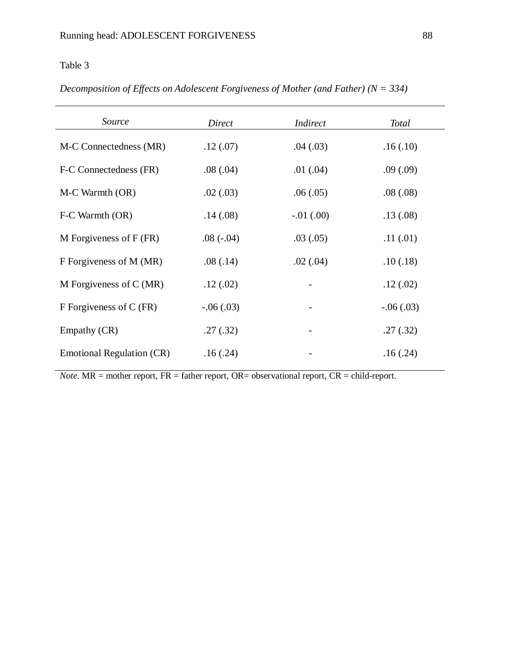# Table 3

| Decomposition of Effects on Adolescent Forgiveness of Mother (and Father) ( $N = 334$ ) |  |  |  |  |  |  |  |
|-----------------------------------------------------------------------------------------|--|--|--|--|--|--|--|
|-----------------------------------------------------------------------------------------|--|--|--|--|--|--|--|

| Source                           | Direct      | <i>Indirect</i> | <b>Total</b> |
|----------------------------------|-------------|-----------------|--------------|
| M-C Connectedness (MR)           | .12(07)     | .04(.03)        | .16(.10)     |
| F-C Connectedness (FR)           | .08(.04)    | .01(.04)        | .09(.09)     |
| M-C Warmth (OR)                  | .02(.03)    | .06(.05)        | .08(.08)     |
| F-C Warmth (OR)                  | .14(0.08)   | $-.01(.00)$     | .13(0.08)    |
| M Forgiveness of $F$ (FR)        | $.08(-.04)$ | .03(.05)        | .11(0.01)    |
| F Forgiveness of M (MR)          | .08(.14)    | .02(.04)        | .10(0.18)    |
| M Forgiveness of $C(MR)$         | .12(.02)    |                 | .12(0.02)    |
| F Forgiveness of C (FR)          | $-.06(.03)$ |                 | $-.06(.03)$  |
| Empathy (CR)                     | .27(.32)    |                 | .27(.32)     |
| <b>Emotional Regulation (CR)</b> | .16(.24)    |                 | .16(.24)     |

*Note*. MR = mother report, FR = father report, OR= observational report, CR = child-report.